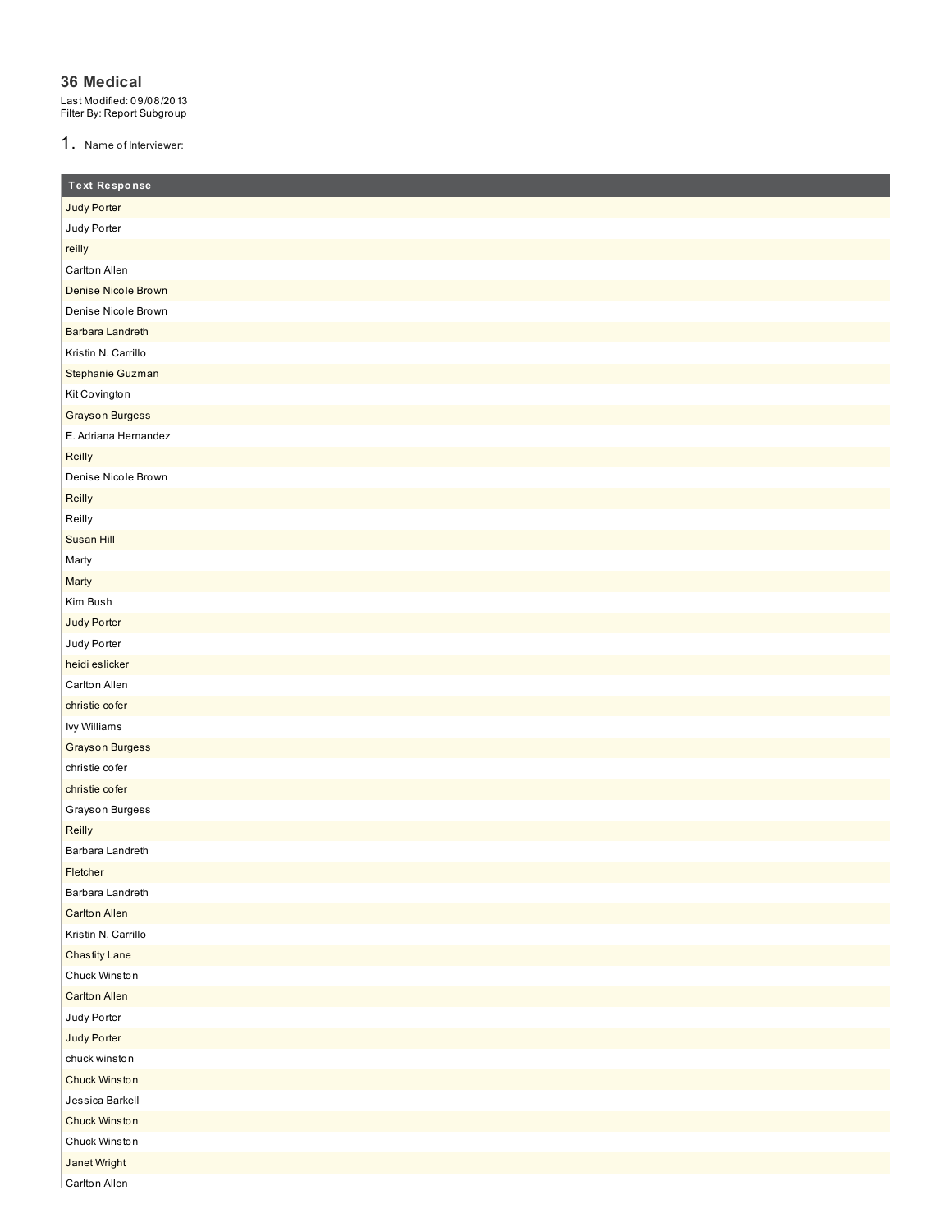#### **36 Medical**

Last Modified: 09/08/2013 Filter By: Report Subgroup

1. Name of Interviewer:

| <b>Text Response</b>       |
|----------------------------|
| Judy Porter                |
| Judy Porter                |
| reilly                     |
| Carlton Allen              |
| <b>Denise Nicole Brown</b> |
| Denise Nicole Brown        |
| <b>Barbara Landreth</b>    |
| Kristin N. Carrillo        |
| Stephanie Guzman           |
| Kit Covington              |
| <b>Grayson Burgess</b>     |
| E. Adriana Hernandez       |
| Reilly                     |
| Denise Nicole Brown        |
| Reilly                     |
| Reilly                     |
| Susan Hill                 |
| Marty                      |
| Marty                      |
| Kim Bush                   |
| Judy Porter                |
| Judy Porter                |
| heidi eslicker             |
| Carlton Allen              |
| christie cofer             |
| lvy Williams               |
| <b>Grayson Burgess</b>     |
| christie cofer             |
| christie cofer             |
| Grayson Burgess            |
| Reilly                     |
| Barbara Landreth           |
| Fletcher                   |
| Barbara Landreth           |
| <b>Carlton Allen</b>       |
| Kristin N. Carrillo        |
| <b>Chastity Lane</b>       |
| Chuck Winston              |
| <b>Carlton Allen</b>       |
| Judy Porter                |
| Judy Porter                |
| chuck winston              |
| Chuck Winston              |
| Jessica Barkell            |
| Chuck Winston              |
| Chuck Winston              |
| <b>Janet Wright</b>        |
| Carlton Allen              |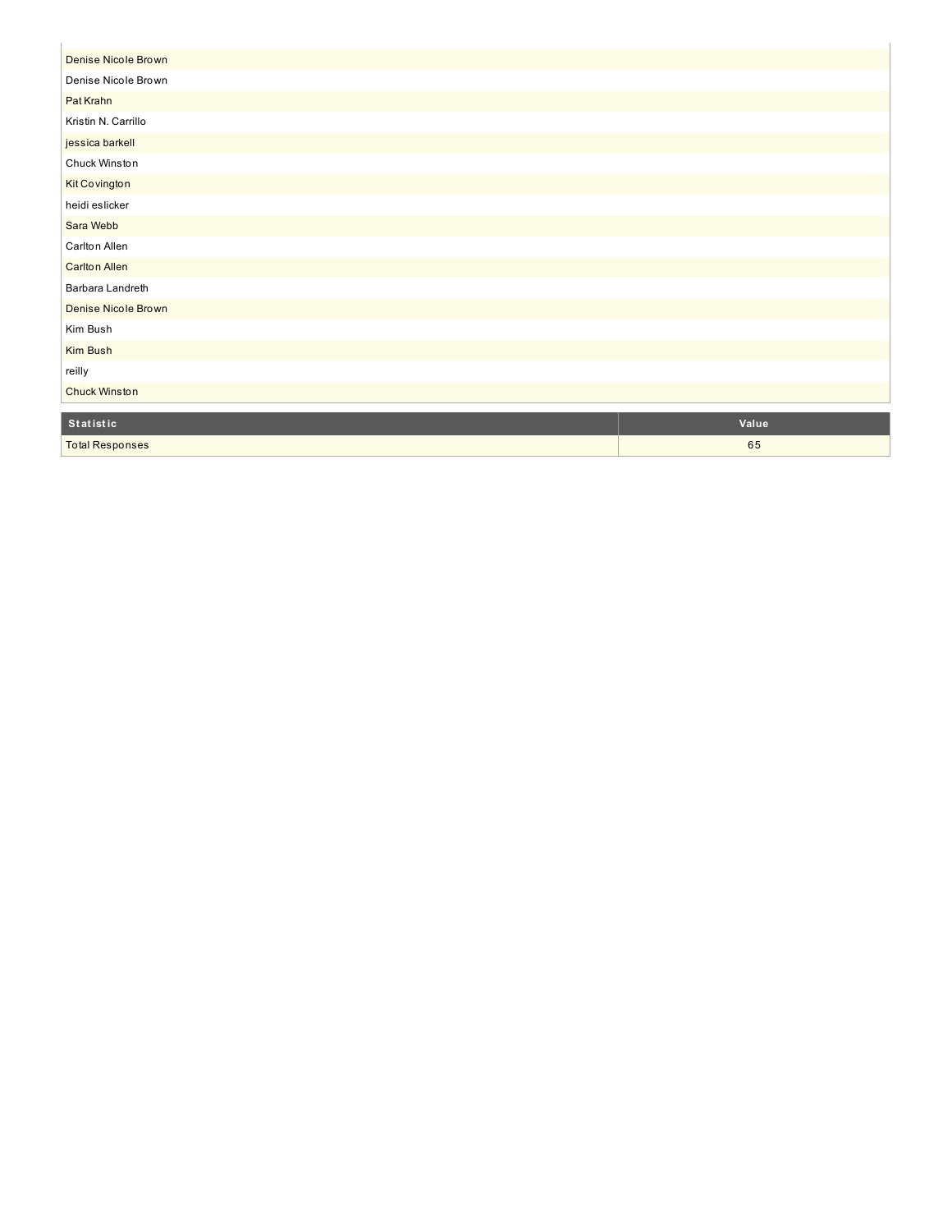| Denise Nicole Brown  |       |
|----------------------|-------|
| Denise Nicole Brown  |       |
| Pat Krahn            |       |
| Kristin N. Carrillo  |       |
| jessica barkell      |       |
| Chuck Winston        |       |
| Kit Covington        |       |
| heidi eslicker       |       |
| Sara Webb            |       |
| Carlton Allen        |       |
| <b>Carlton Allen</b> |       |
| Barbara Landreth     |       |
| Denise Nicole Brown  |       |
| Kim Bush             |       |
| Kim Bush             |       |
| reilly               |       |
| <b>Chuck Winston</b> |       |
|                      |       |
| <b>Statistic</b>     | Value |

6 5

Total Responses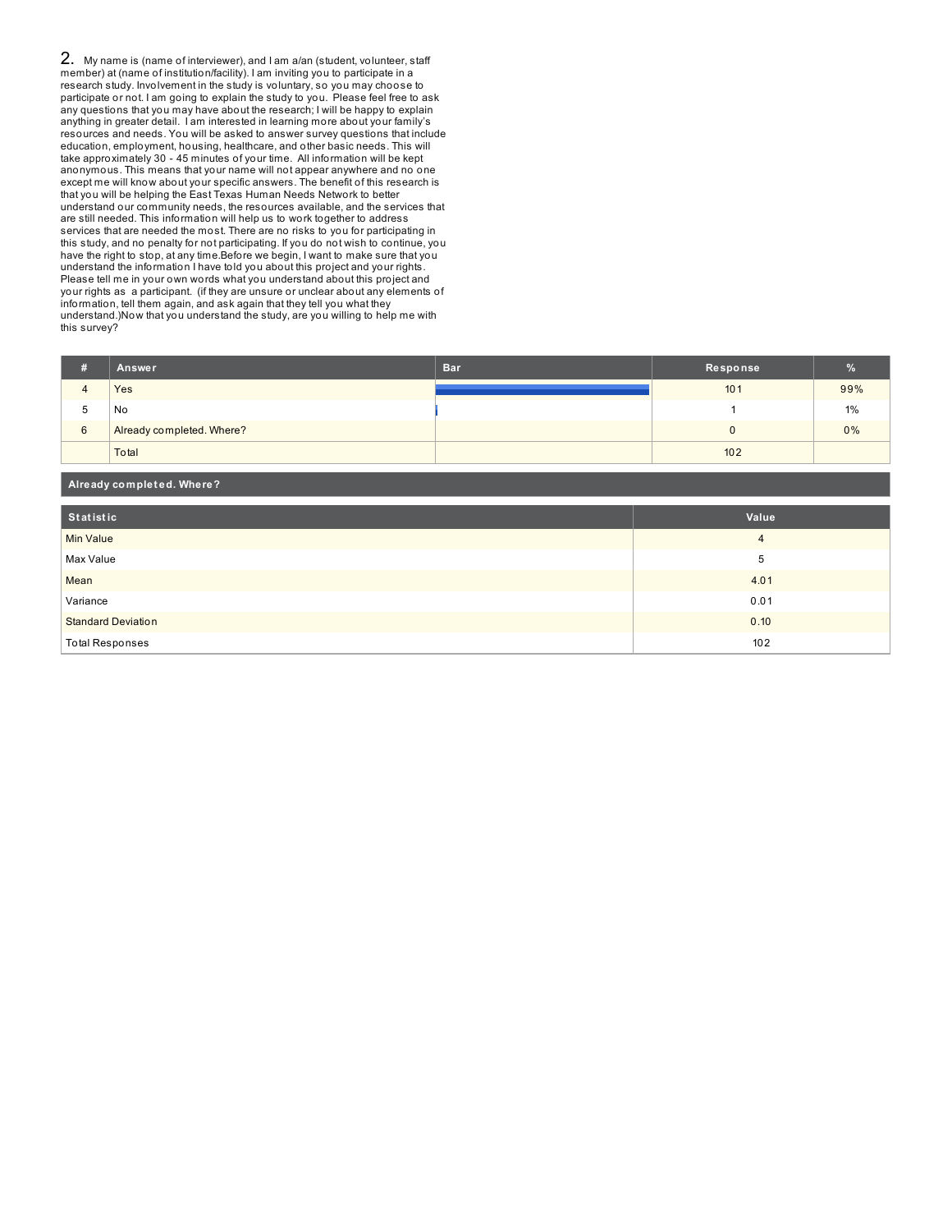2. My name is (name of interviewer), and I am a/an (student, volunteer, staff member) at (name of institution/facility). I am inviting you to participate in a research study. Involvement in the study is voluntary, so you may choose to participate or not. I am going to explain the study to you. Please feel free to ask any questions that you may have about the research; I will be happy to explain anything in greater detail. I am interested in learning more about your family's resources and needs. You will be asked to answer survey questions that include education, employment, housing, healthcare, and other basic needs. This will take approximately 30 - 45 minutes of your time. All information will be kept anonymous. This means that your name will not appear anywhere and no one except me will know about your specific answers. The benefit of this research is that you will be helping the East Texas Human Needs Network to better understand our community needs, the resources available, and the services that are still needed. This information will help us to work together to address services that are needed the most. There are no risks to you for participating in this study, and no penalty for not participating. If you do not wish to continue, you have the right to stop, at any time.Before we begin, I want to make sure that you understand the information I have told you about this project and your rights. Please tell me in your own words what you understand about this project and your rights as a participant. (if they are unsure or unclear about any elements of information, tell them again, and ask again that they tell you what they understand.)Now that you understand the study, are you willing to help me with this survey?

| Ħ | Answer                    | <b>Bar</b> | Response        | $\%$  |
|---|---------------------------|------------|-----------------|-------|
|   | Yes                       |            | 10 <sub>1</sub> | 99%   |
| b | No                        |            |                 | $1\%$ |
| 6 | Already completed. Where? |            |                 | $0\%$ |
|   | Total                     |            | 102             |       |

| Already completed. Where? |                |  |  |
|---------------------------|----------------|--|--|
| Statistic                 | Value          |  |  |
| Min Value                 | $\overline{4}$ |  |  |
| Max Value                 | 5              |  |  |
| Mean                      | 4.01           |  |  |
| Variance                  | 0.01           |  |  |
| <b>Standard Deviation</b> | 0.10           |  |  |
| <b>Total Responses</b>    | 102            |  |  |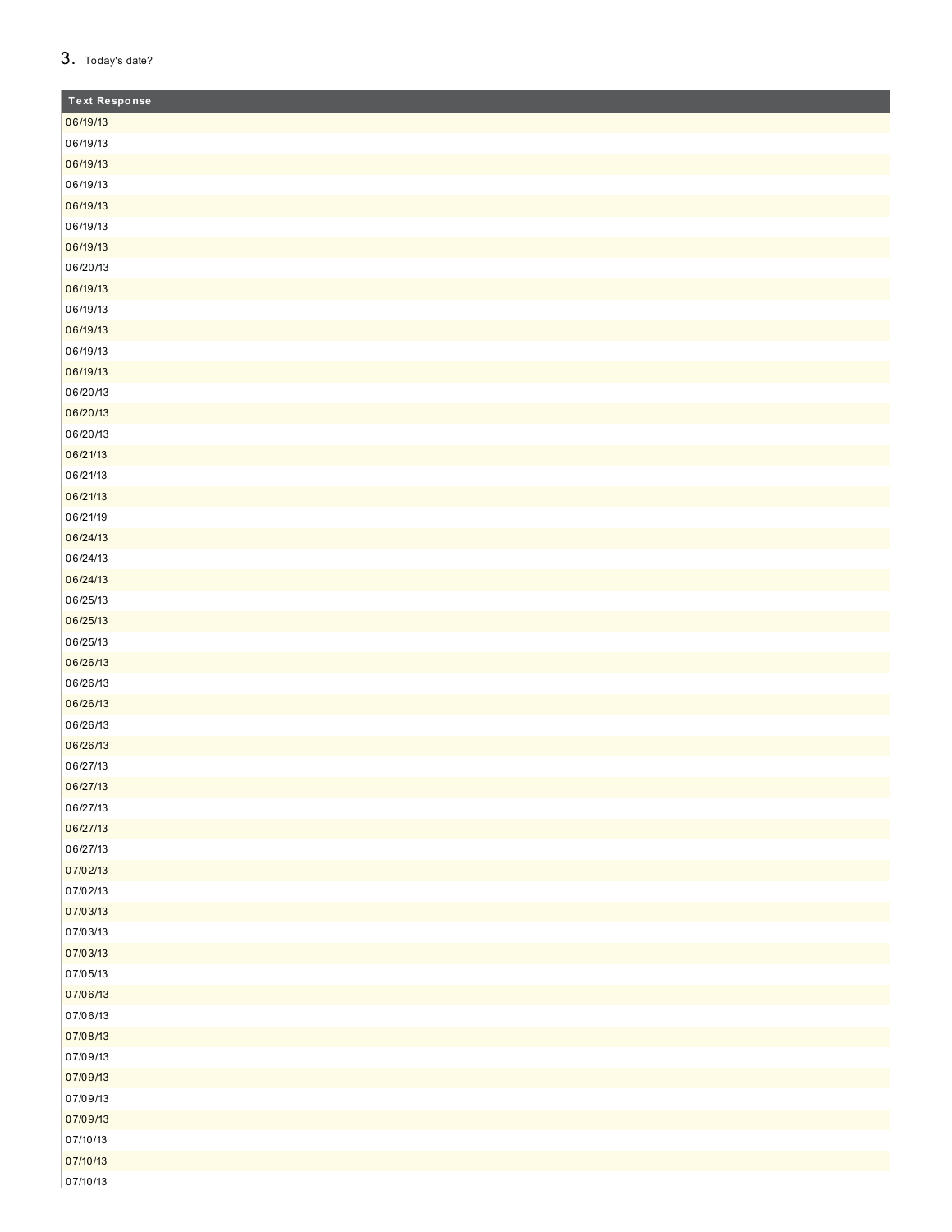## 3. Today's date?

| <b>Text Response</b> |
|----------------------|
| 06/19/13             |
| 06/19/13             |
| 06/19/13             |
| 06/19/13             |
| 06/19/13             |
| 06/19/13             |
| 06/19/13             |
| 06/20/13             |
| 06/19/13             |
| 06/19/13             |
| 06/19/13             |
| 06/19/13             |
| 06/19/13             |
| 06/20/13             |
| 06/20/13             |
| 06/20/13             |
| 06/21/13             |
| 06/21/13             |
| 06/21/13             |
| 06/21/19             |
| 06/24/13             |
| 06/24/13             |
| 06/24/13             |
| 06/25/13             |
| 06/25/13             |
| 06/25/13             |
| 06/26/13             |
| 06/26/13             |
| 06/26/13             |
| 06/26/13             |
| 06/26/13             |
| 06/27/13             |
| 06/27/13             |
| 06/27/13             |
| 06/27/13             |
| 06/27/13             |
| 07/02/13             |
| 07/02/13             |
| 07/03/13             |
| 07/03/13             |
| 07/03/13             |
| 07/05/13             |
| 07/06/13             |
| 07/06/13             |
| 07/08/13             |
| 07/09/13             |
| 07/09/13             |
| 07/09/13             |
| 07/09/13             |
| 07/10/13             |
| 07/10/13             |
| 07/10/13             |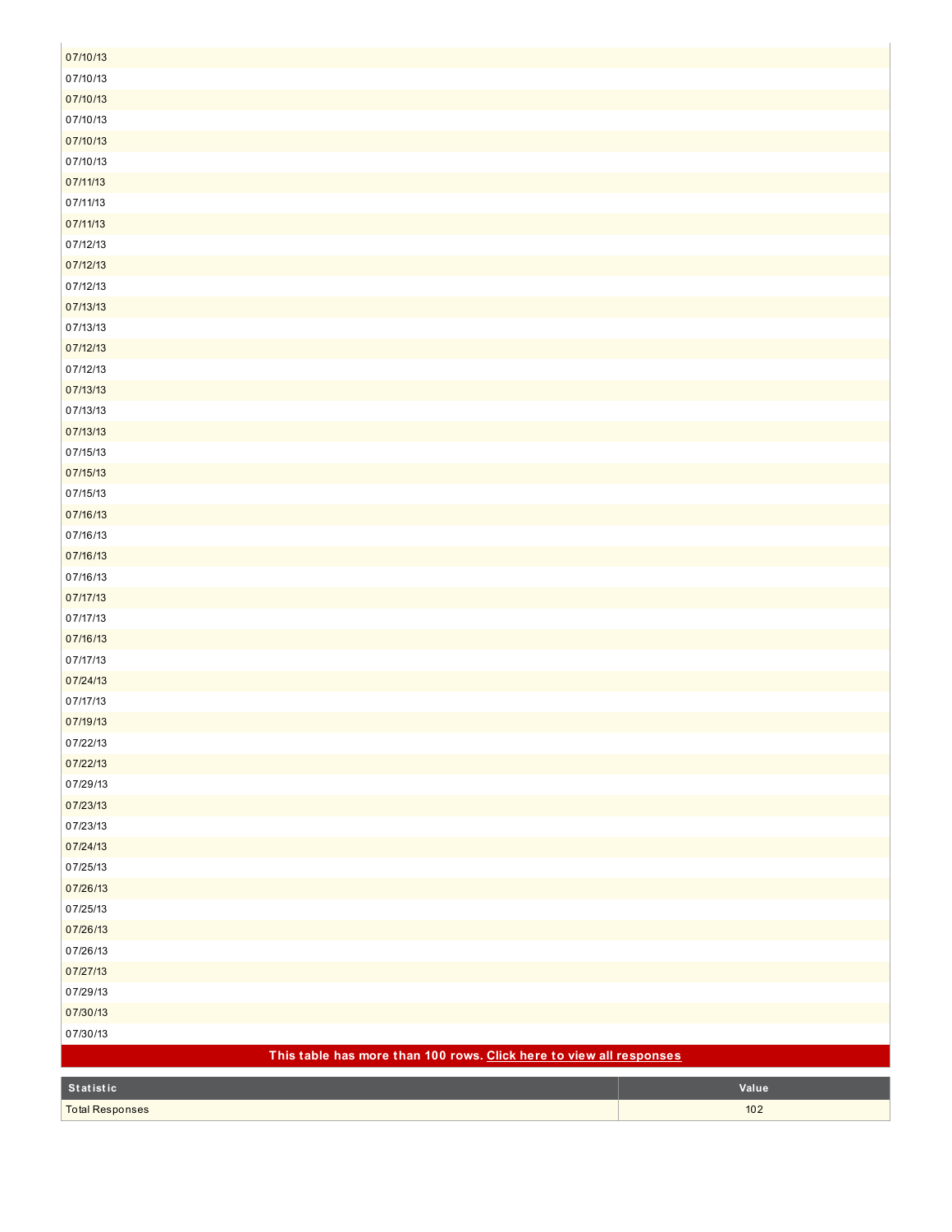| 07/10/13                                                            |       |
|---------------------------------------------------------------------|-------|
| 07/10/13                                                            |       |
| 07/10/13                                                            |       |
| 07/10/13                                                            |       |
| 07/10/13                                                            |       |
| 07/10/13                                                            |       |
| 07/11/13                                                            |       |
| 07/11/13                                                            |       |
| 07/11/13                                                            |       |
| 07/12/13                                                            |       |
| 07/12/13                                                            |       |
| 07/12/13                                                            |       |
| 07/13/13                                                            |       |
| 07/13/13                                                            |       |
| 07/12/13                                                            |       |
| 07/12/13                                                            |       |
| 07/13/13                                                            |       |
| 07/13/13                                                            |       |
| 07/13/13                                                            |       |
| 07/15/13                                                            |       |
| 07/15/13                                                            |       |
| 07/15/13                                                            |       |
| 07/16/13                                                            |       |
| 07/16/13                                                            |       |
| 07/16/13                                                            |       |
| 07/16/13                                                            |       |
| 07/17/13                                                            |       |
| 07/17/13                                                            |       |
| 07/16/13                                                            |       |
| 07/17/13                                                            |       |
| 07/24/13                                                            |       |
| 07/17/13                                                            |       |
| 07/19/13                                                            |       |
| 07/22/13                                                            |       |
| 07/22/13                                                            |       |
| 07/29/13                                                            |       |
| 07/23/13                                                            |       |
| 07/23/13                                                            |       |
| 07/24/13                                                            |       |
| 07/25/13                                                            |       |
| 07/26/13                                                            |       |
| 07/25/13                                                            |       |
| 07/26/13                                                            |       |
| 07/26/13                                                            |       |
| 07/27/13                                                            |       |
| 07/29/13                                                            |       |
| 07/30/13                                                            |       |
| 07/30/13                                                            |       |
| This table has more than 100 rows. Click here to view all responses |       |
| Statistic                                                           | Value |
| <b>Total Responses</b>                                              | $102$ |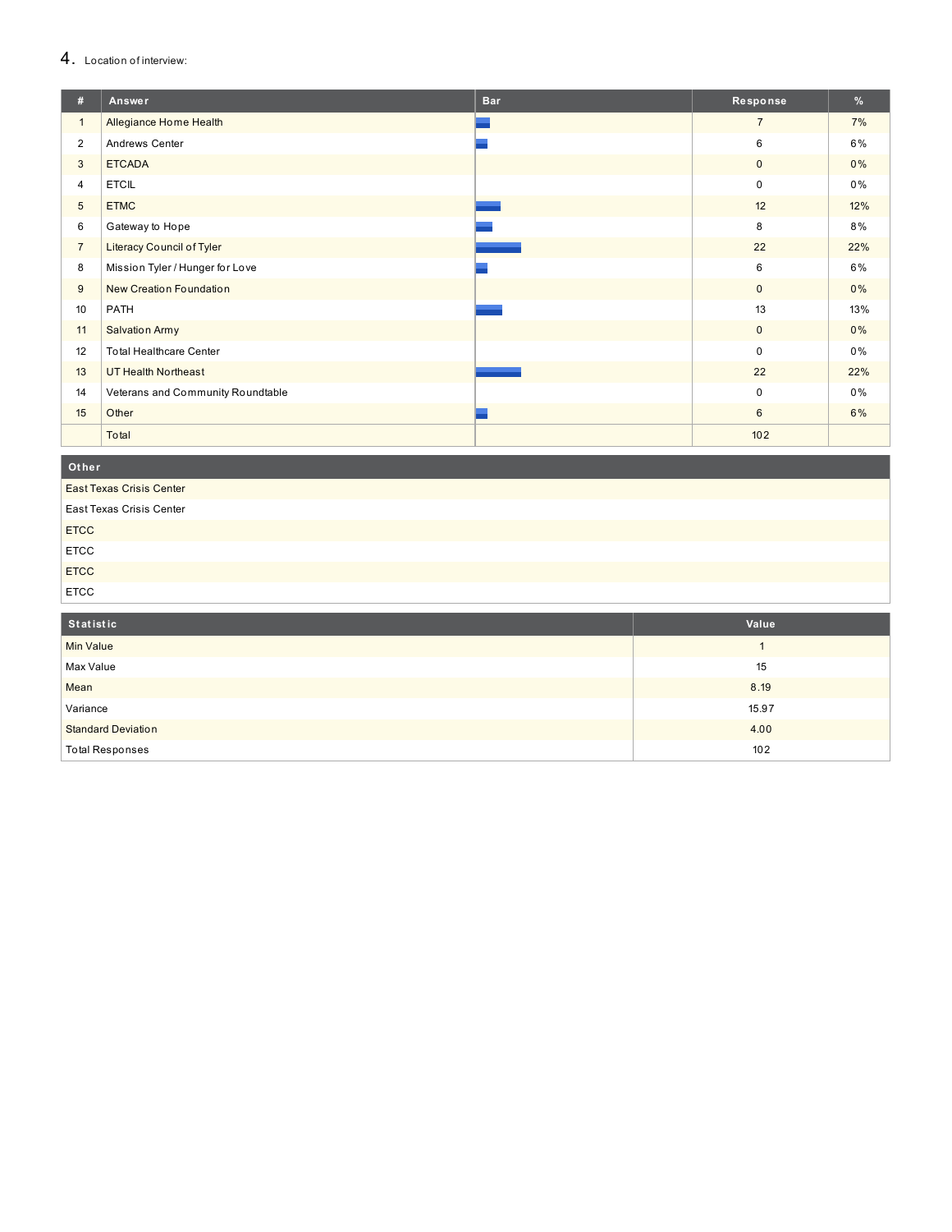## 4. Location of interview:

| #              | Answer                            | <b>Bar</b> | Response       | %     |
|----------------|-----------------------------------|------------|----------------|-------|
| $\mathbf{1}$   | Allegiance Home Health            |            | $\overline{7}$ | 7%    |
| $\overline{2}$ | Andrews Center                    |            | 6              | 6%    |
| 3              | <b>ETCADA</b>                     |            | $\mathbf 0$    | 0%    |
| 4              | <b>ETCIL</b>                      |            | $\mathbf 0$    | 0%    |
| 5              | <b>ETMC</b>                       |            | 12             | 12%   |
| 6              | Gateway to Hope                   |            | 8              | 8%    |
| $\overline{7}$ | <b>Literacy Council of Tyler</b>  |            | 22             | 22%   |
| 8              | Mission Tyler / Hunger for Love   |            | 6              | 6%    |
| 9              | <b>New Creation Foundation</b>    |            | $\mathbf{0}$   | $0\%$ |
| 10             | PATH                              |            | 13             | 13%   |
| 11             | <b>Salvation Army</b>             |            | $\mathbf{0}$   | 0%    |
| 12             | <b>Total Healthcare Center</b>    |            | $\Omega$       | $0\%$ |
| 13             | <b>UT Health Northeast</b>        |            | 22             | 22%   |
| 14             | Veterans and Community Roundtable |            | 0              | 0%    |
| 15             | Other                             |            | 6              | 6%    |
|                | Total                             |            | 102            |       |

Other

East Texas Crisis Center

| <b>East Texas Crisis Center</b> |  |
|---------------------------------|--|
| <b>ETCC</b>                     |  |
| <b>ETCC</b>                     |  |
| <b>ETCC</b>                     |  |
| <b>ETCC</b>                     |  |

| Statistic                 | Value |
|---------------------------|-------|
| Min Value                 |       |
| Max Value                 | 15    |
| Mean                      | 8.19  |
| Variance                  | 15.97 |
| <b>Standard Deviation</b> | 4.00  |
| <b>Total Responses</b>    | 102   |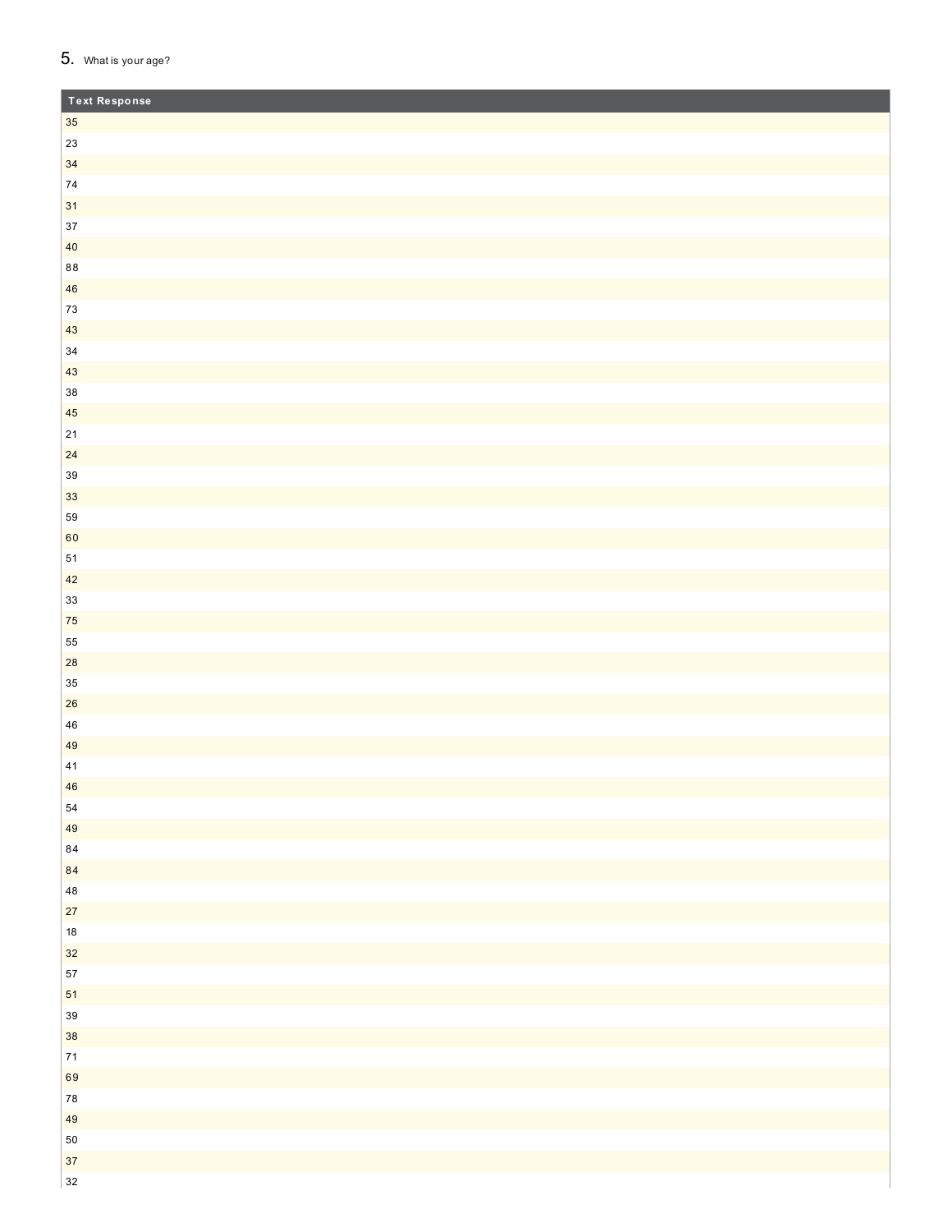## 5. What is your age?

| <b>Text Response</b> |  |
|----------------------|--|
| $35\,$               |  |
| $23\,$               |  |
| 34                   |  |
| ${\bf 74}$           |  |
| 31                   |  |
| $37\,$               |  |
| $40\,$               |  |
| $8\,8$               |  |
| 46                   |  |
| $73\,$               |  |
| 43                   |  |
| $34\,$               |  |
| $43\,$               |  |
| $38\,$               |  |
| 45                   |  |
| $21\,$               |  |
| 24                   |  |
| $39\,$               |  |
| 33                   |  |
| 59                   |  |
| 60                   |  |
| ${\bf 51}$           |  |
| 42                   |  |
| $33\,$               |  |
| ${\bf 75}$<br>55     |  |
| 28                   |  |
| $35\,$               |  |
| ${\bf 26}$           |  |
| ${\bf 46}$           |  |
| 49                   |  |
| 41                   |  |
| 46                   |  |
| ${\bf 54}$           |  |
| 49                   |  |
| $\bf 84$             |  |
| 84                   |  |
| ${\bf 48}$           |  |
| 27                   |  |
| $18\,$               |  |
| $32$                 |  |
| $57\,$               |  |
| 51                   |  |
| $39\,$               |  |
| 38                   |  |
| $\bf 71$             |  |
| 69                   |  |
| ${\bf 78}$           |  |
| 49                   |  |
| ${\bf 50}$           |  |
| 37                   |  |
| 32                   |  |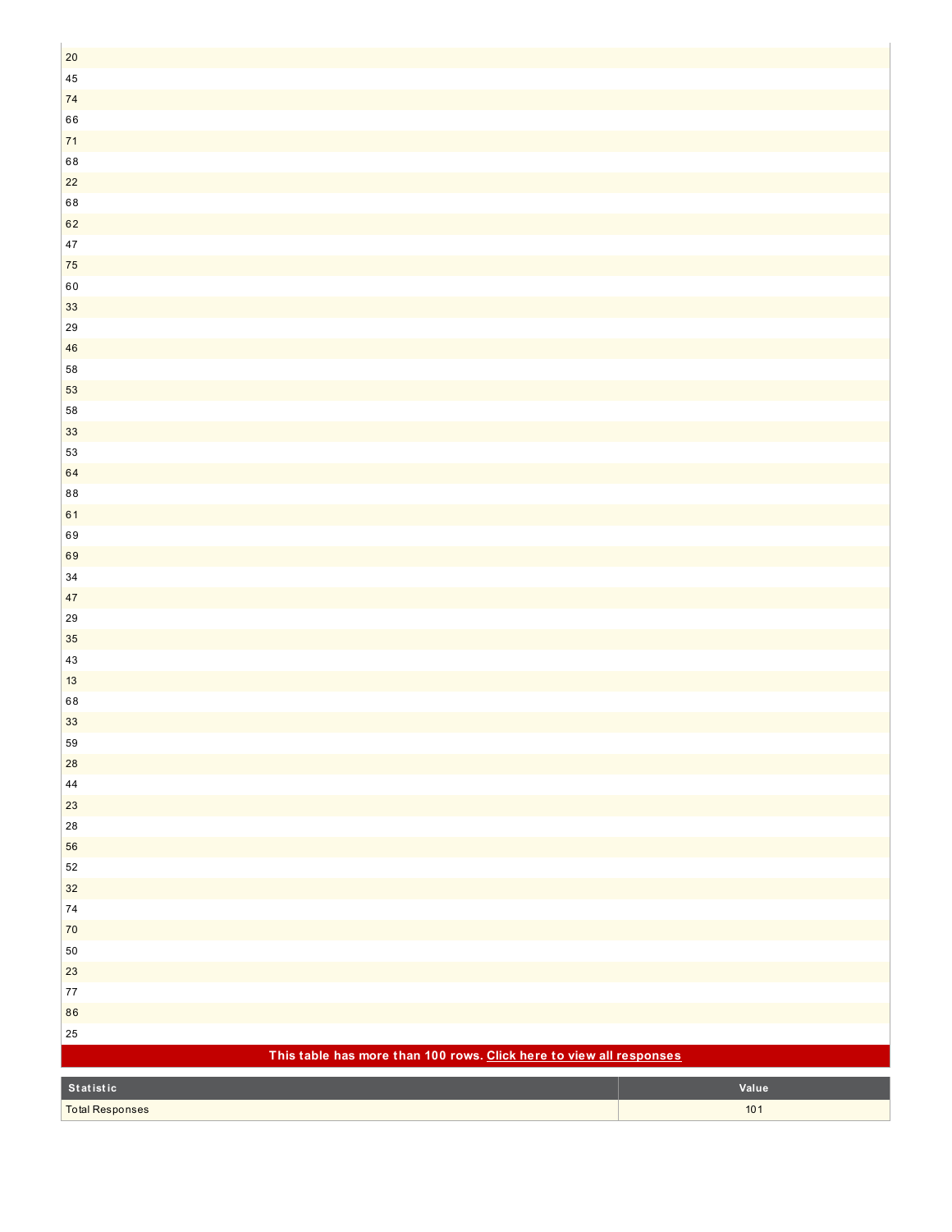| $20\,$                                                              |       |
|---------------------------------------------------------------------|-------|
| $\bf 45$                                                            |       |
| ${\bf 74}$                                                          |       |
| 66                                                                  |       |
| $71$                                                                |       |
| 68                                                                  |       |
| $22\,$                                                              |       |
| 68                                                                  |       |
| 62                                                                  |       |
| $47\,$                                                              |       |
| ${\bf 75}$                                                          |       |
| $60\,$                                                              |       |
| $33\,$                                                              |       |
| ${\bf 29}$                                                          |       |
| 46                                                                  |       |
| 58                                                                  |       |
| 53                                                                  |       |
| 58                                                                  |       |
| 33                                                                  |       |
| 53                                                                  |       |
| 64                                                                  |       |
| $\bf 88$                                                            |       |
| 61                                                                  |       |
| 69                                                                  |       |
| 69                                                                  |       |
| $34\,$                                                              |       |
| 47                                                                  |       |
| $29\,$                                                              |       |
| $35\,$                                                              |       |
| $43\,$                                                              |       |
| 13                                                                  |       |
| 68                                                                  |       |
| 33                                                                  |       |
| 59                                                                  |       |
| 28                                                                  |       |
| ${\bf 44}$                                                          |       |
| 23                                                                  |       |
| 28                                                                  |       |
| 56                                                                  |       |
| $52\,$                                                              |       |
| $32\,$                                                              |       |
| ${\bf 74}$                                                          |       |
| $70$                                                                |       |
| ${\bf 50}$                                                          |       |
| $23\,$                                                              |       |
| $77\,$                                                              |       |
| 86                                                                  |       |
| $25\,$                                                              |       |
| This table has more than 100 rows. Click here to view all responses |       |
| Statistic                                                           | Value |
| <b>Total Responses</b>                                              | $101$ |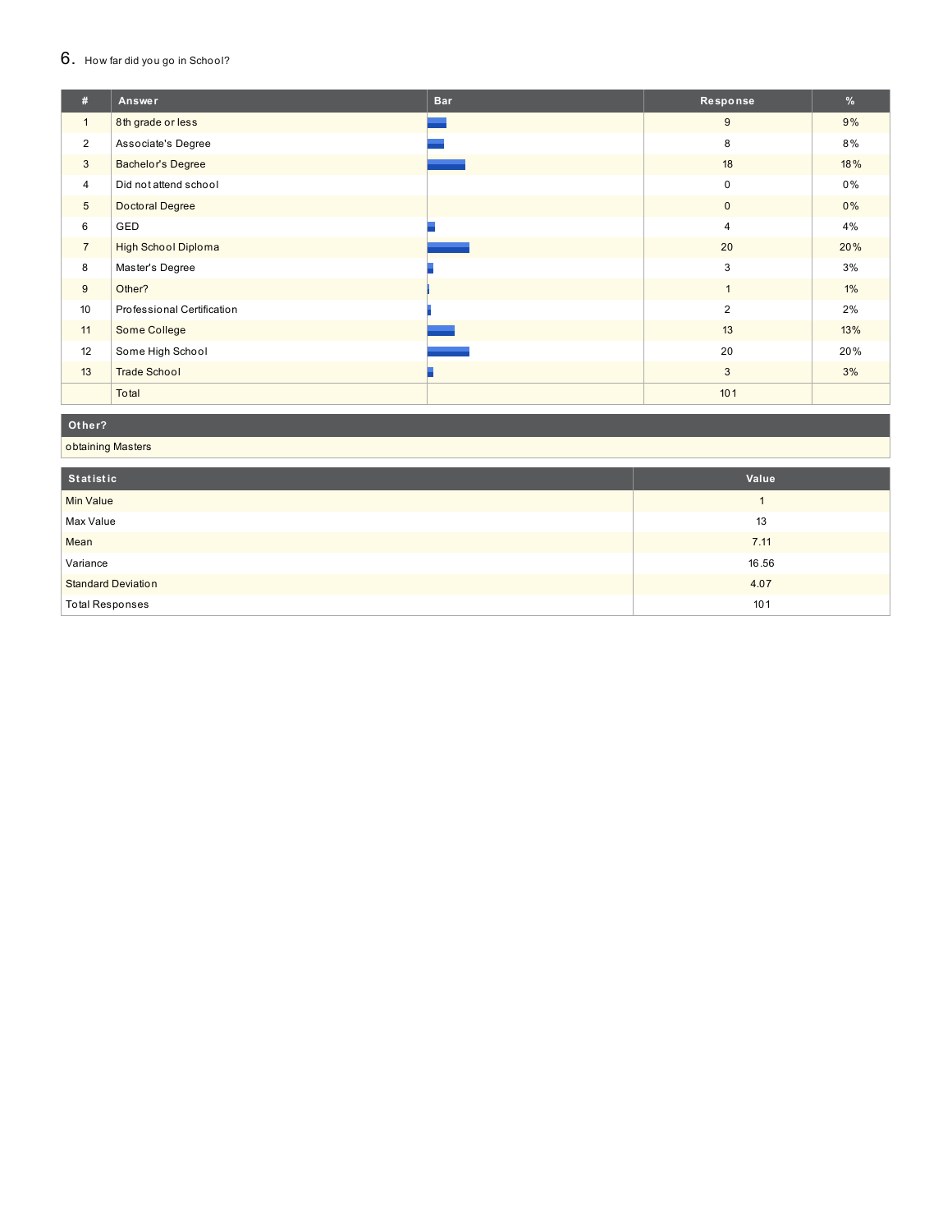## 6. How far did you go in School?

| #               | Answer                     | <b>Bar</b> | Response       | %     |
|-----------------|----------------------------|------------|----------------|-------|
| $\mathbf{1}$    | 8th grade or less          |            | $9\,$          | 9%    |
| $\overline{2}$  | Associate's Degree         |            | 8              | 8%    |
| 3               | <b>Bachelor's Degree</b>   |            | 18             | 18%   |
| $\overline{4}$  | Did not attend school      |            | $\mathbf 0$    | $0\%$ |
| $5\phantom{.0}$ | Doctoral Degree            |            | $\mathbf{0}$   | $0\%$ |
| 6               | GED                        |            | $\overline{4}$ | 4%    |
| $\overline{7}$  | <b>High School Diploma</b> |            | 20             | 20%   |
| 8               | Master's Degree            |            | 3              | 3%    |
| 9               | Other?                     |            | $\mathbf{1}$   | $1\%$ |
| 10              | Professional Certification |            | $\overline{2}$ | 2%    |
| 11              | Some College               |            | 13             | 13%   |
| 12              | Some High School           |            | 20             | 20%   |
| 13              | <b>Trade School</b>        |            | 3              | 3%    |
|                 | Total                      |            | 101            |       |

#### Other?

obtaining Masters

| Statistic                 | Value |
|---------------------------|-------|
| <b>Min Value</b>          |       |
| Max Value                 | 13    |
| Mean                      | 7.11  |
| Variance                  | 16.56 |
| <b>Standard Deviation</b> | 4.07  |
| <b>Total Responses</b>    | 101   |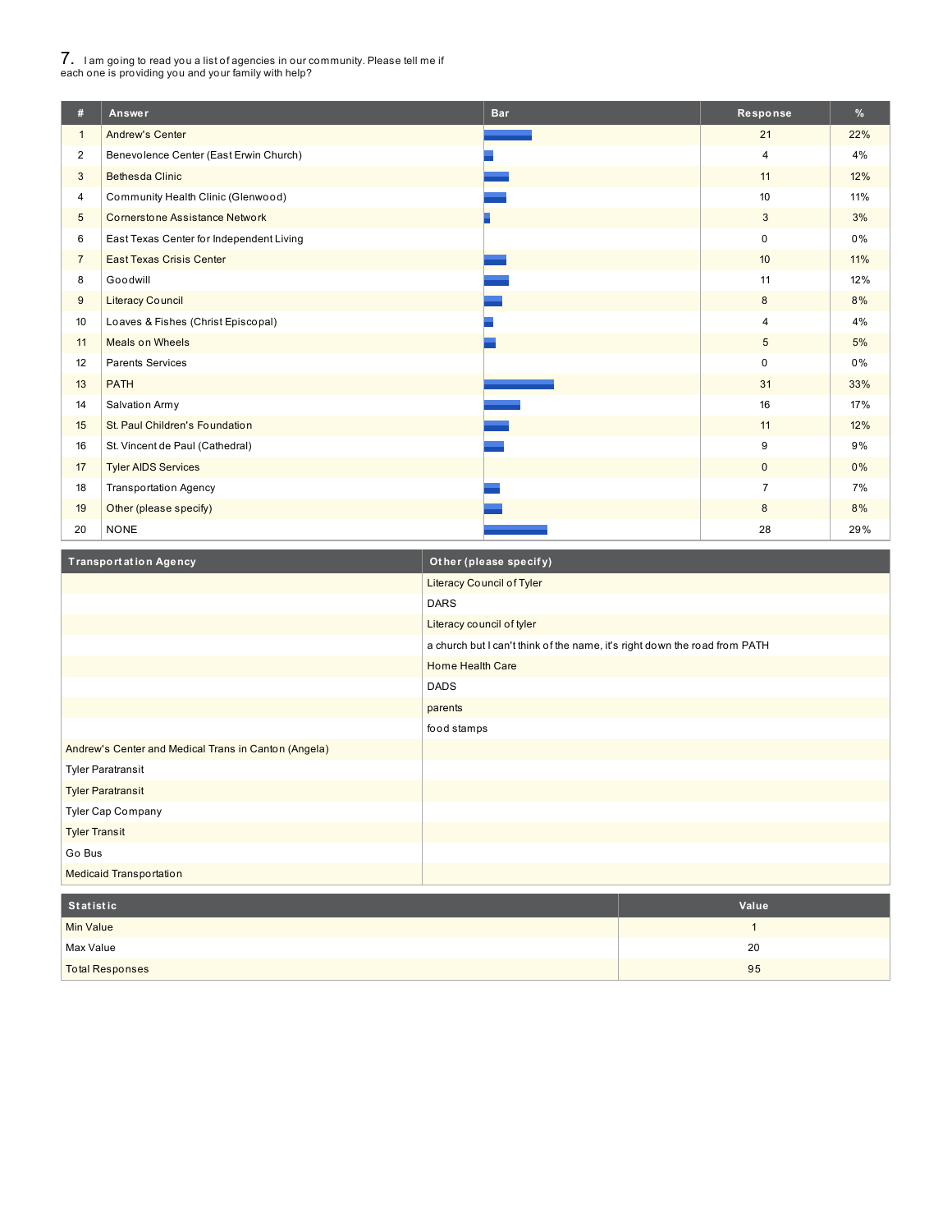# 7. <sup>I</sup> am going to read you <sup>a</sup> list of agencies in our community. Please tell me if each one is providing you and your family with help?

I

| #               | Answer                                   | <b>Bar</b> | Response       | $\frac{9}{6}$ |
|-----------------|------------------------------------------|------------|----------------|---------------|
| $\mathbf{1}$    | <b>Andrew's Center</b>                   |            | 21             | 22%           |
| $\overline{2}$  | Benevolence Center (East Erwin Church)   |            | $\overline{4}$ | 4%            |
| 3               | <b>Bethesda Clinic</b>                   |            | 11             | 12%           |
| 4               | Community Health Clinic (Glenwood)       |            | 10             | 11%           |
| $5\phantom{.0}$ | <b>Cornerstone Assistance Network</b>    |            | 3              | 3%            |
| 6               | East Texas Center for Independent Living |            | $\Omega$       | $0\%$         |
| $\overline{7}$  | <b>East Texas Crisis Center</b>          |            | 10             | 11%           |
| 8               | Goodwill                                 |            | 11             | 12%           |
| 9               | <b>Literacy Council</b>                  |            | 8              | 8%            |
| 10              | Loaves & Fishes (Christ Episcopal)       |            | $\overline{4}$ | 4%            |
| 11              | <b>Meals on Wheels</b>                   |            | $\sqrt{5}$     | 5%            |
| 12              | <b>Parents Services</b>                  |            | $\mathbf 0$    | $0\%$         |
| 13              | <b>PATH</b>                              |            | 31             | 33%           |
| 14              | Salvation Army                           |            | 16             | 17%           |
| 15              | St. Paul Children's Foundation           |            | 11             | 12%           |
| 16              | St. Vincent de Paul (Cathedral)          |            | 9              | 9%            |
| 17              | <b>Tyler AIDS Services</b>               |            | $\mathbf 0$    | 0%            |
| 18              | <b>Transportation Agency</b>             |            | $\overline{7}$ | 7%            |
| 19              | Other (please specify)                   |            | 8              | 8%            |
| 20              | <b>NONE</b>                              |            | 28             | 29%           |

| <b>Transportation Agency</b>                         | Other (please specify)                                                     |
|------------------------------------------------------|----------------------------------------------------------------------------|
|                                                      | Literacy Council of Tyler                                                  |
|                                                      | <b>DARS</b>                                                                |
|                                                      | Literacy council of tyler                                                  |
|                                                      | a church but I can't think of the name, it's right down the road from PATH |
|                                                      | <b>Home Health Care</b>                                                    |
|                                                      | <b>DADS</b>                                                                |
|                                                      | parents                                                                    |
|                                                      | food stamps                                                                |
| Andrew's Center and Medical Trans in Canton (Angela) |                                                                            |
| <b>Tyler Paratransit</b>                             |                                                                            |
| <b>Tyler Paratransit</b>                             |                                                                            |
| <b>Tyler Cap Company</b>                             |                                                                            |
| <b>Tyler Transit</b>                                 |                                                                            |
| Go Bus                                               |                                                                            |
| <b>Medicaid Transportation</b>                       |                                                                            |

| Statistic              | Value |
|------------------------|-------|
| <b>Min Value</b>       |       |
| Max Value              | 20    |
| <b>Total Responses</b> | 95    |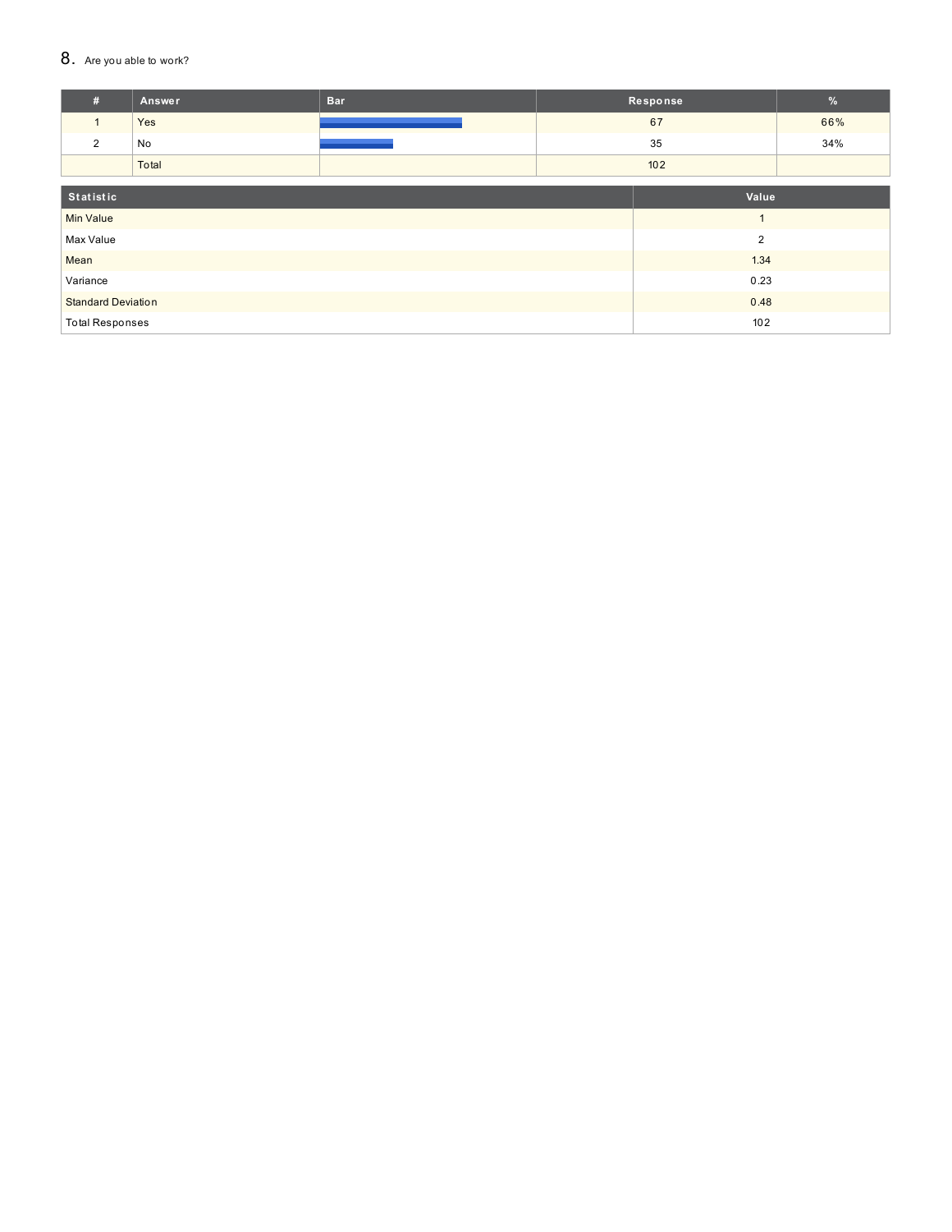#### 8. Are you able to work?

| #                             | Answer | <b>Bar</b> |  | Response | $\%$ |
|-------------------------------|--------|------------|--|----------|------|
| $\mathbf{1}$                  | Yes    |            |  | 67       | 66%  |
| 2                             | No     |            |  | 35       | 34%  |
|                               | Total  |            |  | 102      |      |
|                               |        |            |  |          |      |
| Statistic                     |        |            |  | Value    |      |
| <b>Min Value</b>              |        |            |  | и        |      |
| $\overline{2}$<br>Max Value   |        |            |  |          |      |
| Mean                          | 1.34   |            |  |          |      |
| Variance                      | 0.23   |            |  |          |      |
| <b>Standard Deviation</b>     |        | 0.48       |  |          |      |
| <b>Total Responses</b><br>102 |        |            |  |          |      |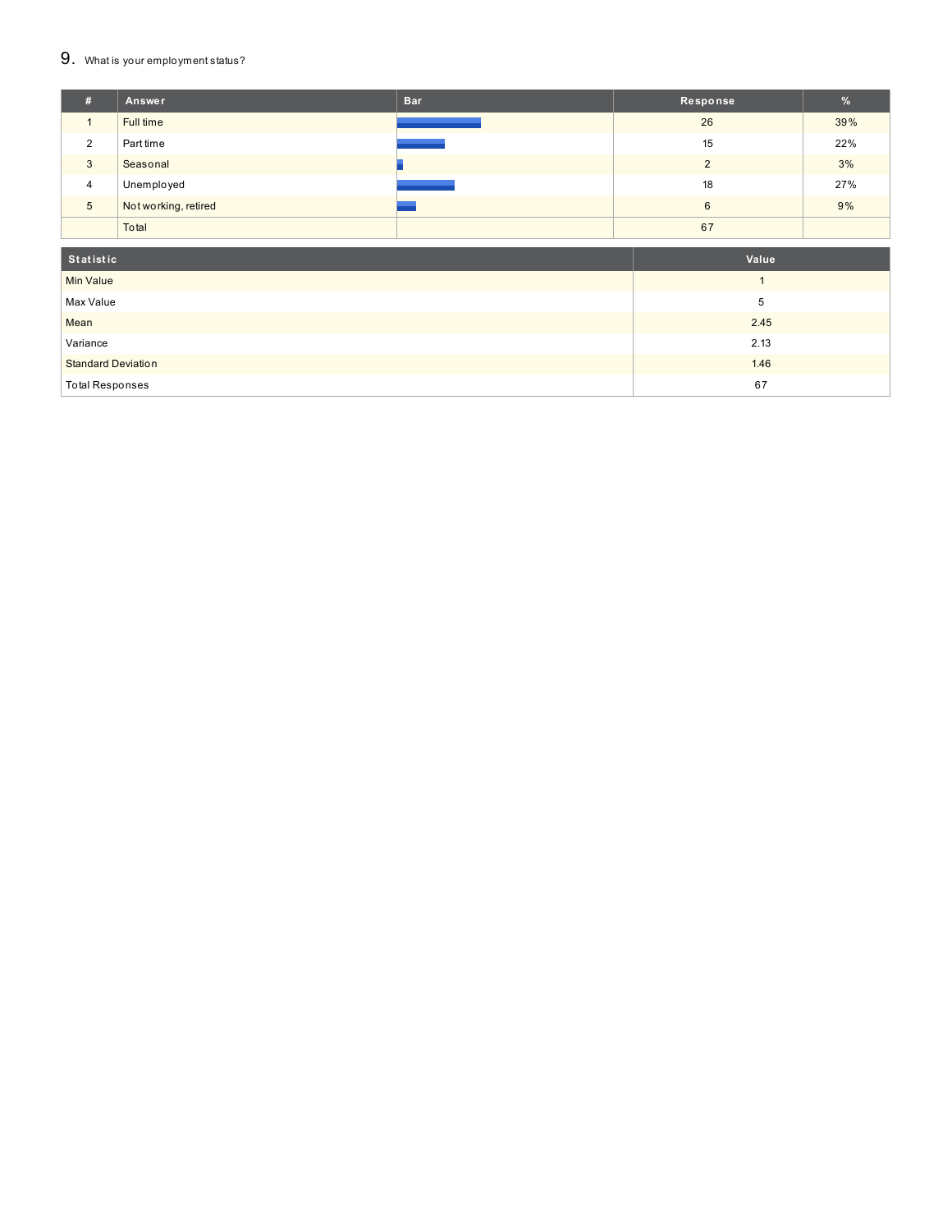## 9. What is your employment status?

| Ħ. | Answer               | <b>Bar</b> | Response | %   |
|----|----------------------|------------|----------|-----|
|    | Full time            |            | 26       | 39% |
| 2  | Part time            |            | 15       | 22% |
| 3  | Seasonal             |            | $\Omega$ | 3%  |
| 4  | Unemployed           |            | 18       | 27% |
| 5  | Not working, retired |            | 6        | 9%  |
|    | Total                |            | 67       |     |
|    |                      |            |          |     |

| Statistic                 | Value |
|---------------------------|-------|
| <b>Min Value</b>          |       |
| Max Value                 |       |
| Mean                      | 2.45  |
| Variance                  | 2.13  |
| <b>Standard Deviation</b> | 1.46  |
| <b>Total Responses</b>    | 67    |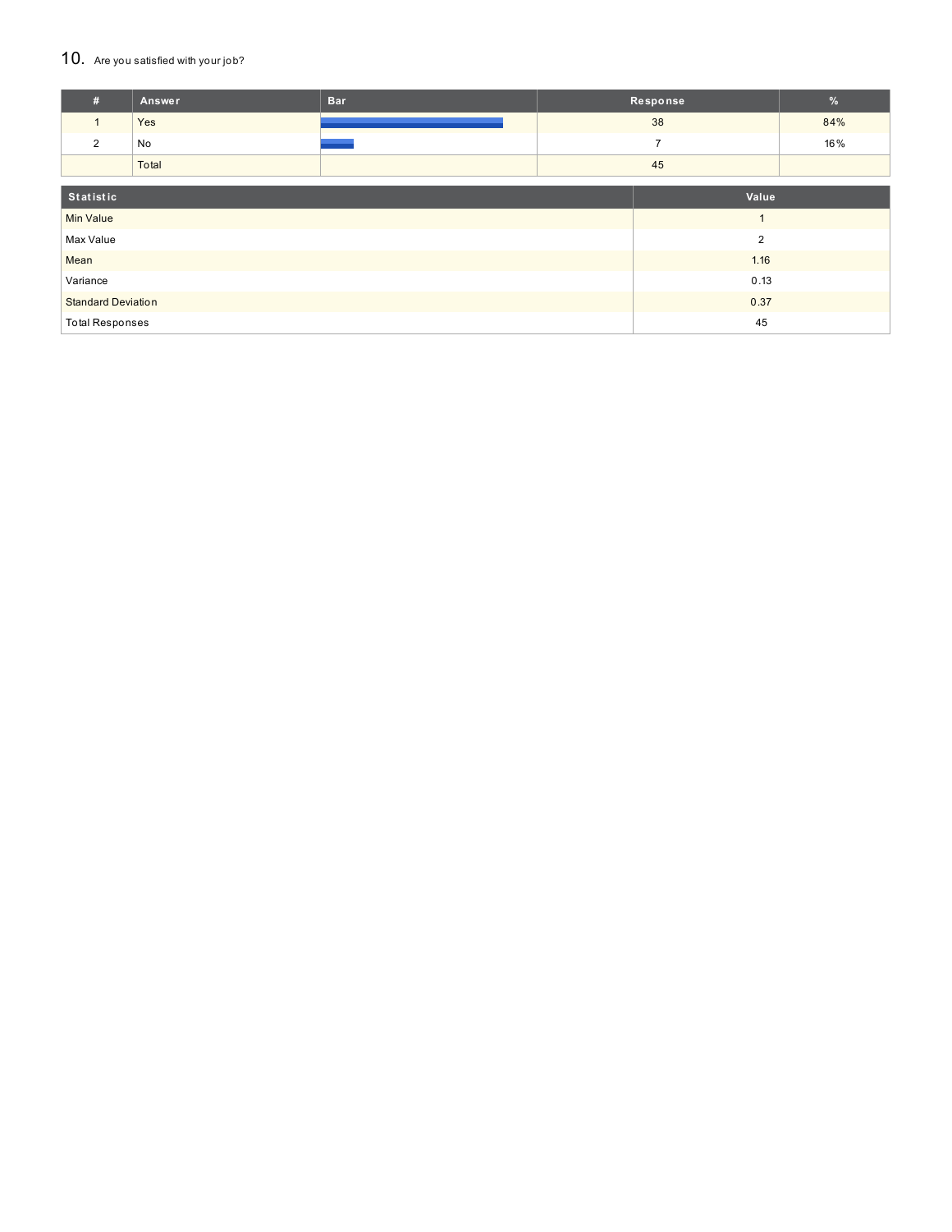#### 10. Are you satisfied with your job?

| #                         | Answer | <b>Bar</b>     |    | Response       | %   |
|---------------------------|--------|----------------|----|----------------|-----|
| $\mathbf{1}$              | Yes    |                |    | 38             | 84% |
| $\overline{2}$            | No     |                |    | $\overline{7}$ | 16% |
|                           | Total  |                | 45 |                |     |
|                           |        |                |    |                |     |
| Statistic                 |        |                |    | Value          |     |
| <b>Min Value</b>          |        |                |    |                |     |
| Max Value                 |        | $\overline{2}$ |    |                |     |
| Mean                      |        | 1.16           |    |                |     |
| Variance                  |        | 0.13           |    |                |     |
| <b>Standard Deviation</b> |        | 0.37           |    |                |     |
| <b>Total Responses</b>    |        |                | 45 |                |     |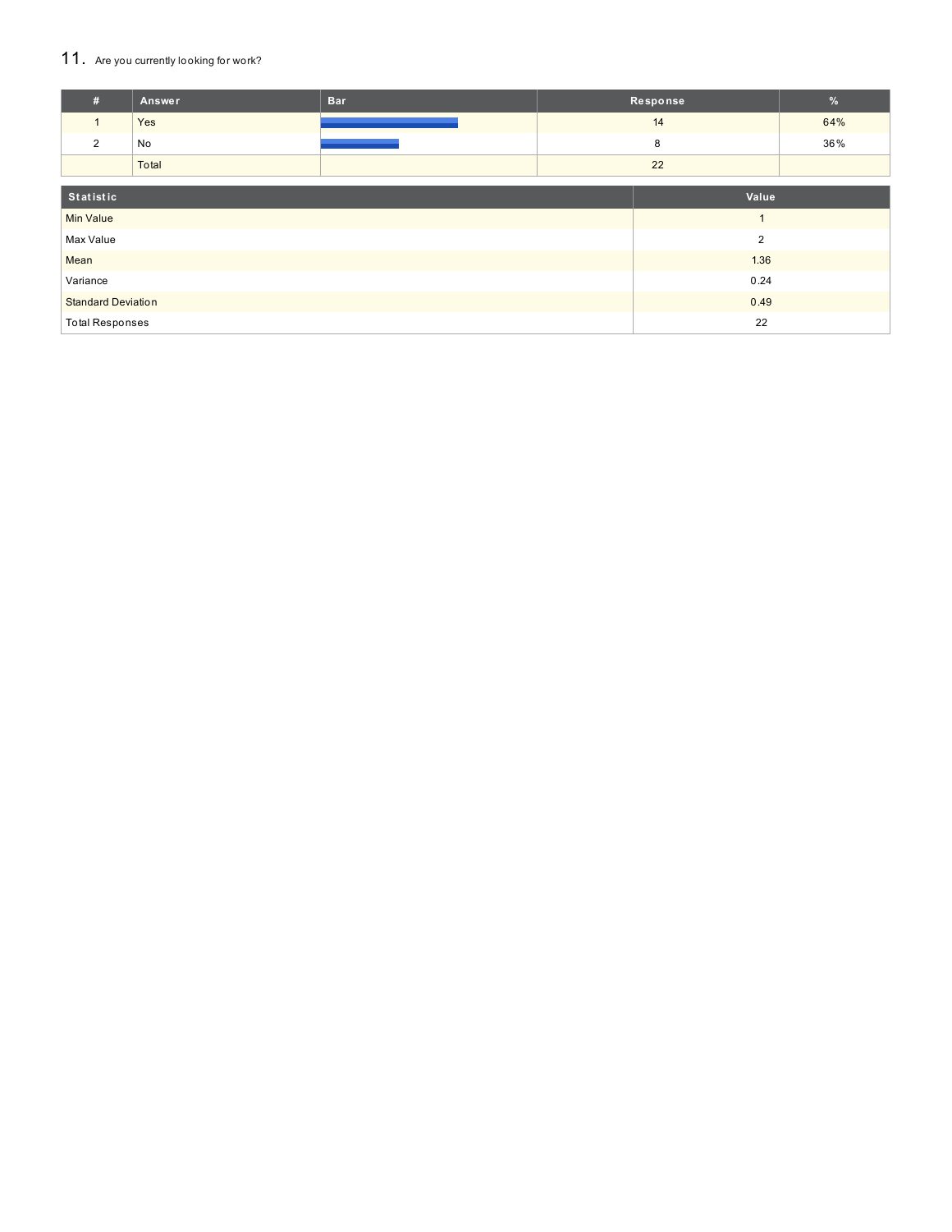## 11. Are you currently looking for work?

| #                            | Answer | <b>Bar</b>     |    | Response       | $\%$ |
|------------------------------|--------|----------------|----|----------------|------|
| $\mathbf{1}$                 | Yes    |                |    | 14             | 64%  |
| 2                            | No     |                |    | 8              | 36%  |
|                              | Total  |                | 22 |                |      |
| Statistic                    |        |                |    | Value          |      |
| <b>Min Value</b>             |        |                |    | $\overline{A}$ |      |
| Max Value                    |        | $\overline{2}$ |    |                |      |
| Mean                         |        | 1.36           |    |                |      |
| Variance                     | 0.24   |                |    |                |      |
| <b>Standard Deviation</b>    |        | 0.49           |    |                |      |
| <b>Total Responses</b><br>22 |        |                |    |                |      |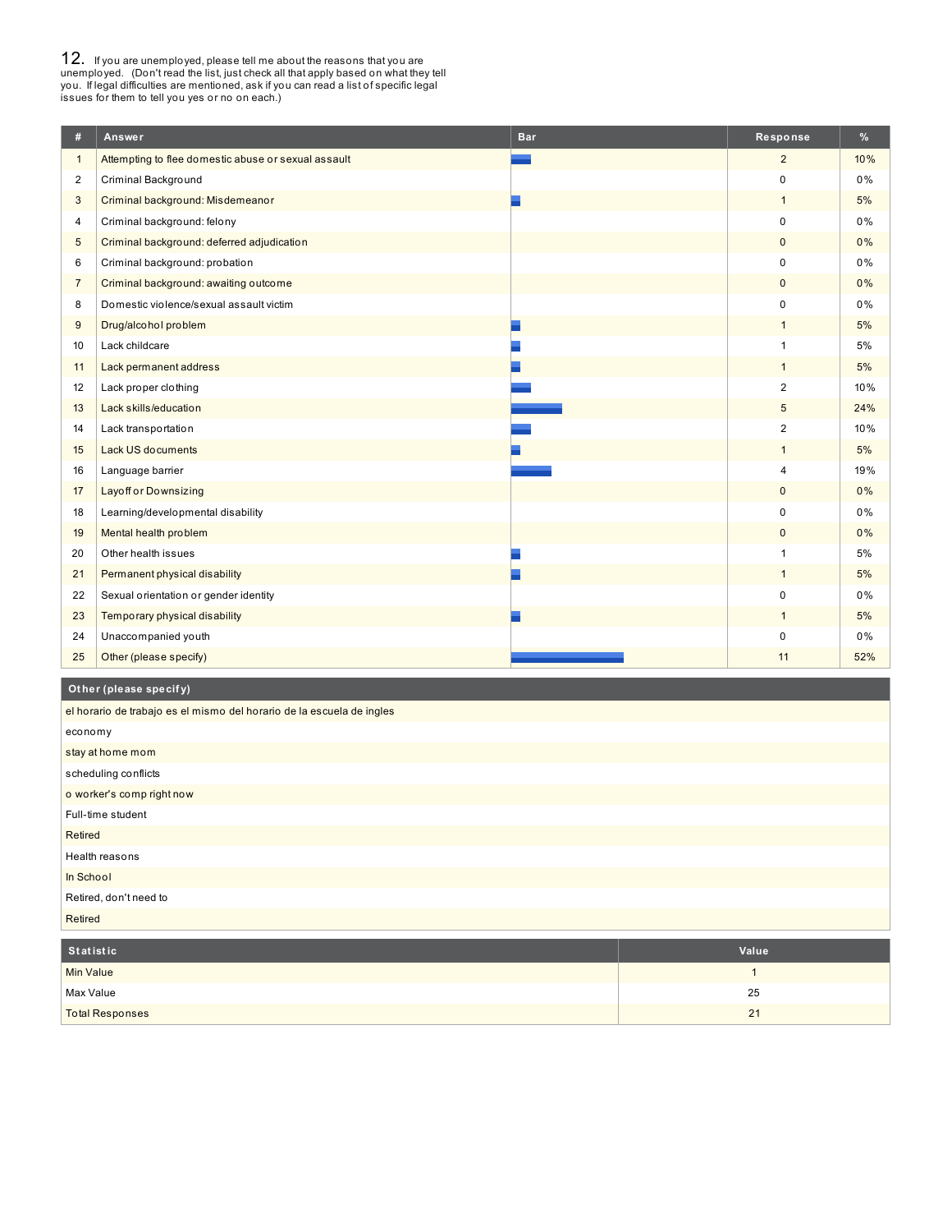**12.** If you are unemployed, please tell me about the reasons that you are unemployed. (Don't read the list, just check all that apply based on what they tell you. If legal difficulties are mentioned, ask if you can read a

| #              | Answer                                              | <b>Bar</b> | Response       | %     |
|----------------|-----------------------------------------------------|------------|----------------|-------|
| $\mathbf{1}$   | Attempting to flee domestic abuse or sexual assault |            | $\overline{2}$ | 10%   |
| $\overline{2}$ | Criminal Background                                 |            | $\Omega$       | 0%    |
| 3              | Criminal background: Misdemeanor                    |            | $\mathbf{1}$   | 5%    |
| 4              | Criminal background: felony                         |            | $\mathbf 0$    | 0%    |
| 5              | Criminal background: deferred adjudication          |            | $\mathbf 0$    | 0%    |
| 6              | Criminal background: probation                      |            | $\mathbf 0$    | 0%    |
| $\overline{7}$ | Criminal background: awaiting outcome               |            | $\mathbf{0}$   | 0%    |
| 8              | Domestic violence/sexual assault victim             |            | $\mathbf 0$    | $0\%$ |
| 9              | Drug/alcohol problem                                |            | $\mathbf{1}$   | 5%    |
| 10             | Lack childcare                                      |            | $\mathbf{1}$   | 5%    |
| 11             | Lack permanent address                              |            | $\mathbf{1}$   | 5%    |
| 12             | Lack proper clothing                                |            | $\overline{2}$ | 10%   |
| 13             | Lack skills/education                               |            | 5              | 24%   |
| 14             | Lack transportation                                 |            | $\overline{c}$ | 10%   |
| 15             | Lack US documents                                   |            | $\mathbf{1}$   | 5%    |
| 16             | Language barrier                                    |            | 4              | 19%   |
| 17             | <b>Layoff or Downsizing</b>                         |            | $\mathbf{0}$   | 0%    |
| 18             | Learning/developmental disability                   |            | $\mathbf 0$    | 0%    |
| 19             | Mental health problem                               |            | $\mathbf{0}$   | 0%    |
| 20             | Other health issues                                 |            | $\mathbf{1}$   | 5%    |
| 21             | Permanent physical disability                       |            | $\mathbf{1}$   | 5%    |
| 22             | Sexual orientation or gender identity               |            | $\mathbf 0$    | 0%    |
| 23             | Temporary physical disability                       |            | $\mathbf{1}$   | 5%    |
| 24             | Unaccompanied youth                                 |            | $\Omega$       | 0%    |
| 25             | Other (please specify)                              |            | 11             | 52%   |

## **Ot her (please specif y)**

| el horario de trabajo es el mismo del horario de la escuela de ingles |            |
|-----------------------------------------------------------------------|------------|
| economy                                                               |            |
| stay at home mom                                                      |            |
| scheduling conflicts                                                  |            |
| o worker's comp right now                                             |            |
| Full-time student                                                     |            |
| Retired                                                               |            |
| Health reasons                                                        |            |
| In School                                                             |            |
| Retired, don't need to                                                |            |
| Retired                                                               |            |
| CALLED AT A PARTIE                                                    | $M = 1.12$ |

| Statistic              | Value |
|------------------------|-------|
| Min Value              |       |
| Max Value              | 25    |
| <b>Total Responses</b> | 21    |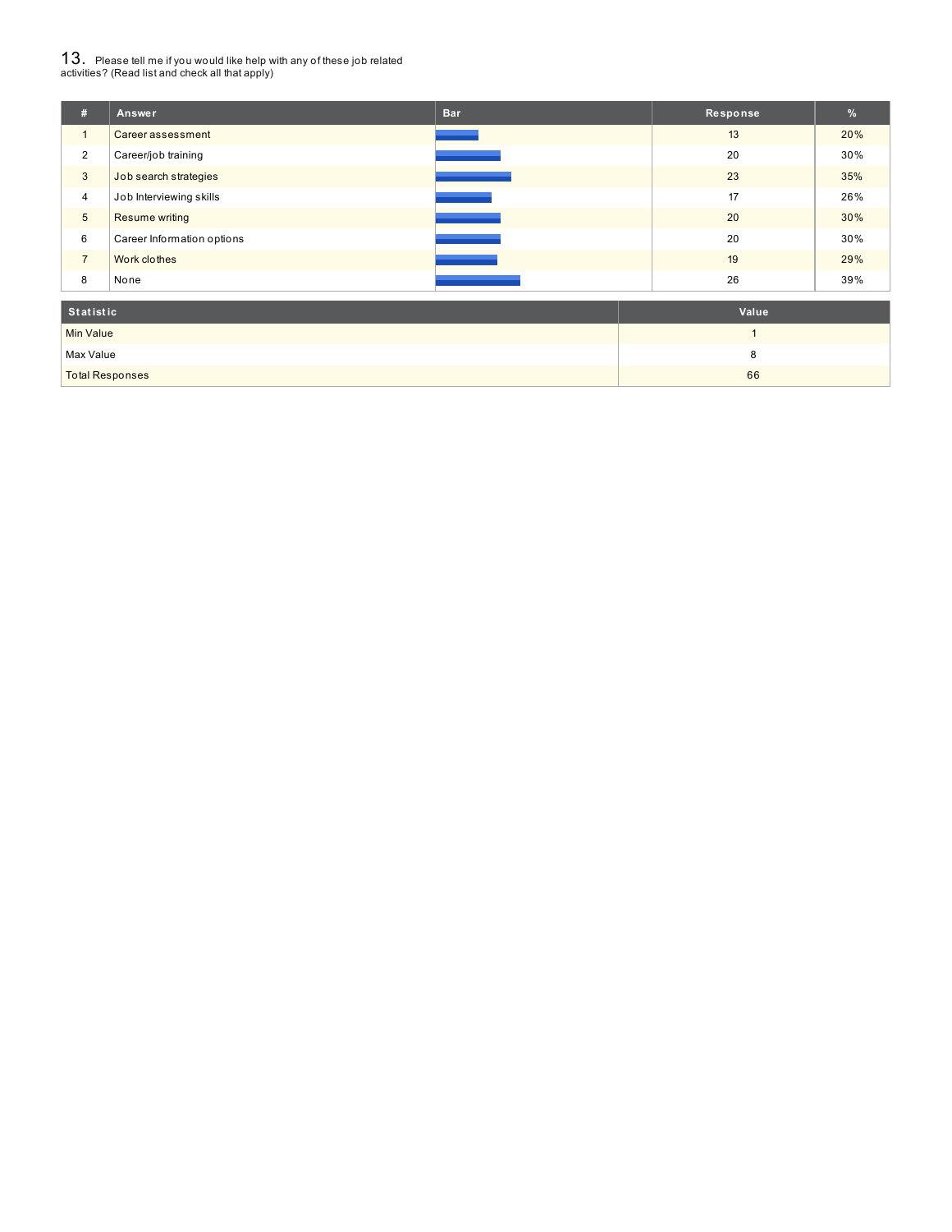# $13_\cdot$  Please tell me if you would like help with any of these job related<br>activities? (Read list and check all that apply)

| #              | Answer                     | <b>Bar</b> | Response | %   |
|----------------|----------------------------|------------|----------|-----|
|                | Career assessment          |            | 13       | 20% |
| 2              | Career/job training        |            | 20       | 30% |
| 3              | Job search strategies      |            | 23       | 35% |
| 4              | Job Interviewing skills    |            | 17       | 26% |
| $\sqrt{5}$     | <b>Resume writing</b>      |            | 20       | 30% |
| 6              | Career Information options |            | 20       | 30% |
| $\overline{7}$ | Work clothes               |            | 19       | 29% |
| 8              | None                       |            | 26       | 39% |
|                | Value<br><b>Statistic</b>  |            |          |     |

| statistic              | value |
|------------------------|-------|
| Min Value              |       |
| Max Value              |       |
| <b>Total Responses</b> | 66    |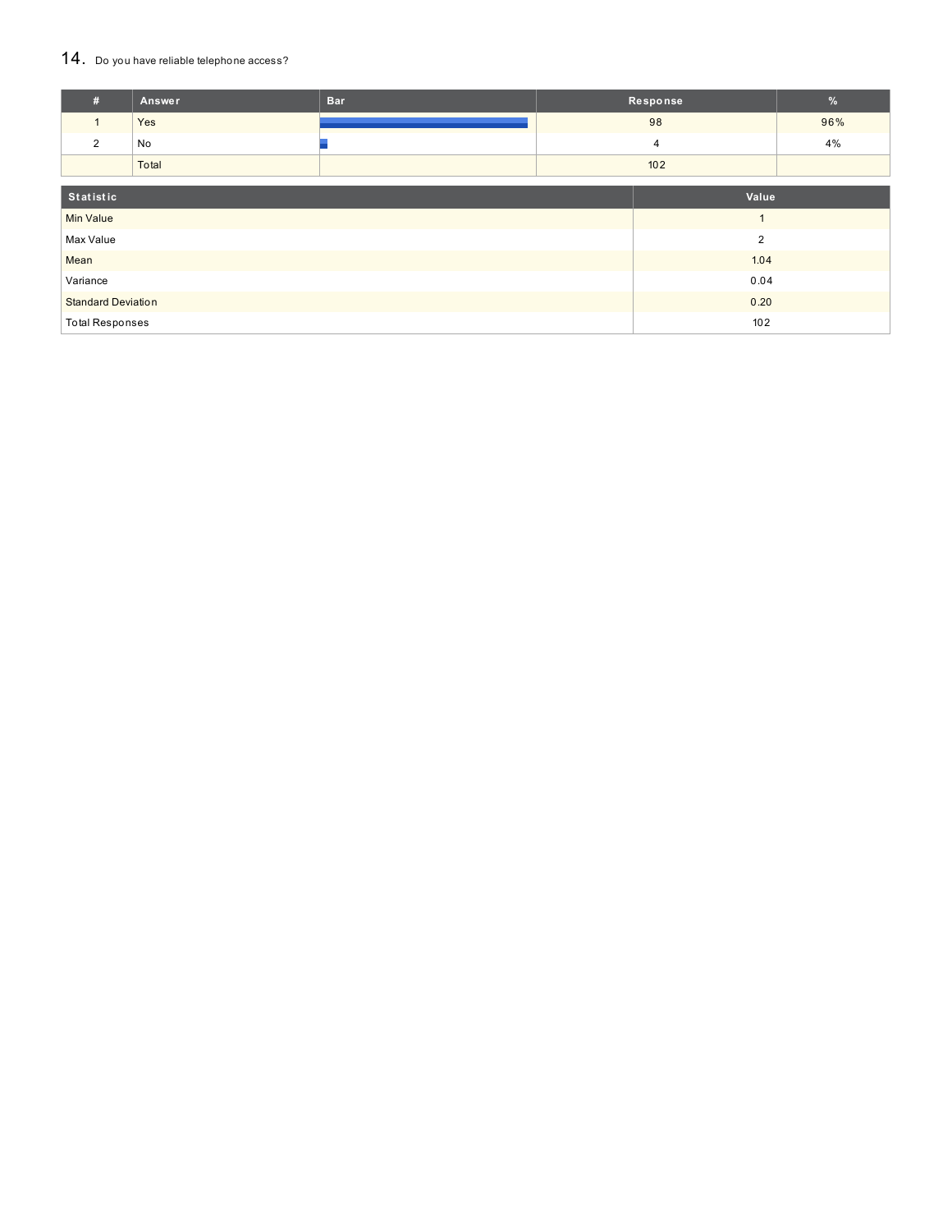#### 14. Do you have reliable telephone access?

| #                         | <b>Answer</b> | <b>Bar</b>     |     | Response       | $\%$ |
|---------------------------|---------------|----------------|-----|----------------|------|
| $\mathbf{1}$              | Yes           |                |     | 98             | 96%  |
| 2                         | No            |                |     | 4              | 4%   |
|                           | Total         |                |     | 102            |      |
| Statistic                 |               |                |     | Value          |      |
| <b>Min Value</b>          |               |                |     | $\overline{A}$ |      |
| Max Value                 |               | $\overline{2}$ |     |                |      |
| Mean                      |               | 1.04           |     |                |      |
| Variance                  |               | 0.04           |     |                |      |
| <b>Standard Deviation</b> |               | 0.20           |     |                |      |
| <b>Total Responses</b>    |               |                | 102 |                |      |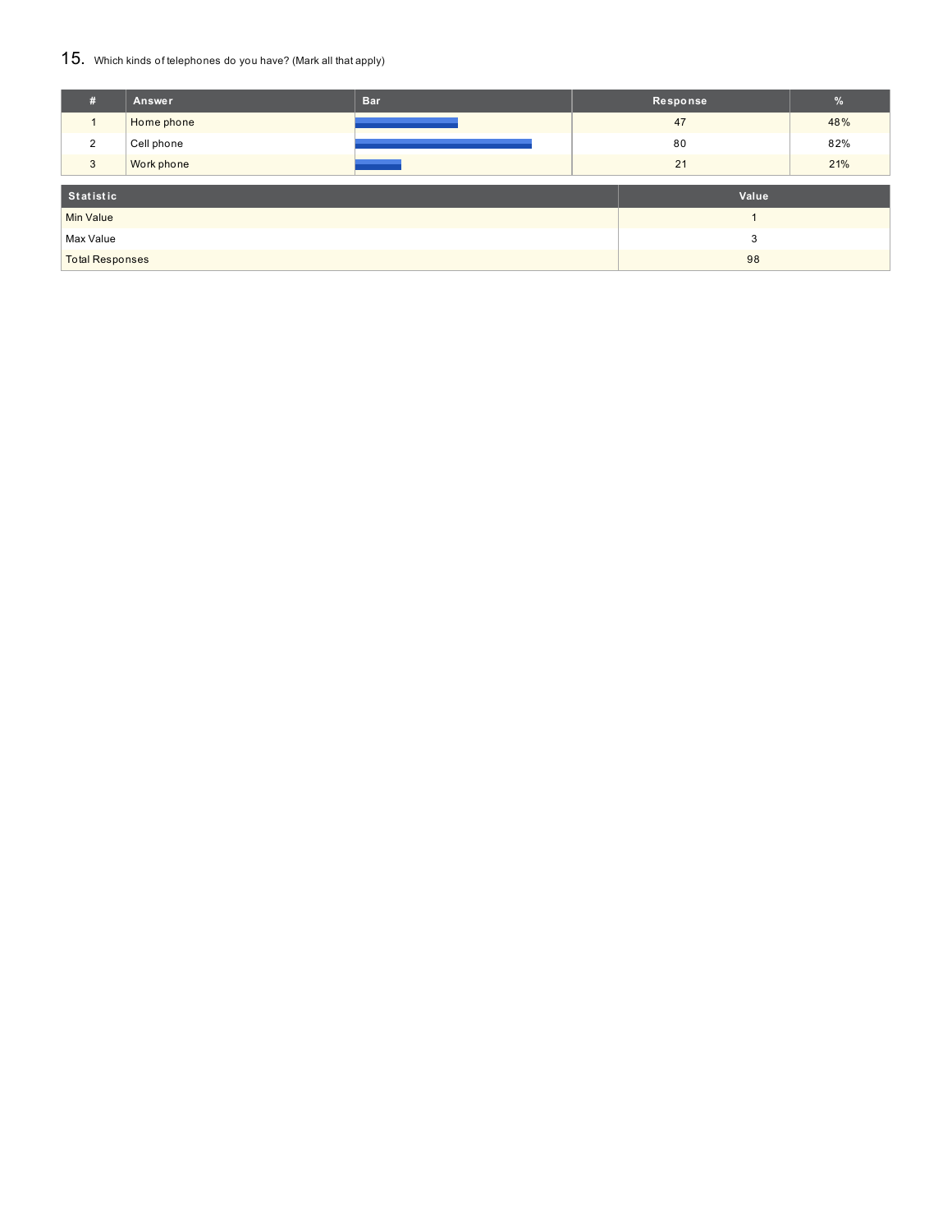#### 15. Which kinds of telephones do you have? (Mark all that apply)

| #                      | Answer     | <b>Bar</b> |    | Response | $\frac{9}{6}$ |
|------------------------|------------|------------|----|----------|---------------|
|                        | Home phone |            |    | 47       | 48%           |
| 2                      | Cell phone |            |    | 80       | 82%           |
| 3                      | Work phone |            | 21 |          | 21%           |
| Statistic<br>Value     |            |            |    |          |               |
| <b>Min Value</b>       |            |            |    |          |               |
| Max Value              |            |            |    | 3        |               |
|                        |            |            |    |          |               |
| <b>Total Responses</b> |            | 98         |    |          |               |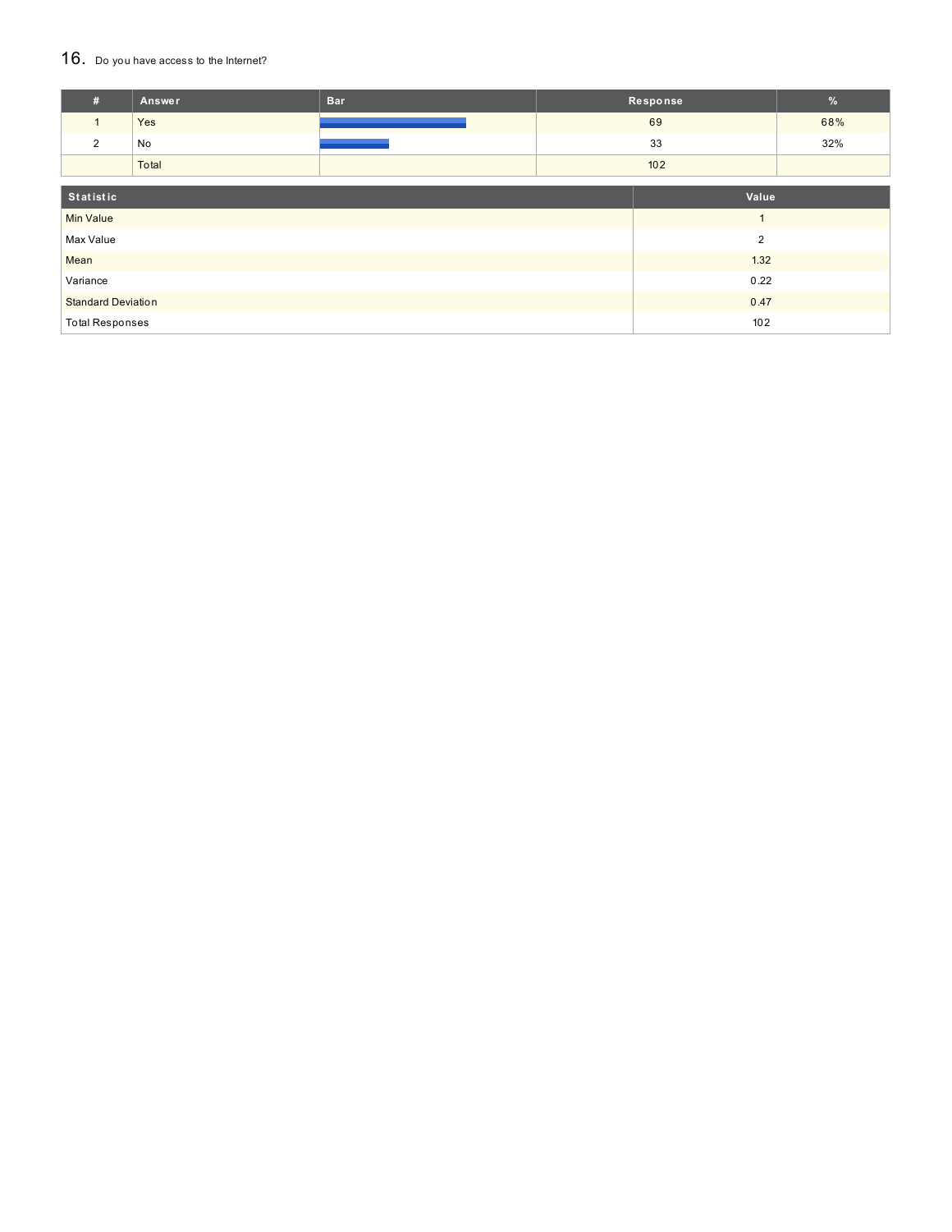#### 16. Do you have access to the Internet?

| #                         | Answer | <b>Bar</b>     | Response | $\frac{9}{6}$ |
|---------------------------|--------|----------------|----------|---------------|
| $\mathbf{1}$              | Yes    |                | 69       | 68%           |
| 2                         | No     |                | 33       | 32%           |
|                           | Total  |                | 102      |               |
|                           |        |                |          |               |
| Statistic                 |        |                | Value    |               |
| <b>Min Value</b>          |        |                |          |               |
| Max Value                 |        | $\overline{2}$ |          |               |
| Mean                      |        |                | 1.32     |               |
| Variance                  |        | 0.22           |          |               |
| <b>Standard Deviation</b> |        | 0.47           |          |               |
| <b>Total Responses</b>    |        | 102            |          |               |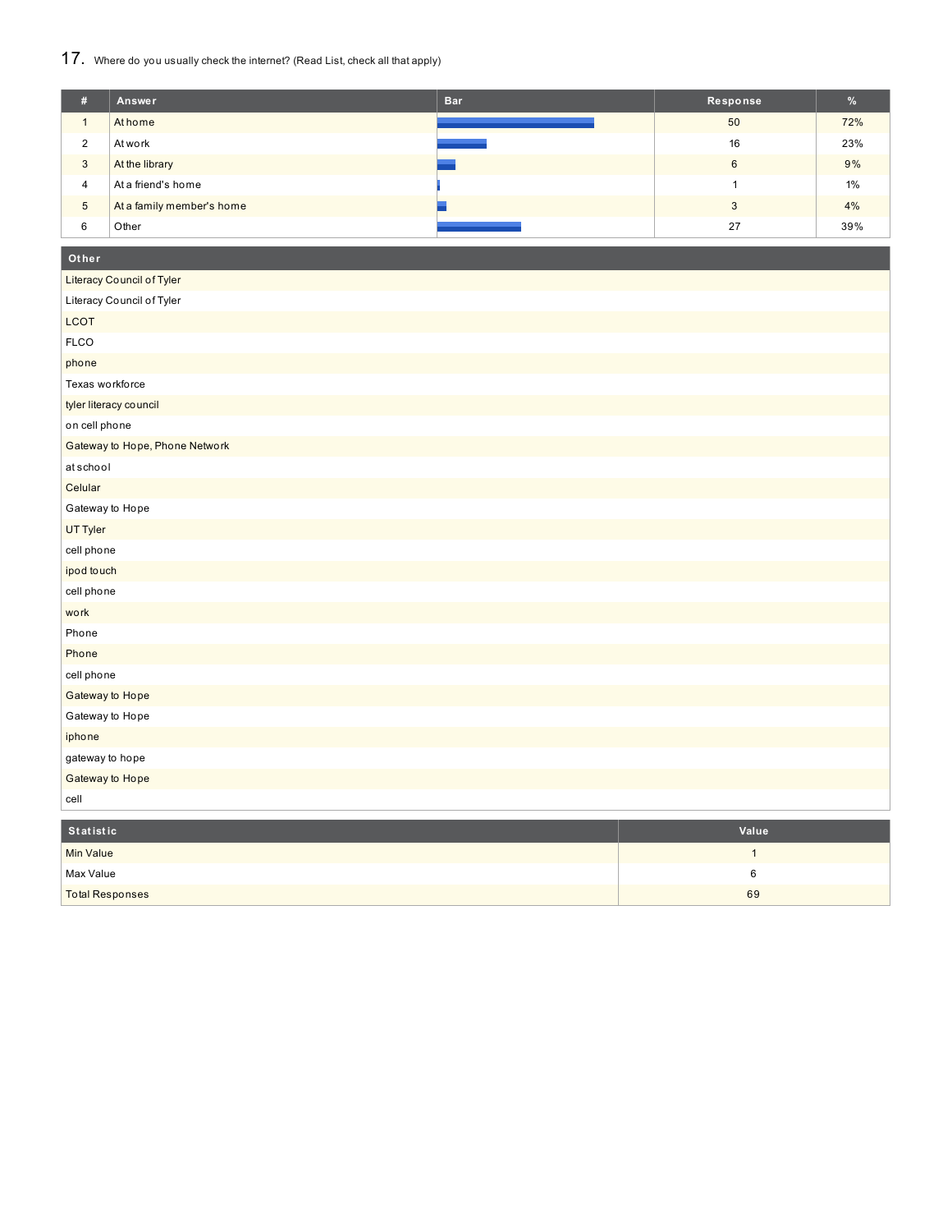## 17. Where do you usually check the internet? (Read List, check all that apply)

| #              | Answer                    | <b>Bar</b> | Response | %     |
|----------------|---------------------------|------------|----------|-------|
|                | At home                   |            | 50       | 72%   |
| 2              | At work                   |            | 16       | 23%   |
| 3              | At the library            |            | 6        | 9%    |
| $\overline{4}$ | At a friend's home        |            |          | $1\%$ |
| $\sqrt{5}$     | At a family member's home |            | 3        | 4%    |
| 6              | Other                     |            | 27       | 39%   |

#### **Ot her**

| Literacy Council of Tyler      |  |
|--------------------------------|--|
| Literacy Council of Tyler      |  |
| LCOT                           |  |
| <b>FLCO</b>                    |  |
| phone                          |  |
| Texas workforce                |  |
| tyler literacy council         |  |
| on cell phone                  |  |
| Gateway to Hope, Phone Network |  |
| atschool                       |  |
| Celular                        |  |
| Gateway to Hope                |  |
| UT Tyler                       |  |
| cell phone                     |  |
| ipod touch                     |  |
| cell phone                     |  |
| work                           |  |
| Phone                          |  |
| Phone                          |  |
| cell phone                     |  |
| Gateway to Hope                |  |
| Gateway to Hope                |  |
| iphone                         |  |
| gateway to hope                |  |
| Gateway to Hope                |  |
| cell                           |  |

| Statistic              | Value |
|------------------------|-------|
| <b>Min Value</b>       |       |
| Max Value              |       |
| <b>Total Responses</b> | 69    |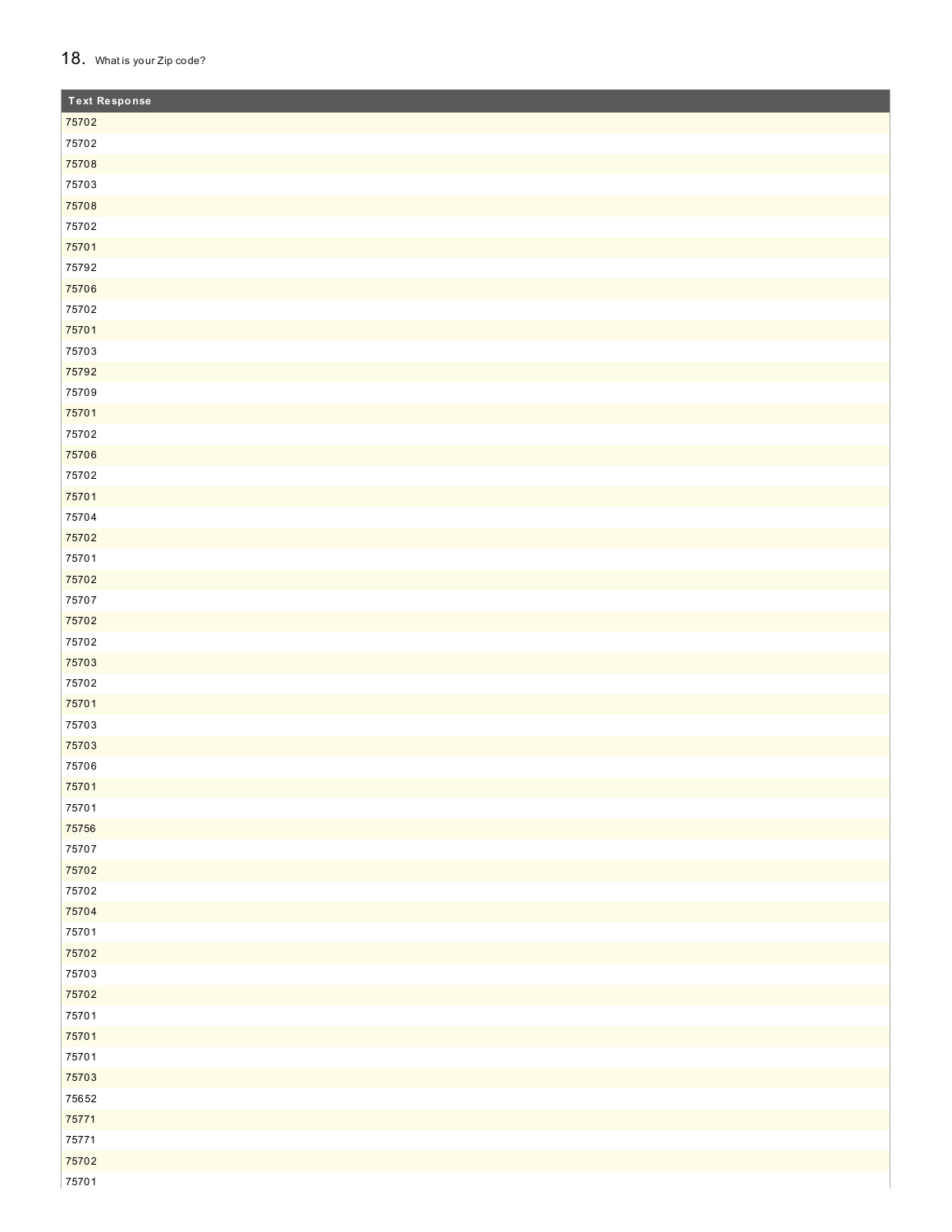#### 18. What is your Zip code?

| <b>Text Response</b> |
|----------------------|
| 75702                |
| 75702                |
| 75708                |
| 75703                |
| 75708                |
| 75702                |
| 75701                |
| 75792                |
| 75706                |
| 75702                |
| 75701                |
| 75703                |
| 75792                |
| 75709                |
| 75701                |
| 75702                |
| 75706                |
| 75702                |
| 75701                |
| 75704                |
| 75702                |
| 75701                |
| 75702                |
| 75707                |
| 75702                |
| 75702                |
| 75703                |
| 75702                |
| 75701                |
| 75703                |
| 75703                |
| 75706                |
| 75701                |
| 75701                |
| 75756                |
| 75707                |
| 75702                |
| 75702                |
| 75704                |
| 75701                |
| 75702                |
| 75703                |
| 75702                |
| 75701                |
| 75701                |
| 75701                |
| 75703                |
| 75652                |
| 75771                |
| 75771                |
| 75702                |
| 75701                |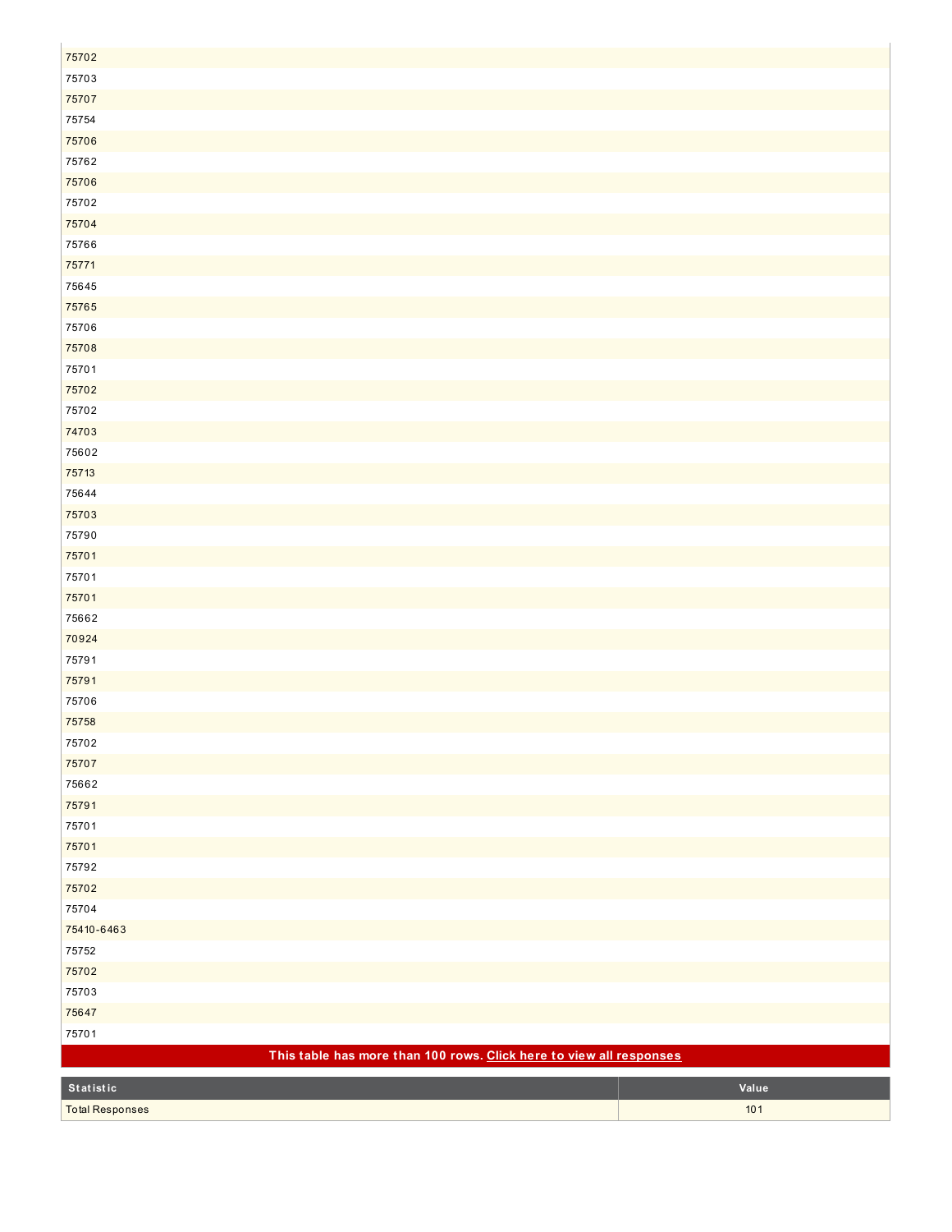| 75702                                                               |       |
|---------------------------------------------------------------------|-------|
| 75703                                                               |       |
| 75707                                                               |       |
| 75754                                                               |       |
| 75706                                                               |       |
| 75762                                                               |       |
| 75706                                                               |       |
| 75702                                                               |       |
| 75704                                                               |       |
| 75766                                                               |       |
| 75771                                                               |       |
| 75645                                                               |       |
| 75765                                                               |       |
| 75706                                                               |       |
| 75708                                                               |       |
| 75701                                                               |       |
| 75702                                                               |       |
| 75702                                                               |       |
| 74703                                                               |       |
| 75602                                                               |       |
| 75713                                                               |       |
| 75644                                                               |       |
| 75703                                                               |       |
| 75790                                                               |       |
| 75701                                                               |       |
| 75701                                                               |       |
| 75701                                                               |       |
| 75662                                                               |       |
| 70924                                                               |       |
| 75791                                                               |       |
| 75791                                                               |       |
| 75706                                                               |       |
| 75758                                                               |       |
| 75702                                                               |       |
| 75707                                                               |       |
| 75662                                                               |       |
| 75791                                                               |       |
| 75701                                                               |       |
| 75701                                                               |       |
| 75792                                                               |       |
| 75702                                                               |       |
| 75704                                                               |       |
| 75410-6463                                                          |       |
| 75752                                                               |       |
| 75702                                                               |       |
| 75703                                                               |       |
| 75647                                                               |       |
| 75701                                                               |       |
| This table has more than 100 rows. Click here to view all responses |       |
| Statistic                                                           | Value |
| <b>Total Responses</b>                                              | 101   |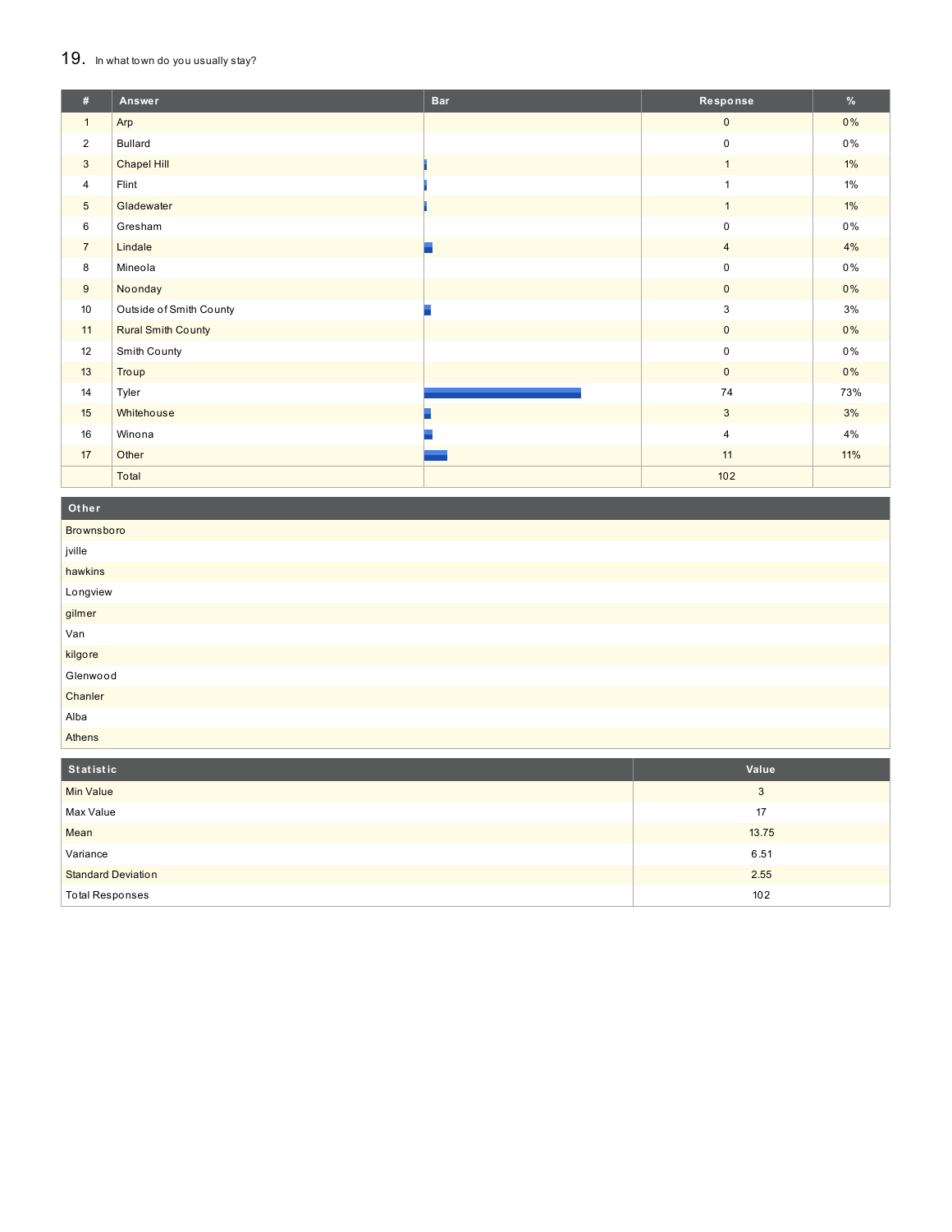#### 19. In what town do you usually stay?

| #               | Answer                    | <b>Bar</b> | Response                | $\%$  |
|-----------------|---------------------------|------------|-------------------------|-------|
| $\mathbf{1}$    | Arp                       |            | $\mathbf 0$             | $0\%$ |
| $\overline{2}$  | <b>Bullard</b>            |            | 0                       | $0\%$ |
| $\mathbf{3}$    | Chapel Hill               |            | $\mathbf{1}$            | $1\%$ |
| $\overline{4}$  | Flint                     |            | $\mathbf{1}$            | 1%    |
| $5\phantom{.0}$ | Gladewater                |            | $\mathbf{1}$            | $1\%$ |
| 6               | Gresham                   |            | 0                       | $0\%$ |
| $\overline{7}$  | Lindale                   |            | $\overline{4}$          | 4%    |
| 8               | Mineola                   |            | $\mathsf 0$             | 0%    |
| 9               | Noonday                   |            | $\overline{0}$          | $0\%$ |
| 10              | Outside of Smith County   |            | 3                       | 3%    |
| 11              | <b>Rural Smith County</b> |            | $\overline{0}$          | 0%    |
| 12              | Smith County              |            | $\mathsf 0$             | $0\%$ |
| 13              | Troup                     |            | $\mathbf 0$             | 0%    |
| 14              | Tyler                     |            | 74                      | 73%   |
| 15              | Whitehouse                |            | $\mathbf{3}$            | 3%    |
| 16              | Winona                    |            | $\overline{\mathbf{4}}$ | 4%    |
| 17              | Other                     |            | 11                      | 11%   |
|                 | Total                     |            | 102                     |       |

## Other

| Brownsboro |
|------------|
| jville     |
| hawkins    |
| Longview   |
| gilmer     |
| Van        |
| kilgore    |
| Glenwood   |
| Chanler    |
| Alba       |
| Athens     |

| Statistic                 | Value |
|---------------------------|-------|
| <b>Min Value</b>          | 3     |
| Max Value                 | 17    |
| Mean                      | 13.75 |
| Variance                  | 6.51  |
| <b>Standard Deviation</b> | 2.55  |
| <b>Total Responses</b>    | 102   |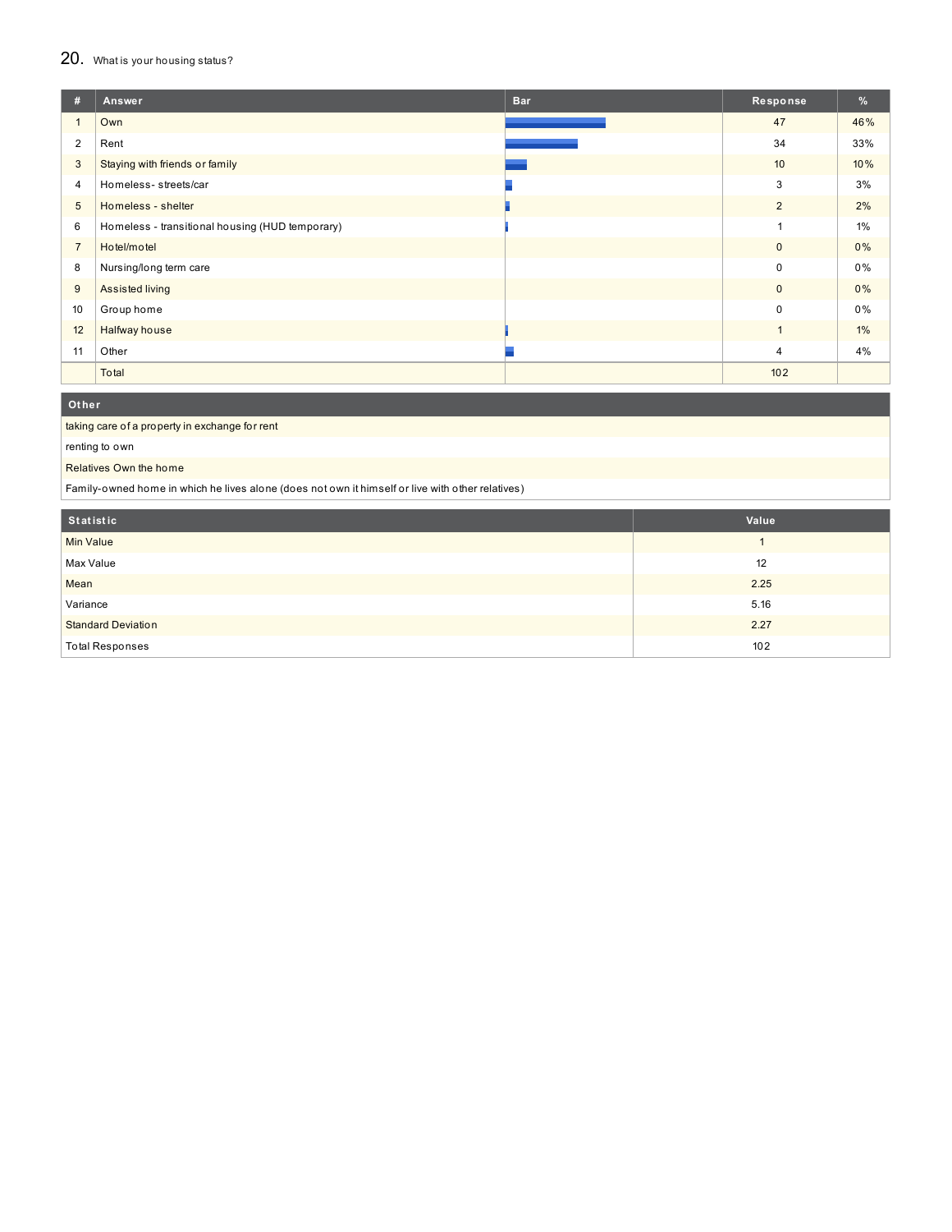#### 20. What is your housing status?

| #              | Answer                                          | <b>Bar</b> | Response       | $\frac{9}{6}$ |
|----------------|-------------------------------------------------|------------|----------------|---------------|
|                | Own                                             |            | 47             | 46%           |
| 2              | Rent                                            |            | 34             | 33%           |
| 3              | Staying with friends or family                  |            | 10             | 10%           |
| 4              | Homeless-streets/car                            |            | 3              | 3%            |
| 5              | Homeless - shelter                              |            | 2              | 2%            |
| 6              | Homeless - transitional housing (HUD temporary) |            |                | 1%            |
| $\overline{7}$ | Hotel/motel                                     |            | $\mathbf{0}$   | 0%            |
| 8              | Nursing/long term care                          |            | $\mathbf 0$    | 0%            |
| 9              | Assisted living                                 |            | $\mathbf{0}$   | $0\%$         |
| 10             | Group home                                      |            | $\mathbf 0$    | 0%            |
| 12             | Halfway house                                   |            |                | 1%            |
| 11             | Other                                           |            | $\overline{4}$ | 4%            |
|                | Total                                           |            | 102            |               |

**Ot her**

taking care of a property in exchange for rent

renting to own

Relatives Own the home

Family-owned home in which he lives alone (does not own it himself or live with other relatives)

| Statistic                 | Value |
|---------------------------|-------|
| Min Value                 |       |
| Max Value                 | 12    |
| Mean                      | 2.25  |
| Variance                  | 5.16  |
| <b>Standard Deviation</b> | 2.27  |
| <b>Total Responses</b>    | 102   |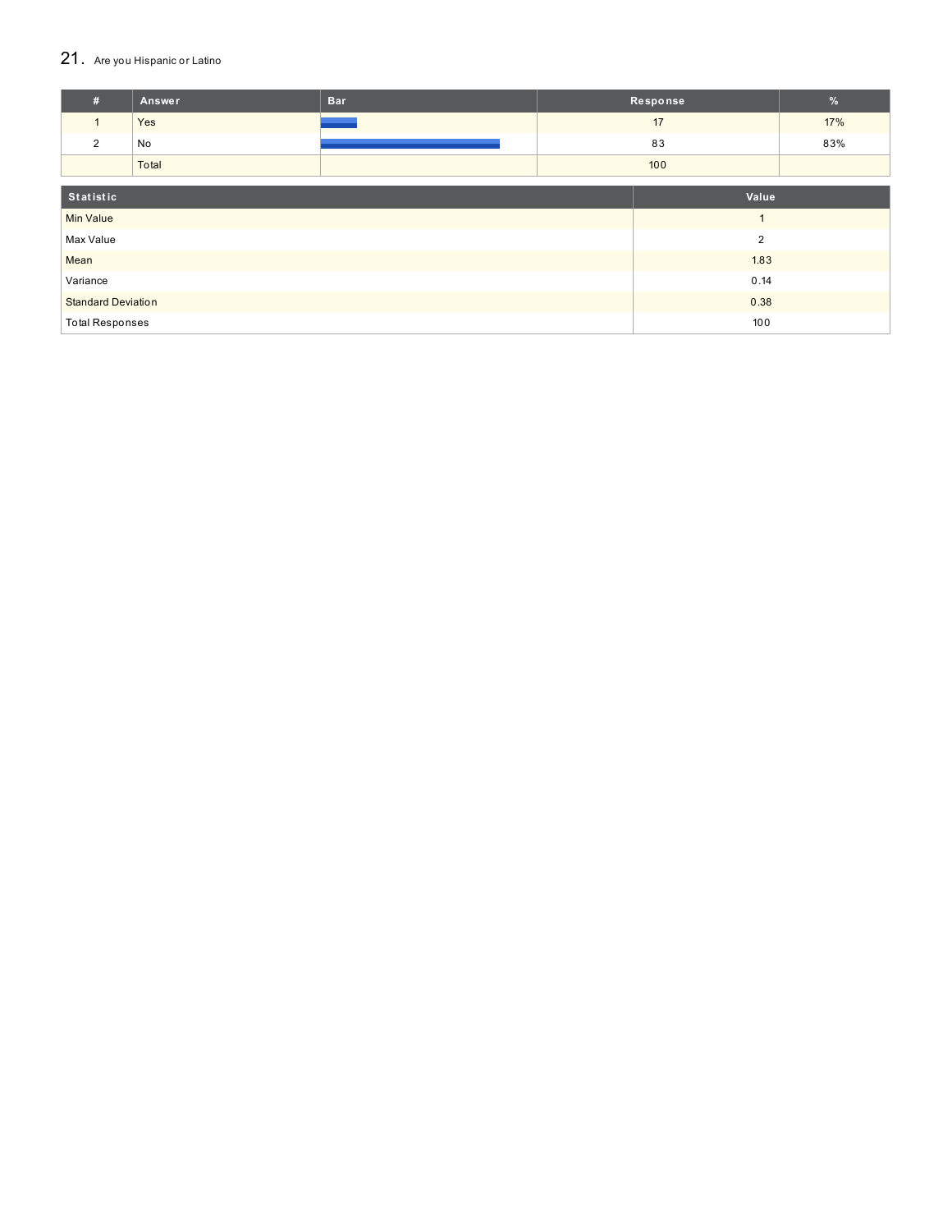## 21. Are you Hispanic or Latino

| #                                 | Answer | <b>Bar</b> |              | Response | $\%$ |
|-----------------------------------|--------|------------|--------------|----------|------|
| $\mathbf{1}$                      | Yes    |            |              | 17       | 17%  |
| 2                                 | No     |            |              | 83       | 83%  |
|                                   | Total  |            |              | 100      |      |
| Statistic<br>Value                |        |            |              |          |      |
| <b>Min Value</b>                  |        |            | $\mathbf{1}$ |          |      |
| Max Value<br>$\overline{2}$       |        |            |              |          |      |
| Mean                              |        | 1.83       |              |          |      |
| Variance                          |        | 0.14       |              |          |      |
| <b>Standard Deviation</b><br>0.38 |        |            |              |          |      |
| 100<br><b>Total Responses</b>     |        |            |              |          |      |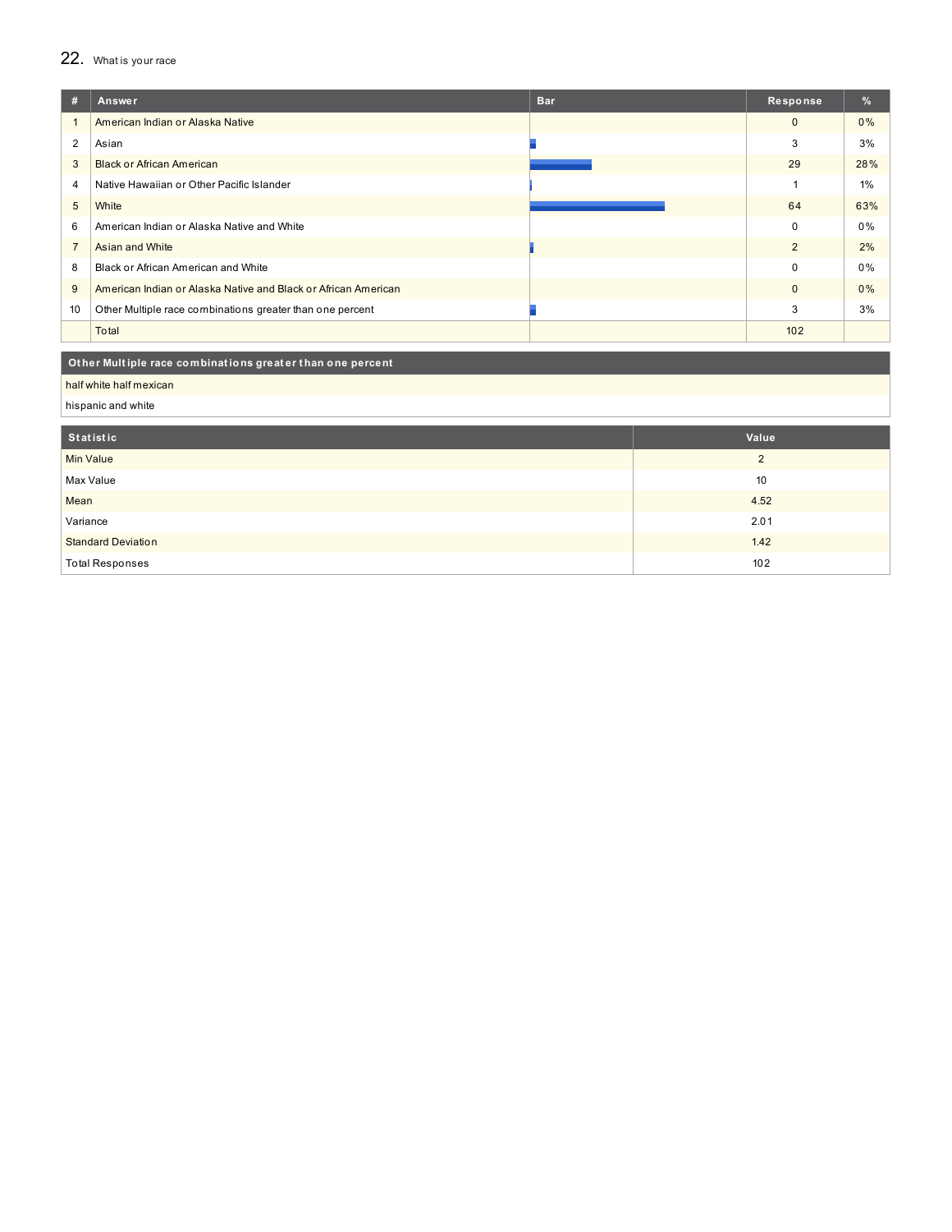## 22. What is your race

| #              | Answer                                                         | <b>Bar</b> | Response     | $\%$  |
|----------------|----------------------------------------------------------------|------------|--------------|-------|
|                | American Indian or Alaska Native                               |            | $\mathbf{0}$ | $0\%$ |
| 2              | Asian                                                          |            | 3            | 3%    |
| 3              | <b>Black or African American</b>                               |            | 29           | 28%   |
| 4              | Native Hawaiian or Other Pacific Islander                      |            |              | $1\%$ |
| 5              | White                                                          |            | 64           | 63%   |
| 6              | American Indian or Alaska Native and White                     |            | $\Omega$     | 0%    |
| $\overline{7}$ | Asian and White                                                |            | 2            | 2%    |
| 8              | Black or African American and White                            |            | $\Omega$     | $0\%$ |
| 9              | American Indian or Alaska Native and Black or African American |            | $\Omega$     | 0%    |
| 10             | Other Multiple race combinations greater than one percent      |            | 3            | 3%    |
|                | Total                                                          |            | 102          |       |
|                |                                                                |            |              |       |

#### Other Multiple race combinations greater than one percent

half white half mexican

hispanic and white

| Statistic                 | Value    |
|---------------------------|----------|
| <b>Min Value</b>          | $\Omega$ |
| Max Value                 | 10       |
| Mean                      | 4.52     |
| Variance                  | 2.01     |
| <b>Standard Deviation</b> | 1.42     |
| <b>Total Responses</b>    | 102      |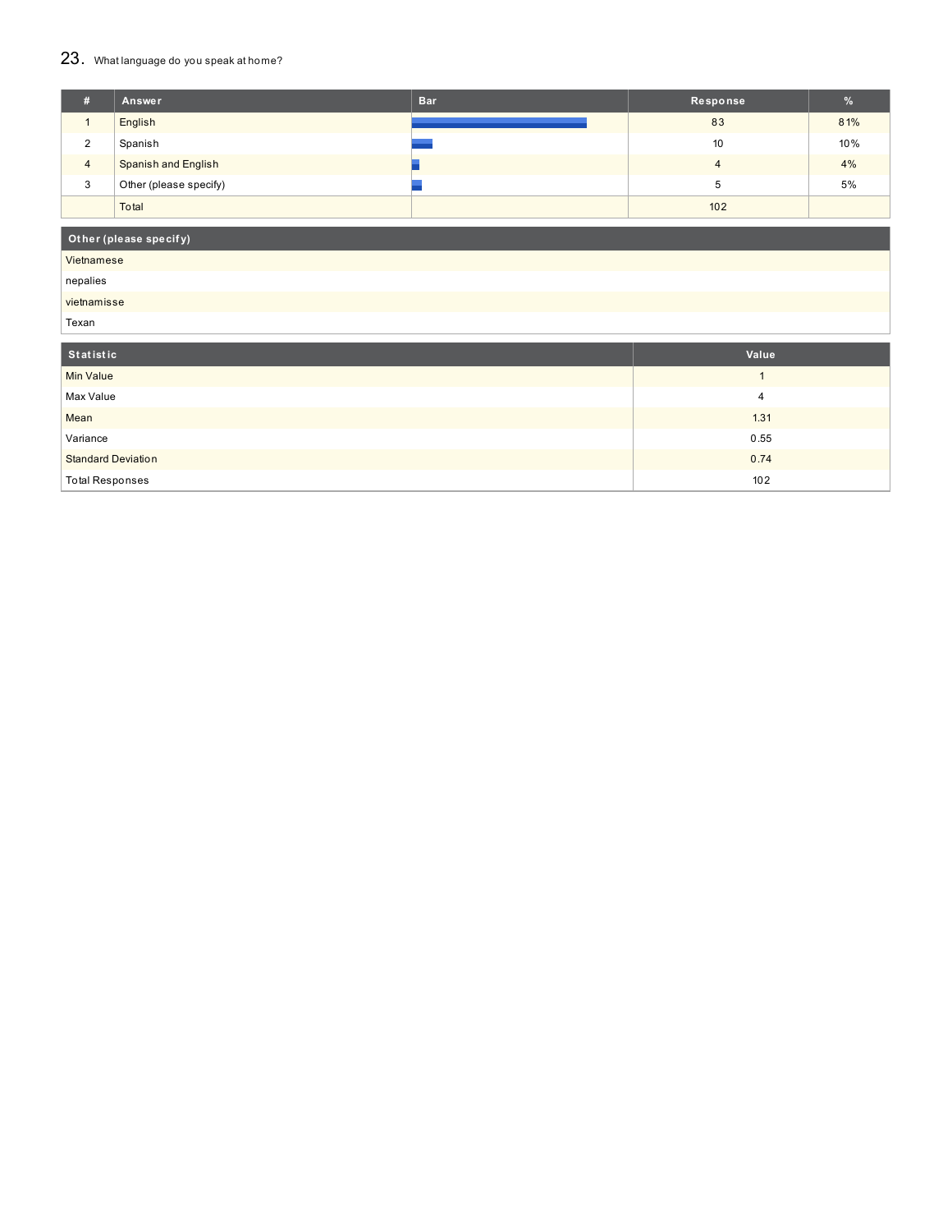# 23. What language do you speak at home?

| #              | Answer                     | <b>Bar</b> | Response | %   |
|----------------|----------------------------|------------|----------|-----|
|                | English                    |            | 83       | 81% |
| 2              | Spanish                    |            | 10       | 10% |
| $\overline{4}$ | <b>Spanish and English</b> |            | 4        | 4%  |
| 3              | Other (please specify)     |            |          | 5%  |
|                | Total                      |            | 102      |     |

## **Ot her (please specif y)**

# Vietnamese

nepalies

## vietnamisse

Texan

| Statistic                 | Value |
|---------------------------|-------|
| <b>Min Value</b>          |       |
| Max Value                 | 4     |
| Mean                      | 1.31  |
| Variance                  | 0.55  |
| <b>Standard Deviation</b> | 0.74  |
| <b>Total Responses</b>    | 102   |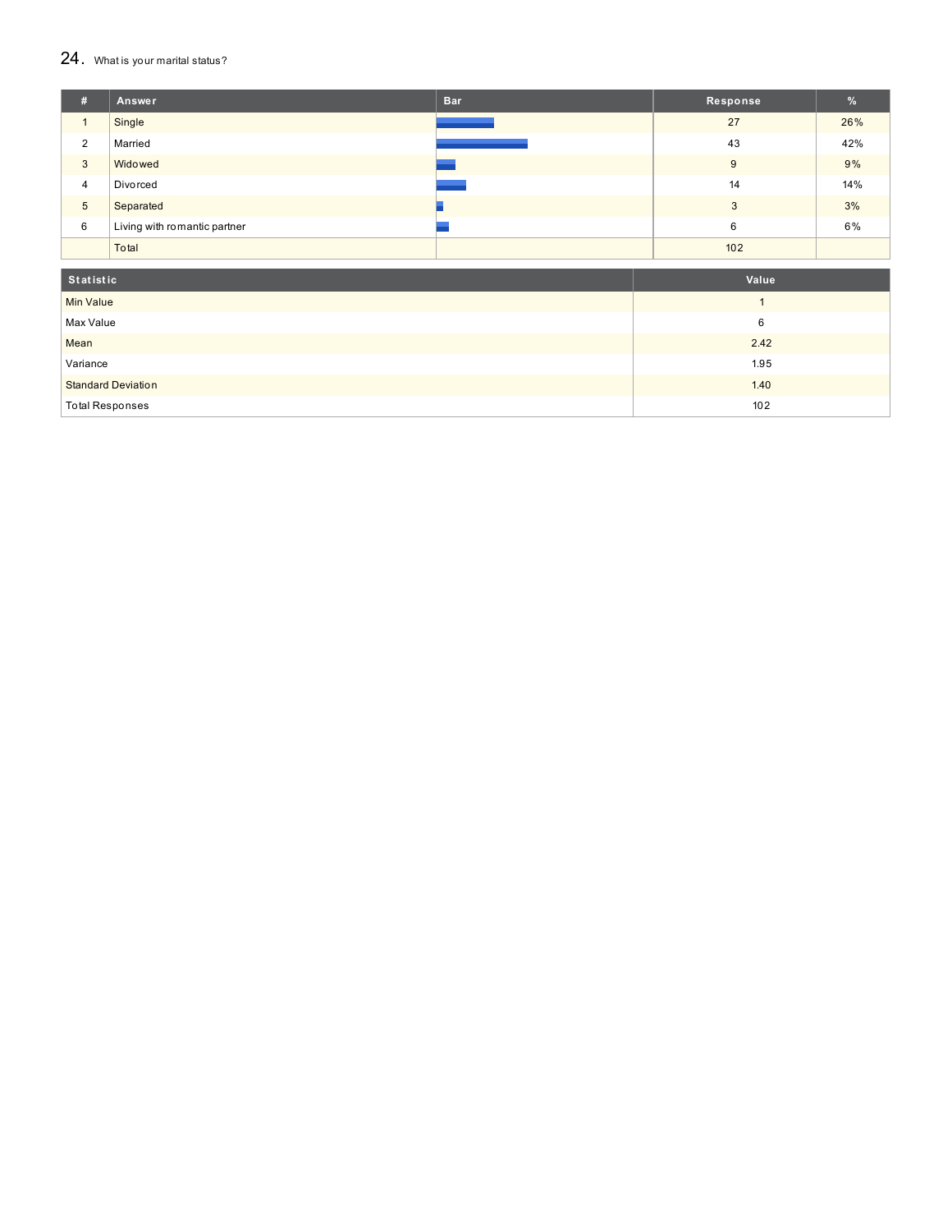#### $24.$  What is your marital status?

| #              | Answer                       | <b>Bar</b> | Response | $\frac{9}{6}$ |
|----------------|------------------------------|------------|----------|---------------|
|                | Single                       |            | 27       | 26%           |
| 2              | Married                      |            | 43       | 42%           |
| 3              | Widowed                      |            | 9        | 9%            |
| $\overline{4}$ | Divorced                     |            | 14       | 14%           |
| 5              | Separated                    |            | 3        | 3%            |
| 6              | Living with romantic partner |            | 6        | 6%            |
|                | Total                        |            | 102      |               |

| Statistic                 | Value |
|---------------------------|-------|
| <b>Min Value</b>          |       |
| Max Value                 | 6     |
| Mean                      | 2.42  |
| Variance                  | 1.95  |
| <b>Standard Deviation</b> | 1.40  |
| <b>Total Responses</b>    | 102   |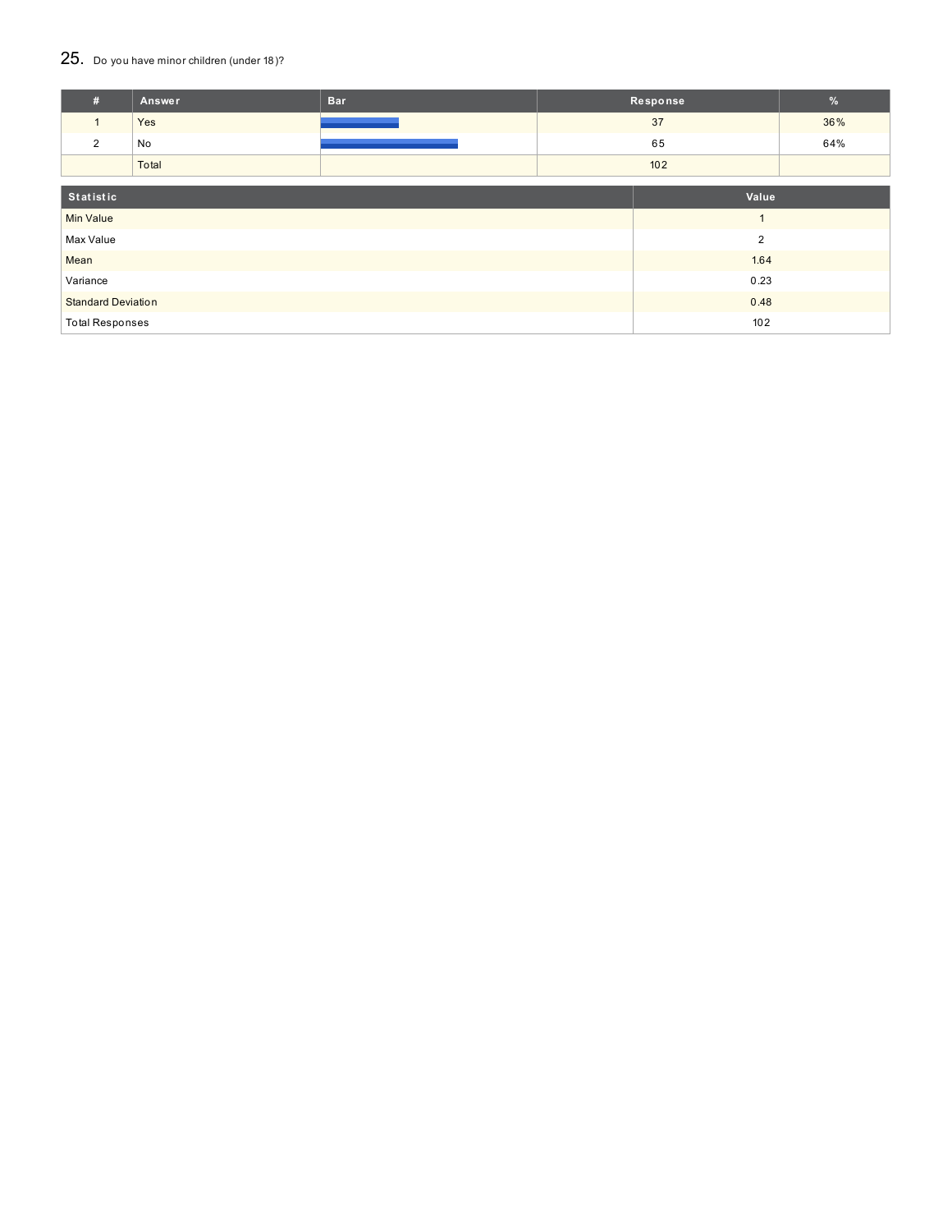## 25. Do you have minor children (under 18)?

| #                                 | Answer | <b>Bar</b> |                | Response | $\%$ |
|-----------------------------------|--------|------------|----------------|----------|------|
| $\mathbf{1}$                      | Yes    |            |                | 37       | 36%  |
| 2                                 | No     |            |                | 65       | 64%  |
|                                   | Total  |            |                | 102      |      |
| Statistic<br>Value                |        |            |                |          |      |
| <b>Min Value</b>                  |        |            | $\overline{ }$ |          |      |
| $\overline{2}$<br>Max Value       |        |            |                |          |      |
| Mean                              |        | 1.64       |                |          |      |
| Variance                          |        | 0.23       |                |          |      |
| <b>Standard Deviation</b><br>0.48 |        |            |                |          |      |
| <b>Total Responses</b><br>102     |        |            |                |          |      |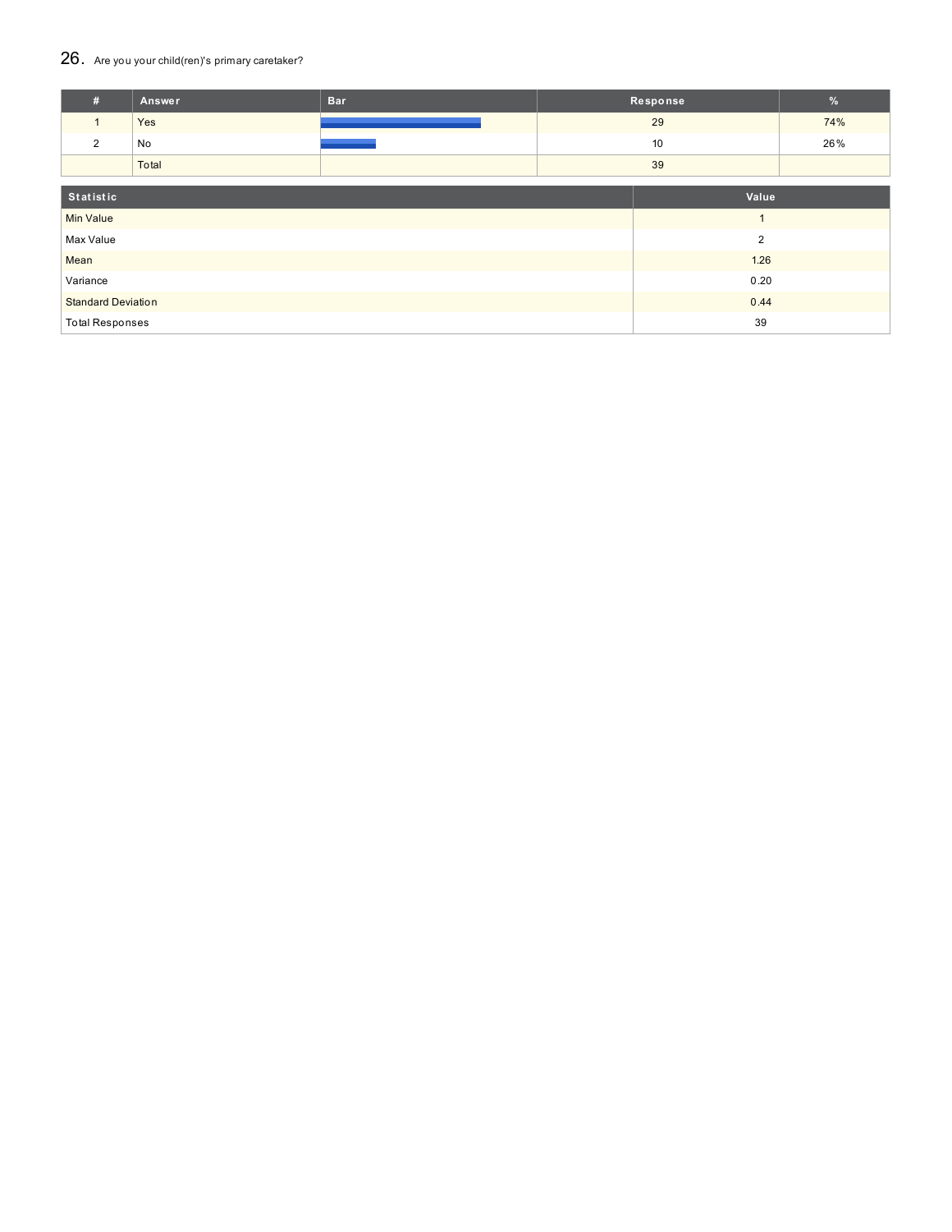## 26. Are you your child(ren)'s primary caretaker?

| #                            | Answer         | <b>Bar</b>     |      | Response | $\%$ |
|------------------------------|----------------|----------------|------|----------|------|
| $\mathbf{1}$                 | Yes            |                |      | 29       | 74%  |
| 2                            | No             |                |      | 10       | 26%  |
|                              | Total          |                |      | 39       |      |
| Statistic                    |                |                |      | Value    |      |
| <b>Min Value</b>             | $\overline{A}$ |                |      |          |      |
| Max Value                    |                | $\overline{2}$ |      |          |      |
| Mean                         |                |                |      | 1.26     |      |
| Variance                     |                |                | 0.20 |          |      |
| <b>Standard Deviation</b>    |                | 0.44           |      |          |      |
| <b>Total Responses</b><br>39 |                |                |      |          |      |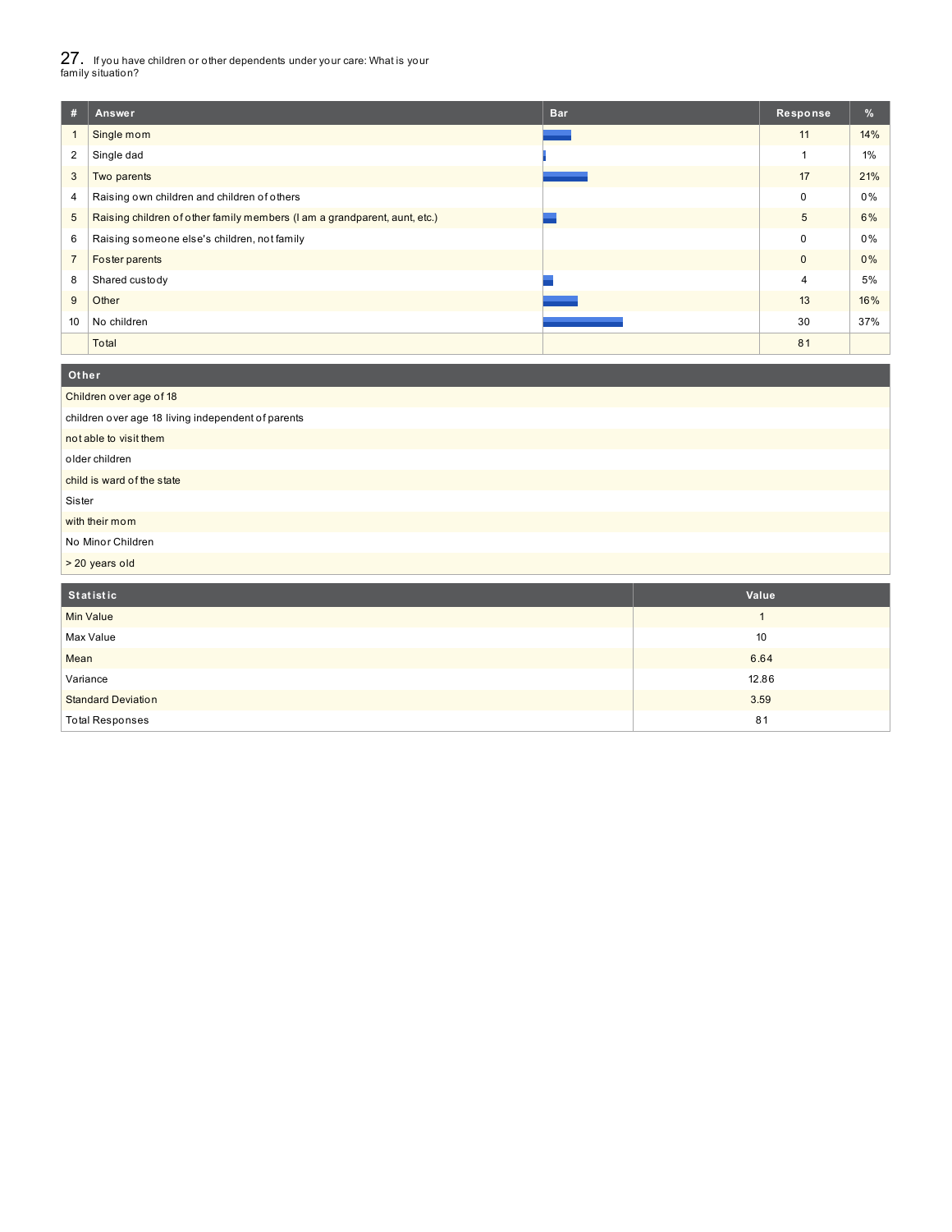27. If you have children or other dependents under your care: What is your family situation?

**Ot her**

| #              | Answer                                                                    | <b>Bar</b> | Response       | $\frac{9}{6}$ |
|----------------|---------------------------------------------------------------------------|------------|----------------|---------------|
|                | Single mom                                                                |            | 11             | 14%           |
| $\overline{2}$ | Single dad                                                                |            |                | 1%            |
| 3              | Two parents                                                               |            | 17             | 21%           |
| 4              | Raising own children and children of others                               |            | 0              | 0%            |
| 5              | Raising children of other family members (I am a grandparent, aunt, etc.) |            | 5              | 6%            |
| 6              | Raising someone else's children, not family                               |            | 0              | 0%            |
|                | Foster parents                                                            |            | $\mathbf{0}$   | 0%            |
| 8              | Shared custody                                                            |            | $\overline{4}$ | 5%            |
| 9              | Other                                                                     |            | 13             | 16%           |
| 10             | No children                                                               |            | 30             | 37%           |
|                | Total                                                                     |            | 81             |               |

| <b>Utilei</b>                                      |                |  |  |  |
|----------------------------------------------------|----------------|--|--|--|
| Children over age of 18                            |                |  |  |  |
| children over age 18 living independent of parents |                |  |  |  |
| not able to visit them                             |                |  |  |  |
| older children                                     |                |  |  |  |
| child is ward of the state                         |                |  |  |  |
| Sister                                             |                |  |  |  |
| with their mom                                     |                |  |  |  |
| No Minor Children                                  |                |  |  |  |
| > 20 years old                                     |                |  |  |  |
|                                                    |                |  |  |  |
| Statistic                                          | Value          |  |  |  |
| <b>Min Value</b>                                   |                |  |  |  |
| $M = 1.14$                                         | $\overline{A}$ |  |  |  |

| <b>MIN</b> value          |       |
|---------------------------|-------|
| Max Value                 | 10    |
| Mean                      | 6.64  |
| Variance                  | 12.86 |
| <b>Standard Deviation</b> | 3.59  |
| <b>Total Responses</b>    | 81    |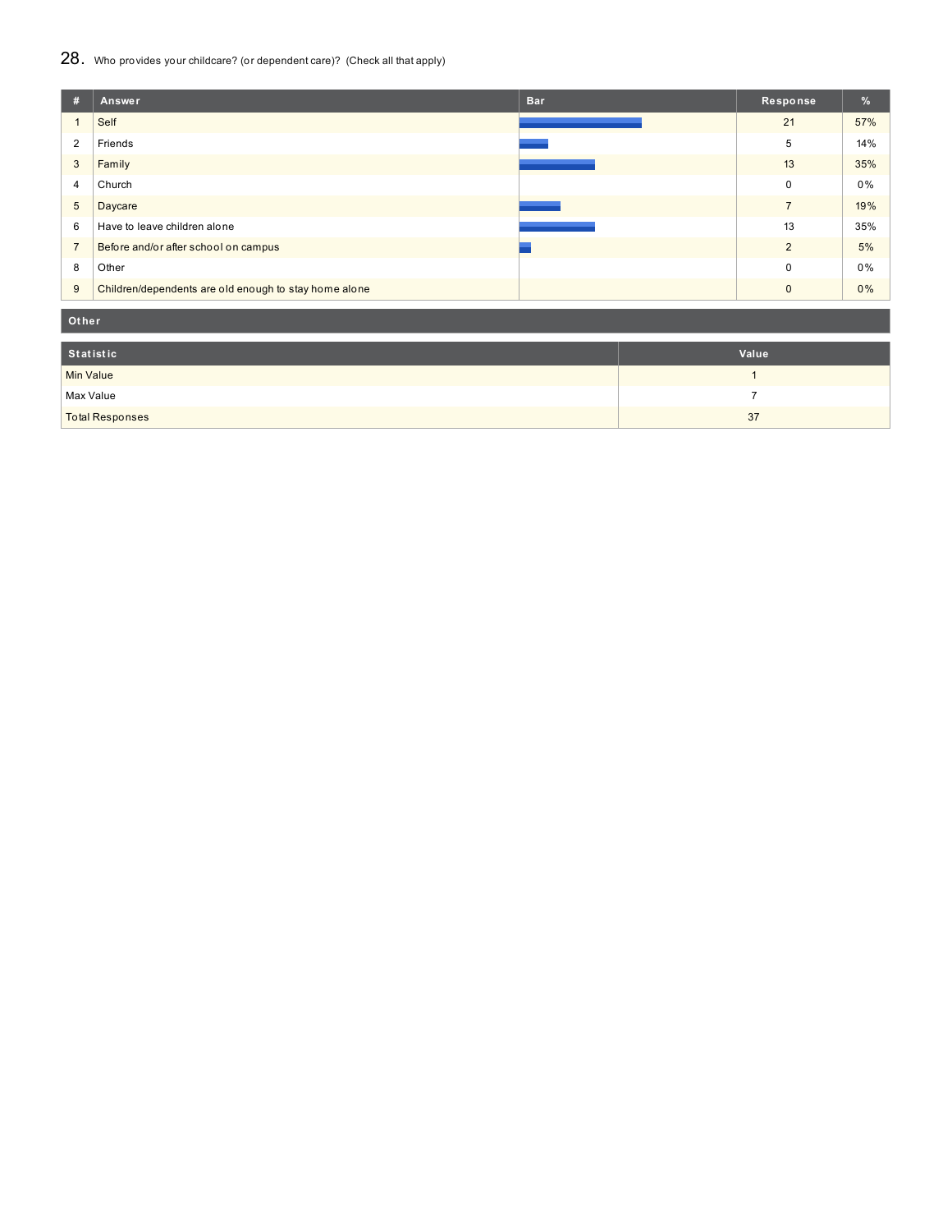## 28. Who provides your childcare? (or dependent care)? (Check all that apply)

| #              | <b>Bar</b><br>Answer                                  | Response       | $\%$  |
|----------------|-------------------------------------------------------|----------------|-------|
|                | Self                                                  | 21             | 57%   |
| $\overline{2}$ | Friends                                               | 5              | 14%   |
| 3              | Family                                                | 13             | 35%   |
| 4              | Church                                                | $\Omega$       | $0\%$ |
| 5              | Daycare                                               | $\overline{7}$ | 19%   |
| 6              | Have to leave children alone                          | 13             | 35%   |
| $\overline{7}$ | Before and/or after school on campus                  | $\overline{2}$ | 5%    |
| 8              | Other                                                 | $\Omega$       | 0%    |
| 9              | Children/dependents are old enough to stay home alone | $\Omega$       | 0%    |

**Ot her**

| Statistic              | Value |
|------------------------|-------|
| <b>Min Value</b>       |       |
| Max Value              |       |
| <b>Total Responses</b> | 37    |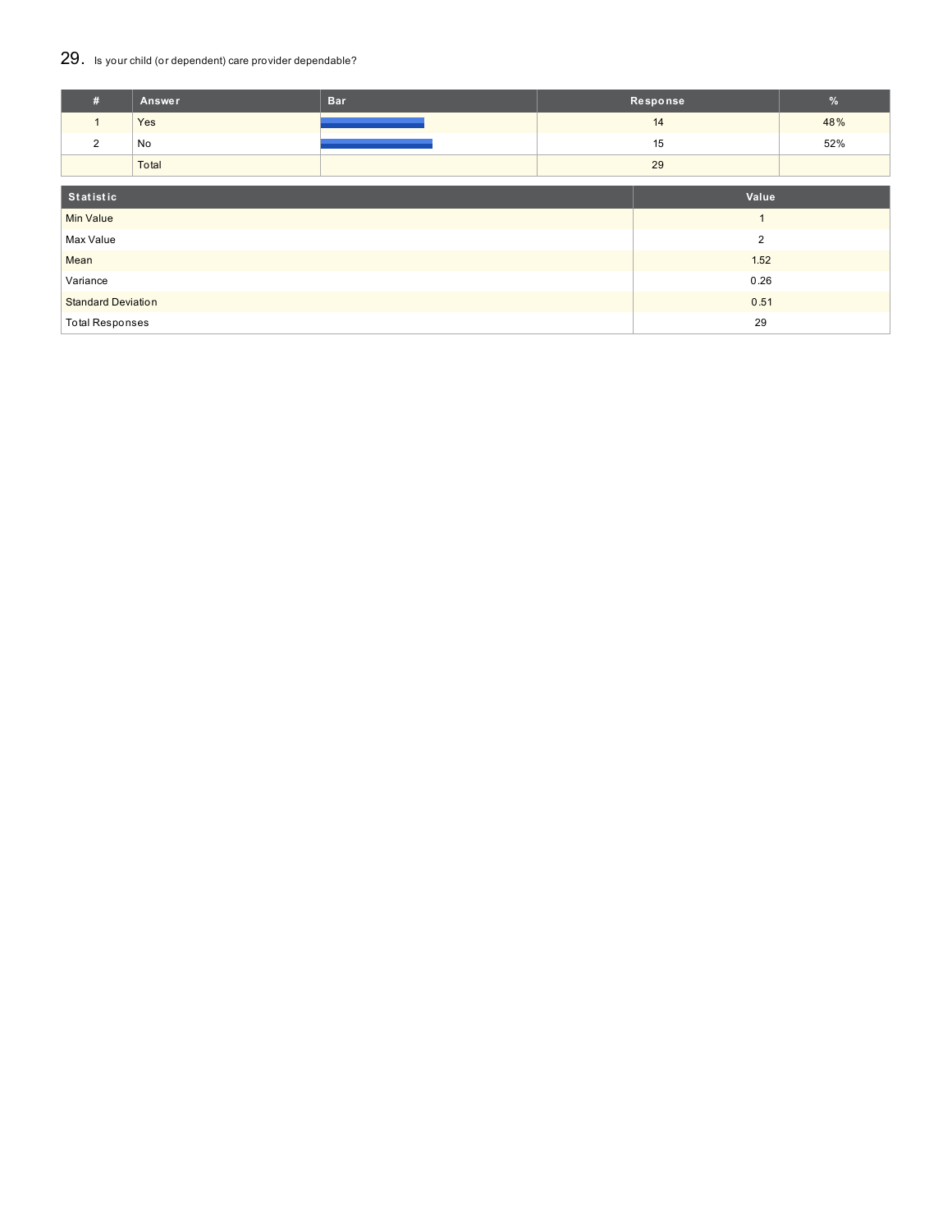## 29. Is your child (or dependent) care provider dependable?

| #                         | Answer | <b>Bar</b> | Response |                | $\%$ |
|---------------------------|--------|------------|----------|----------------|------|
| $\mathbf{1}$              | Yes    |            |          | 14             | 48%  |
| 2                         | No     |            | 15       |                | 52%  |
|                           | Total  |            | 29       |                |      |
| Statistic                 |        |            |          | Value          |      |
| <b>Min Value</b>          |        |            |          | $\overline{ }$ |      |
| Max Value                 |        |            |          | $\overline{2}$ |      |
| Mean                      |        |            | 1.52     |                |      |
| Variance                  |        |            | 0.26     |                |      |
| <b>Standard Deviation</b> |        |            |          | 0.51           |      |
| <b>Total Responses</b>    |        |            |          | 29             |      |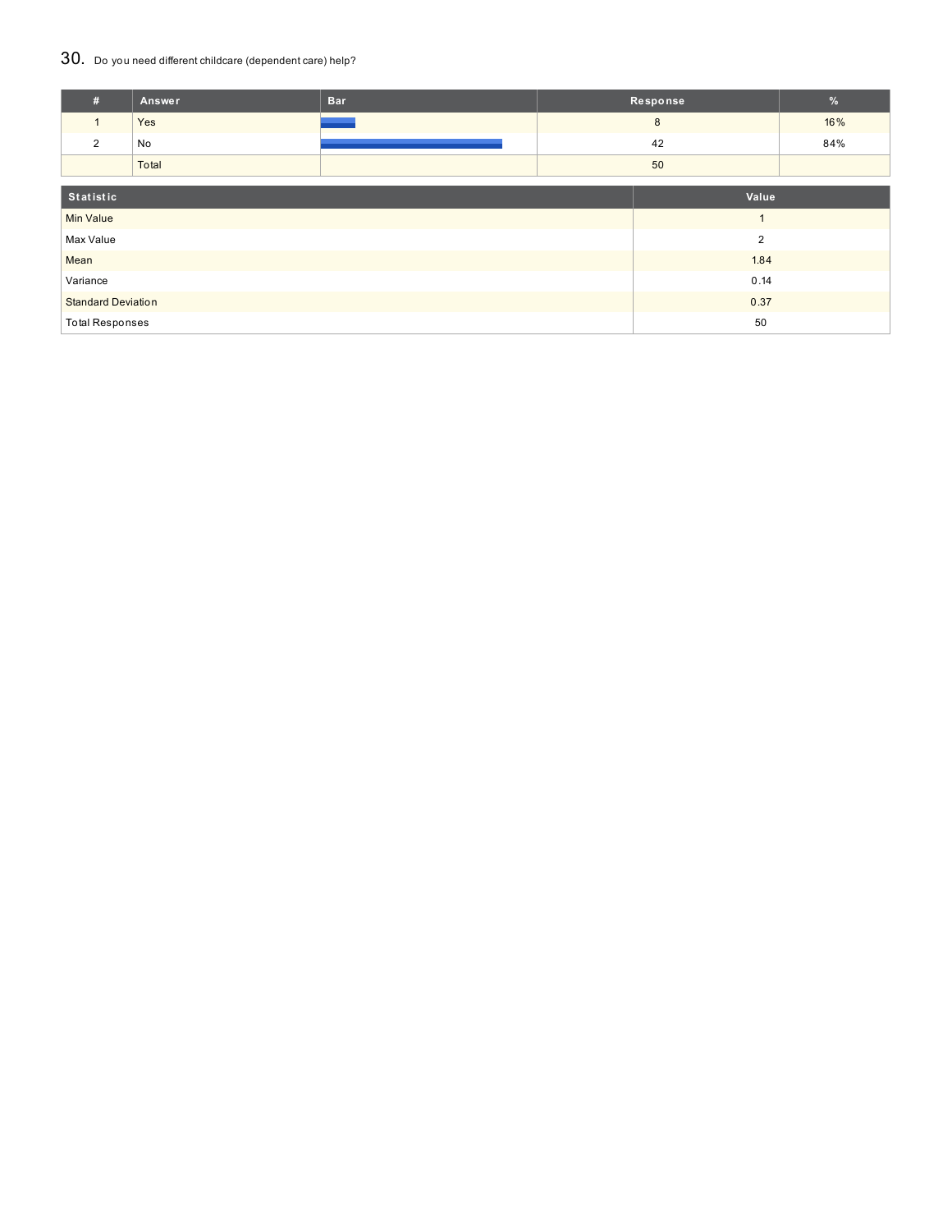## 30. Do you need different childcare (dependent care) help?

| #                         | Answer    | <b>Bar</b> | Response |                | %   |
|---------------------------|-----------|------------|----------|----------------|-----|
| $\mathbf{1}$              | Yes       |            | 8        |                | 16% |
| 2                         | No        |            | 42       |                | 84% |
|                           | Total     |            | 50       |                |     |
|                           |           |            |          |                |     |
|                           | Statistic |            |          | Value          |     |
| <b>Min Value</b>          |           |            |          |                |     |
| Max Value                 |           |            |          | $\overline{2}$ |     |
| Mean                      |           |            | 1.84     |                |     |
| Variance                  |           |            |          | 0.14           |     |
| <b>Standard Deviation</b> |           |            |          | 0.37           |     |
| <b>Total Responses</b>    |           |            |          | 50             |     |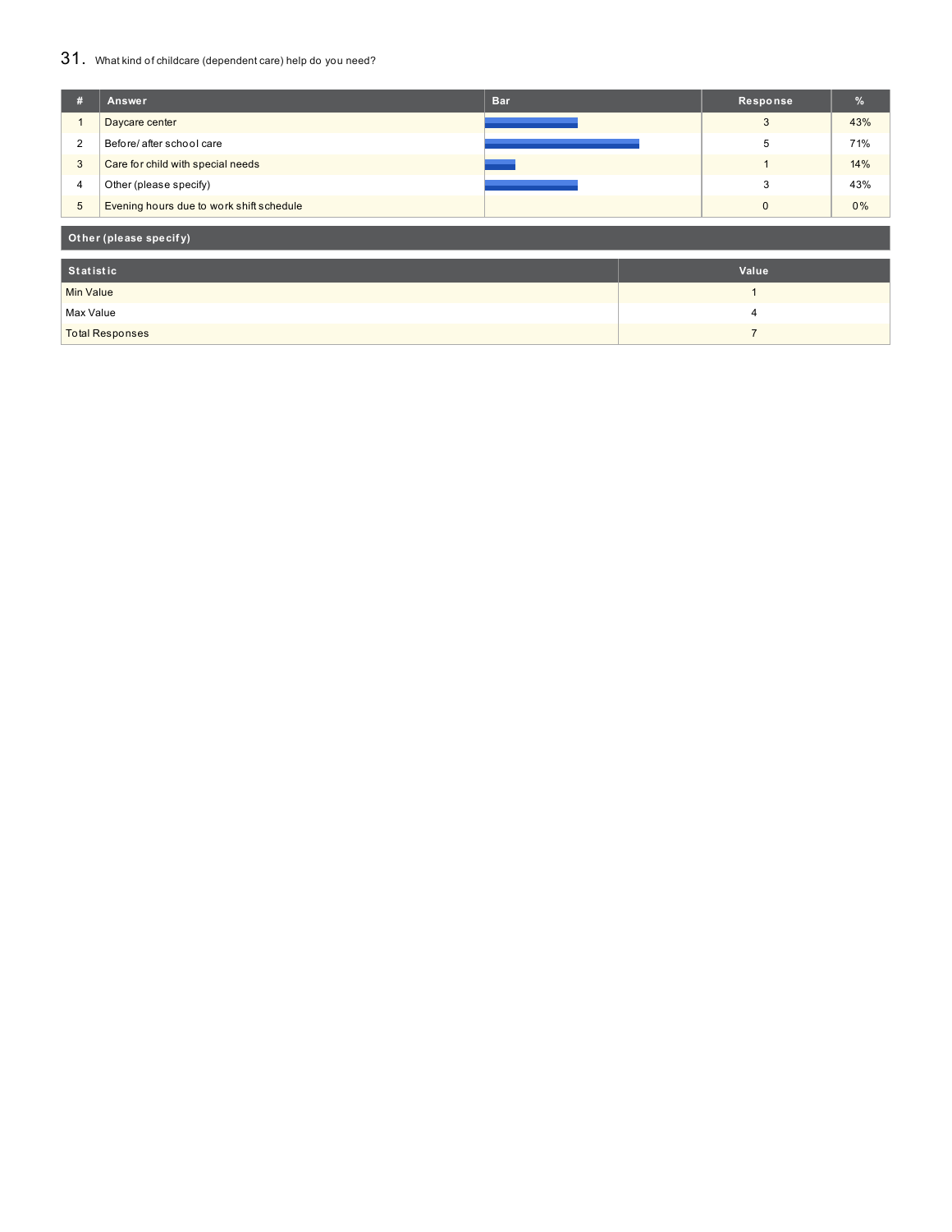## 31. What kind of childcare (dependent care) help do you need?

| #                      | Answer                                   | <b>Bar</b> |  | Response       | %     |  |
|------------------------|------------------------------------------|------------|--|----------------|-------|--|
|                        | Daycare center                           |            |  | 3              | 43%   |  |
| $\overline{2}$         | Before/ after school care                |            |  | 5              | 71%   |  |
| 3                      | Care for child with special needs        |            |  |                | 14%   |  |
| 4                      | Other (please specify)                   |            |  | 3              | 43%   |  |
| $\overline{5}$         | Evening hours due to work shift schedule |            |  | $\mathbf{0}$   | $0\%$ |  |
| Other (please specify) |                                          |            |  |                |       |  |
| <b>Statistic</b>       |                                          |            |  | Value          |       |  |
| <b>Min Value</b>       |                                          |            |  | $\overline{ }$ |       |  |
| Max Value              |                                          |            |  | 4              |       |  |
|                        | <b>Total Responses</b>                   |            |  | 7              |       |  |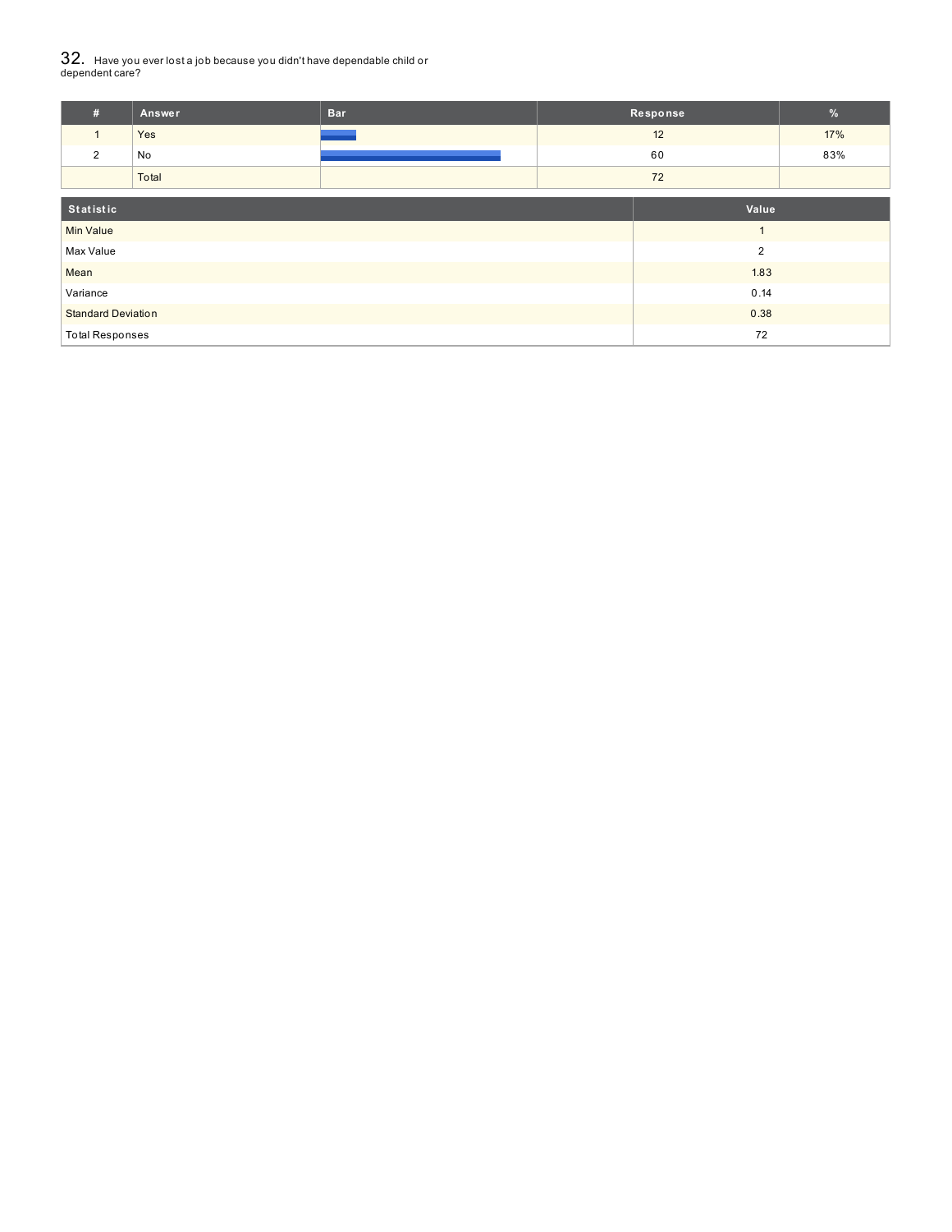# $32_\cdot\,$  Have you ever lost a job because you didn't have dependable child or<br>dependent care?

| #                         | Answer | <b>Bar</b> | Response |                      | $\frac{9}{6}$ |
|---------------------------|--------|------------|----------|----------------------|---------------|
| $\mathbf{1}$              | Yes    |            | 12       |                      | 17%           |
| 2                         | No     |            | 60       |                      | 83%           |
|                           | Total  |            | 72       |                      |               |
| Statistic<br>Value        |        |            |          |                      |               |
| <b>Min Value</b>          |        |            |          | $\blacktriangleleft$ |               |
| Max Value                 |        |            |          | $\overline{2}$       |               |
| Mean                      |        |            | 1.83     |                      |               |
| Variance                  |        |            | 0.14     |                      |               |
| <b>Standard Deviation</b> |        |            |          | 0.38                 |               |
| <b>Total Responses</b>    |        |            |          | 72                   |               |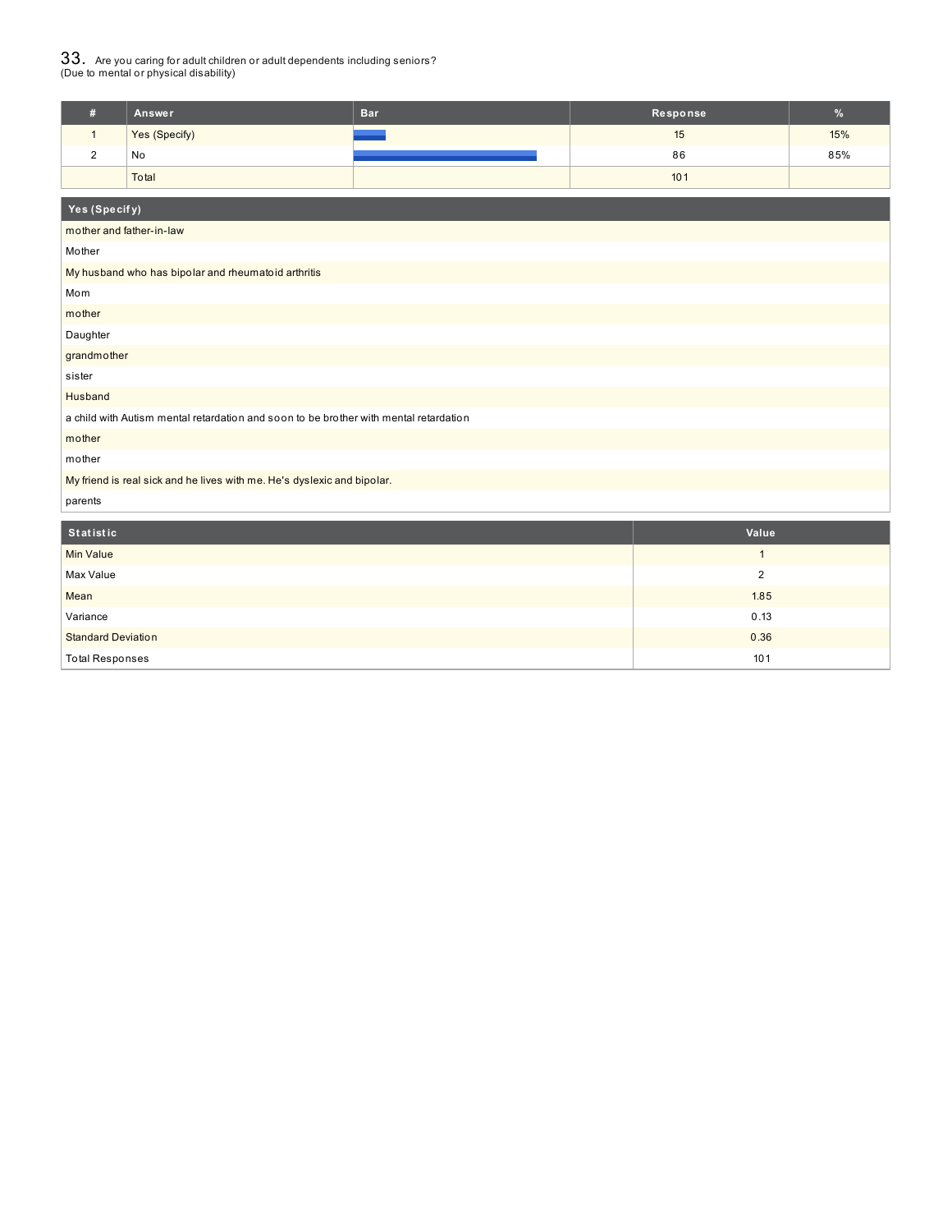# $33_\cdot$  Are you caring for adult children or adult dependents including seniors?<br>(Due to mental or physical disability)

| Answer        | <b>Bar</b> | Response | $\mathcal{A}$ |
|---------------|------------|----------|---------------|
| Yes (Specify) |            | 15       | 15%           |
| No            |            | 86       | 85%           |
| Total         |            | 101      |               |

| Yes (Specify)                                                                         |                         |  |  |  |  |  |
|---------------------------------------------------------------------------------------|-------------------------|--|--|--|--|--|
| mother and father-in-law                                                              |                         |  |  |  |  |  |
| Mother                                                                                |                         |  |  |  |  |  |
| My husband who has bipolar and rheumatoid arthritis                                   |                         |  |  |  |  |  |
| Mom                                                                                   |                         |  |  |  |  |  |
| mother                                                                                |                         |  |  |  |  |  |
| Daughter                                                                              |                         |  |  |  |  |  |
| grandmother                                                                           |                         |  |  |  |  |  |
| sister                                                                                |                         |  |  |  |  |  |
| Husband                                                                               |                         |  |  |  |  |  |
| a child with Autism mental retardation and soon to be brother with mental retardation |                         |  |  |  |  |  |
| mother                                                                                |                         |  |  |  |  |  |
| mother                                                                                |                         |  |  |  |  |  |
| My friend is real sick and he lives with me. He's dyslexic and bipolar.               |                         |  |  |  |  |  |
| parents                                                                               |                         |  |  |  |  |  |
| <b>Statistic</b>                                                                      | Value                   |  |  |  |  |  |
| <b>Min Value</b>                                                                      | $\mathbf{1}$            |  |  |  |  |  |
| Max Value                                                                             | $\overline{\mathbf{c}}$ |  |  |  |  |  |
| Mean                                                                                  | 1.85                    |  |  |  |  |  |
| Variance                                                                              | 0.13                    |  |  |  |  |  |
| <b>Standard Deviation</b>                                                             | 0.36                    |  |  |  |  |  |
| <b>Total Responses</b>                                                                | 101                     |  |  |  |  |  |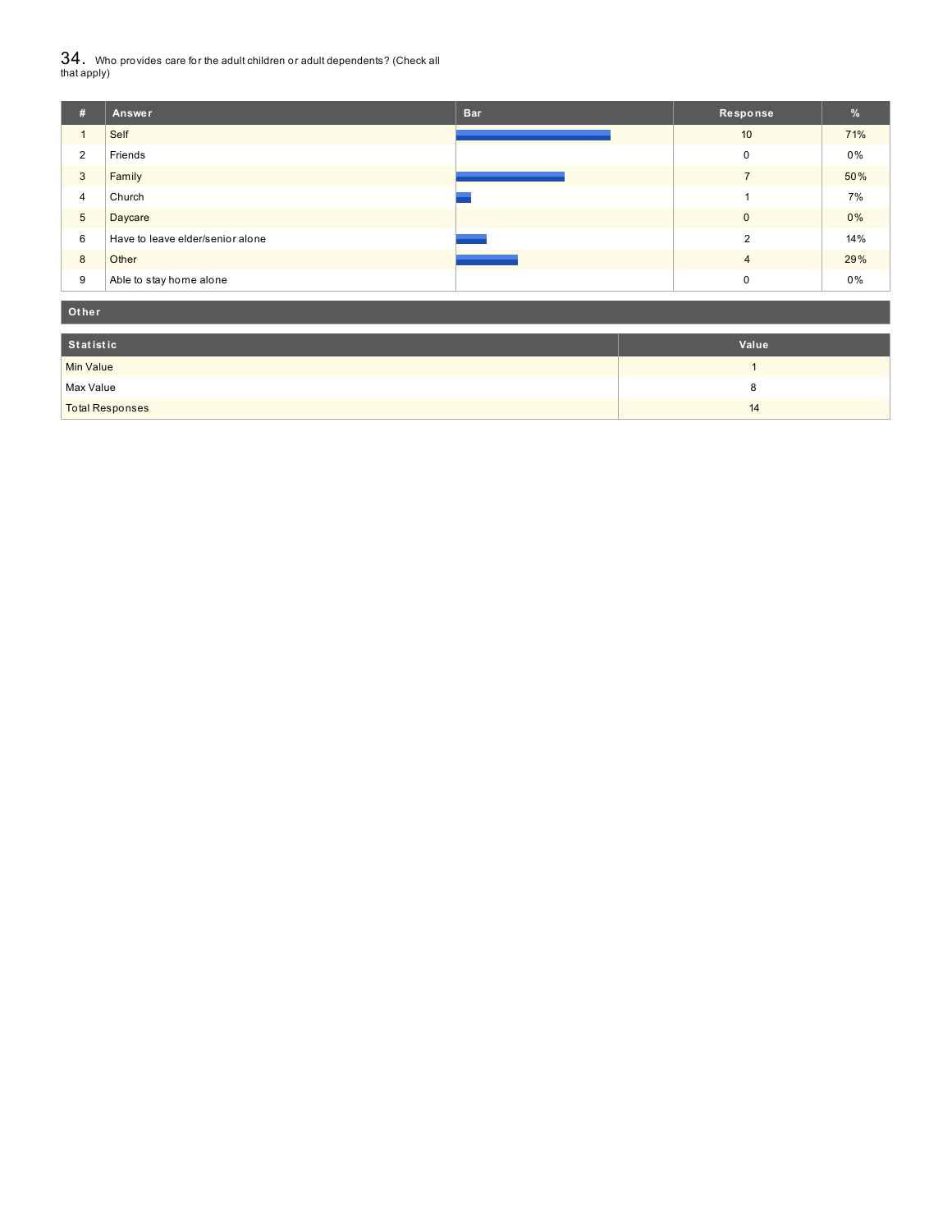${\bf 34}$  . Who provides care for the adult children or adult dependents? (Check all<br>that apply)

| # | Answer                           | <b>Bar</b> | Response     | $\frac{9}{6}$ |
|---|----------------------------------|------------|--------------|---------------|
|   | Self                             |            | 10           | 71%           |
| 2 | Friends                          |            | 0            | 0%            |
| 3 | Family                           |            |              | 50%           |
| 4 | Church                           |            |              | 7%            |
| 5 | Daycare                          |            | $\mathbf{0}$ | 0%            |
| 6 | Have to leave elder/senior alone |            | 2            | 14%           |
| 8 | Other                            |            | 4            | 29%           |
| 9 | Able to stay home alone          |            | 0            | 0%            |

| Other                  |       |
|------------------------|-------|
| Statistic              | Value |
| Min Value              |       |
| Max Value              | c     |
| <b>Total Responses</b> | 14    |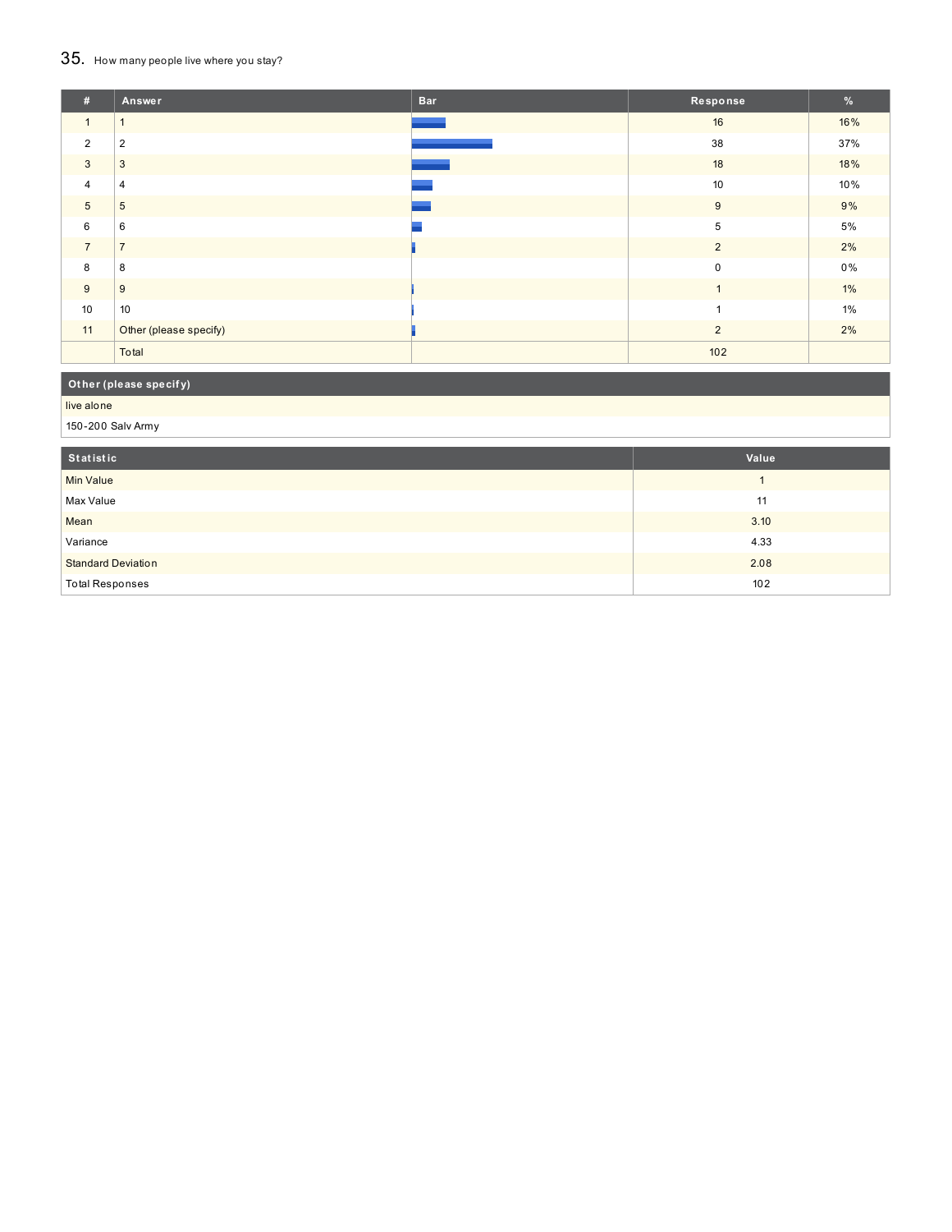# 35. How many people live where you stay?

| #              | <b>Answer</b>          | <b>Bar</b> | Response       | %     |
|----------------|------------------------|------------|----------------|-------|
| $\overline{1}$ |                        |            | 16             | 16%   |
| $\overline{2}$ | $\overline{2}$         |            | 38             | 37%   |
| 3              | 3                      |            | 18             | 18%   |
| $\overline{4}$ | $\overline{4}$         |            | 10             | 10%   |
| $\overline{5}$ | 5                      |            | 9              | 9%    |
| 6              | 6                      |            | 5              | 5%    |
| $\overline{7}$ | $\overline{7}$         |            | $\overline{2}$ | 2%    |
| 8              | 8                      |            | $\mathbf 0$    | $0\%$ |
| 9              | 9                      |            | $\mathbf{1}$   | $1\%$ |
| 10             | 10                     |            | $\overline{A}$ | 1%    |
| 11             | Other (please specify) |            | 2              | 2%    |
|                | Total                  |            | 102            |       |

## **Ot her (please specif y)**

live alone

150-200 Salv Army

| Statistic                 | Value |
|---------------------------|-------|
| Min Value                 |       |
| Max Value                 | 11    |
| Mean                      | 3.10  |
| Variance                  | 4.33  |
| <b>Standard Deviation</b> | 2.08  |
| <b>Total Responses</b>    | 102   |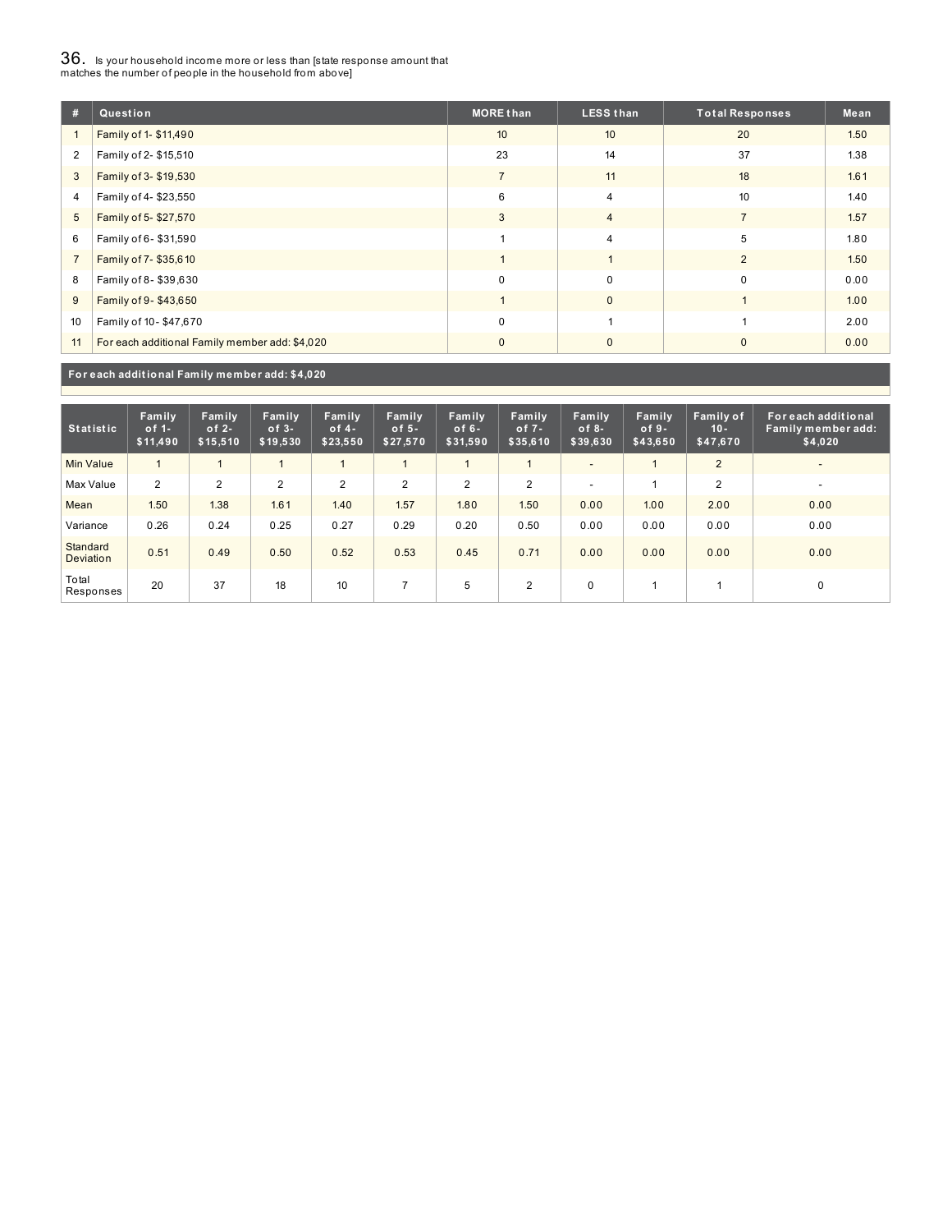# $36_\cdot$  is your household income more or less than [state response amount that<br>matches the number of people in the household from above]

| #              | Question                                       | <b>MORE than</b> | <b>LESS than</b> | <b>Total Responses</b> | Mean |
|----------------|------------------------------------------------|------------------|------------------|------------------------|------|
|                | Family of 1- \$11,490                          | 10               | 10               | 20                     | 1.50 |
| $\overline{2}$ | Family of 2- \$15,510                          | 23               | 14               | 37                     | 1.38 |
| 3              | Family of 3- \$19,530                          | $\overline{7}$   | 11               | 18                     | 1.61 |
| 4              | Family of 4-\$23,550                           | 6                | $\overline{4}$   | 10                     | 1.40 |
| 5              | Family of 5-\$27,570                           | 3                | $\overline{4}$   | $\overline{7}$         | 1.57 |
| 6              | Family of 6-\$31,590                           |                  | $\overline{4}$   | 5                      | 1.80 |
| $\overline{7}$ | Family of 7-\$35,610                           |                  |                  | $\overline{2}$         | 1.50 |
| 8              | Family of 8-\$39,630                           | $\Omega$         | $\Omega$         | $\Omega$               | 0.00 |
| 9              | Family of 9-\$43,650                           |                  | $\mathbf{0}$     |                        | 1.00 |
| 10             | Family of 10-\$47,670                          | $\mathbf 0$      | ۸                |                        | 2.00 |
| 11             | For each additional Family member add: \$4,020 | $\Omega$         | $\mathbf{0}$     | $\Omega$               | 0.00 |

**For each addit ional Family member add: \$4,020**

| <b>Statistic</b>             | Family<br>of $1-$<br>\$11,490 | Family<br>of $2-$<br>\$15,510 | Family<br>$of 3-$<br>\$19,530 | Family<br>of $4-$<br>\$23,550 | Family<br>of $5-$<br>\$27,570 | Family<br>of $6-$<br>\$31,590 | <b>Family</b><br>of $7 -$<br>\$35,610 | Family<br>$of 8-$<br>\$39,630 | Family<br>$of 9-$<br>\$43,650 | Family of<br>$10 -$<br>\$47,670 | For each additional<br>Family member add:<br>\$4,020 |
|------------------------------|-------------------------------|-------------------------------|-------------------------------|-------------------------------|-------------------------------|-------------------------------|---------------------------------------|-------------------------------|-------------------------------|---------------------------------|------------------------------------------------------|
| <b>Min Value</b>             |                               |                               |                               |                               |                               |                               |                                       | -                             |                               | 2                               | $\overline{\phantom{a}}$                             |
| Max Value                    | 2                             | $\overline{2}$                | $\overline{2}$                | 2                             | $\overline{2}$                | $\overline{2}$                | $\overline{2}$                        | -                             |                               | $\overline{2}$                  | $\overline{\phantom{a}}$                             |
| Mean                         | 1.50                          | 1.38                          | 1.61                          | 1.40                          | 1.57                          | 1.80                          | 1.50                                  | 0.00                          | 1.00                          | 2.00                            | 0.00                                                 |
| Variance                     | 0.26                          | 0.24                          | 0.25                          | 0.27                          | 0.29                          | 0.20                          | 0.50                                  | 0.00                          | 0.00                          | 0.00                            | 0.00                                                 |
| Standard<br><b>Deviation</b> | 0.51                          | 0.49                          | 0.50                          | 0.52                          | 0.53                          | 0.45                          | 0.71                                  | 0.00                          | 0.00                          | 0.00                            | 0.00                                                 |
| Total<br>Responses           | 20                            | 37                            | 18                            | 10                            |                               | 5                             | $\overline{2}$                        | $\mathbf 0$                   |                               |                                 | 0                                                    |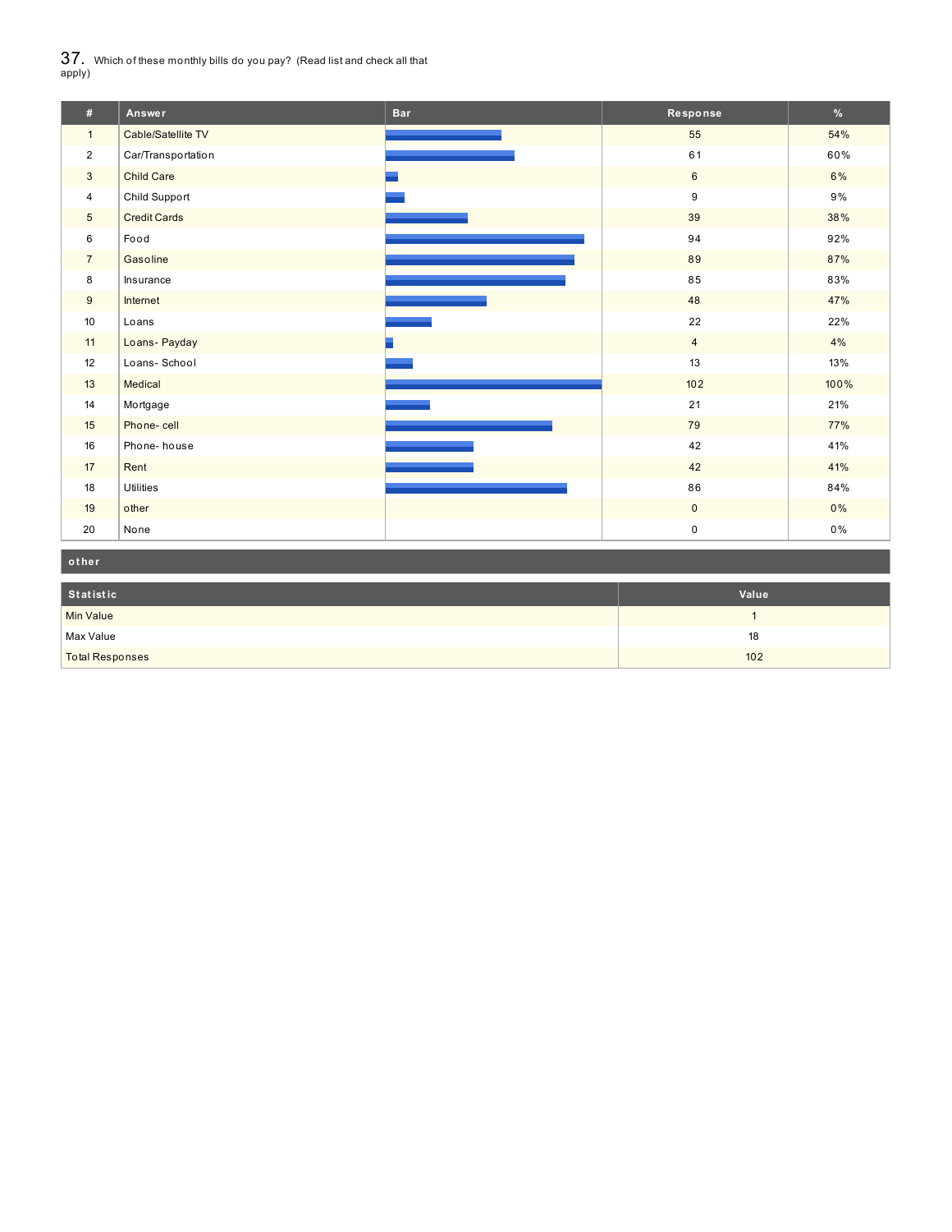$37_\cdot$  Which of these monthly bills do you pay? (Read list and check all that apply)

| #              | Answer              | <b>Bar</b> | Response       | $\%$  |
|----------------|---------------------|------------|----------------|-------|
| $\mathbf{1}$   | Cable/Satellite TV  |            | 55             | 54%   |
| $\overline{2}$ | Car/Transportation  |            | 61             | 60%   |
| $\mathbf{3}$   | <b>Child Care</b>   |            | 6              | 6%    |
| $\overline{4}$ | Child Support       |            | 9              | $9\%$ |
| 5 <sup>5</sup> | <b>Credit Cards</b> |            | 39             | 38%   |
| 6              | Food                |            | 94             | 92%   |
| $7^{\circ}$    | Gasoline            |            | 89             | 87%   |
| 8              | Insurance           |            | 85             | 83%   |
| 9              | Internet            |            | 48             | 47%   |
| 10             | Loans               |            | 22             | 22%   |
| 11             | Loans-Payday        |            | $\overline{4}$ | 4%    |
| 12             | Loans-School        |            | 13             | 13%   |
| 13             | Medical             |            | 102            | 100%  |
| 14             | Mortgage            |            | 21             | 21%   |
| 15             | Phone-cell          |            | 79             | 77%   |
| 16             | Phone-house         |            | 42             | 41%   |
| 17             | Rent                |            | 42             | 41%   |
| 18             | <b>Utilities</b>    |            | 86             | 84%   |
| 19             | other               |            | $\overline{0}$ | 0%    |
| 20             | None                |            | 0              | $0\%$ |

| other                  |       |
|------------------------|-------|
| Statistic              | Value |
| <b>Min Value</b>       |       |
| Max Value              | 18    |
| <b>Total Responses</b> | 102   |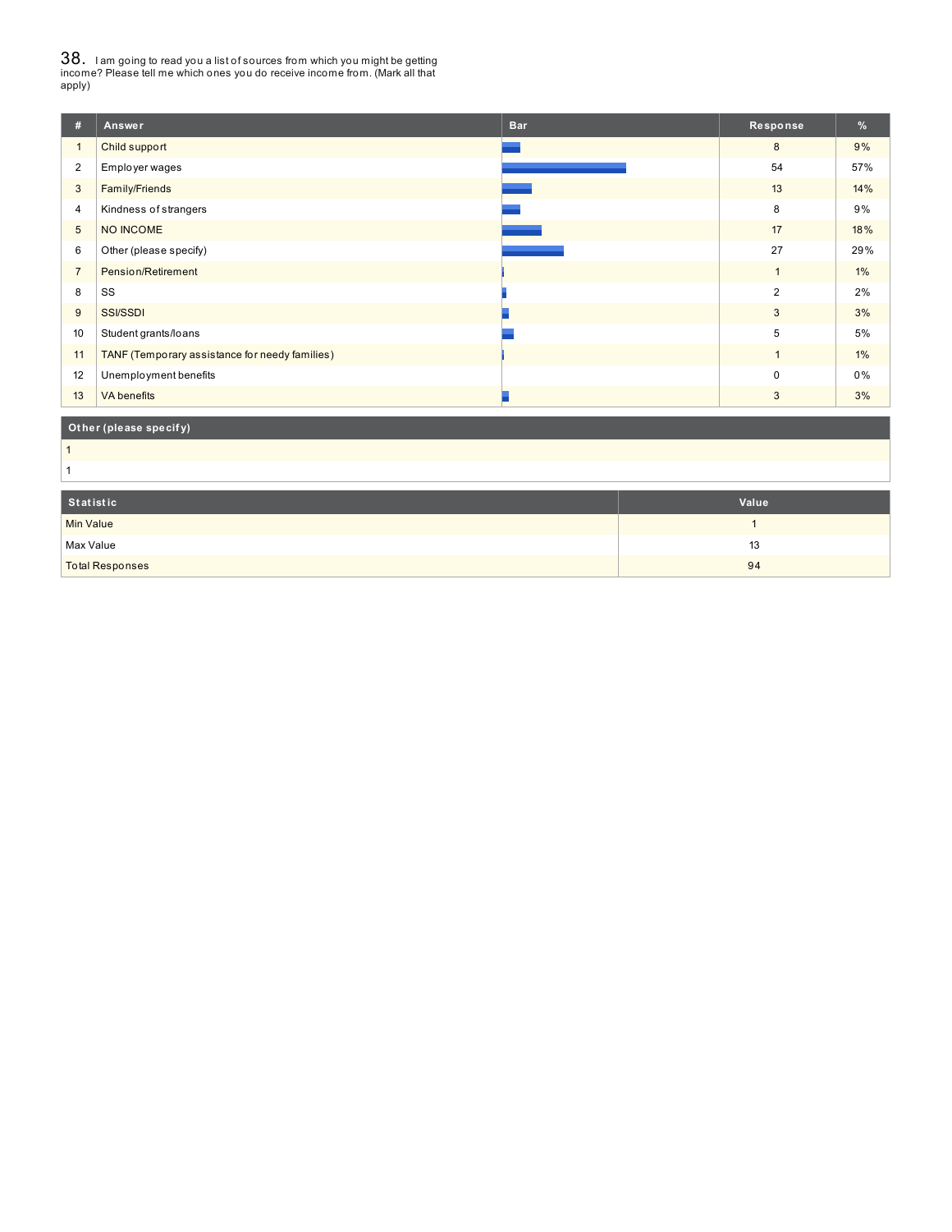38. <sup>I</sup> am going to read you <sup>a</sup> list of sources from which you might be getting income? Please tell me which ones you do receive income from. (Mark all that apply)

| #               | Answer                                         | <b>Bar</b> | Response       | %     |
|-----------------|------------------------------------------------|------------|----------------|-------|
| $\mathbf{1}$    | Child support                                  |            | 8              | 9%    |
| $\overline{2}$  | Employer wages                                 |            | 54             | 57%   |
| 3               | Family/Friends                                 |            | 13             | 14%   |
| 4               | Kindness of strangers                          |            | 8              | 9%    |
| $5\overline{)}$ | NO INCOME                                      |            | 17             | 18%   |
| 6               | Other (please specify)                         |            | 27             | 29%   |
| $\overline{7}$  | Pension/Retirement                             |            |                | $1\%$ |
| 8               | SS                                             |            | $\overline{2}$ | 2%    |
| 9               | <b>SSI/SSDI</b>                                |            | 3              | 3%    |
| 10              | Student grants/loans                           |            | 5              | 5%    |
| 11              | TANF (Temporary assistance for needy families) |            |                | 1%    |
| 12              | Unemployment benefits                          |            | $\Omega$       | 0%    |
| 13              | <b>VA</b> benefits                             |            | 3              | 3%    |

### **Ot her (please specif y)**

 

| Statistic              | Value |
|------------------------|-------|
| Min Value              |       |
| Max Value              | 13    |
| <b>Total Responses</b> | 94    |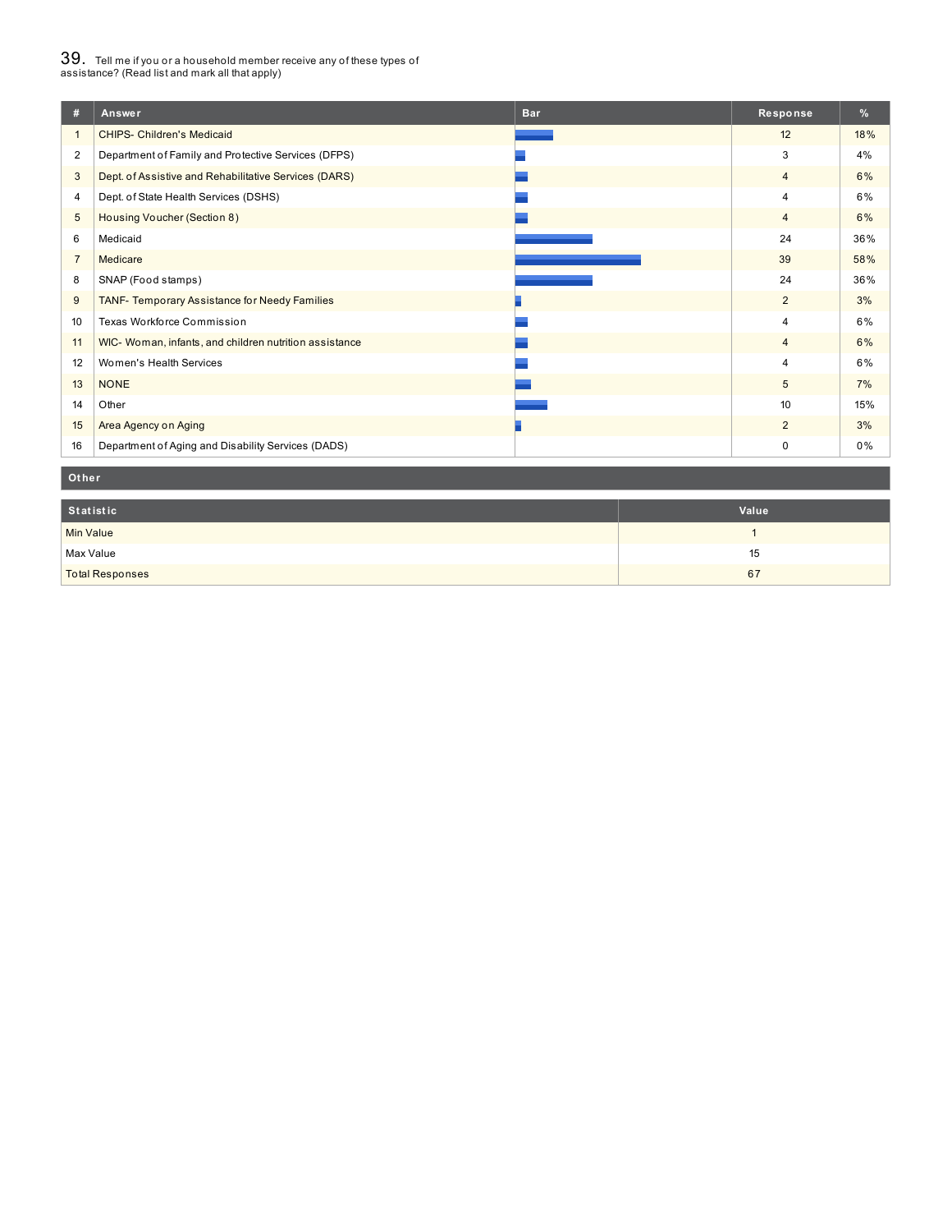# $39_\cdot$  Tell me if you or a household member receive any of these types of<br>assistance? (Read list and mark all that apply)

| #              | Answer                                                 | <b>Bar</b> | Response       | %   |
|----------------|--------------------------------------------------------|------------|----------------|-----|
|                | <b>CHIPS- Children's Medicaid</b>                      |            | 12             | 18% |
| $\overline{2}$ | Department of Family and Protective Services (DFPS)    |            | 3              | 4%  |
| 3              | Dept. of Assistive and Rehabilitative Services (DARS)  |            | $\overline{4}$ | 6%  |
| 4              | Dept. of State Health Services (DSHS)                  |            | $\overline{4}$ | 6%  |
| 5              | Housing Voucher (Section 8)                            |            | $\overline{4}$ | 6%  |
| 6              | Medicaid                                               |            | 24             | 36% |
| $\overline{7}$ | Medicare                                               |            | 39             | 58% |
| 8              | SNAP (Food stamps)                                     |            | 24             | 36% |
| 9              | TANF- Temporary Assistance for Needy Families          |            | $\overline{2}$ | 3%  |
| 10             | Texas Workforce Commission                             |            | $\overline{4}$ | 6%  |
| 11             | WIC- Woman, infants, and children nutrition assistance |            | $\overline{4}$ | 6%  |
| 12             | Women's Health Services                                |            | $\overline{4}$ | 6%  |
| 13             | <b>NONE</b>                                            |            | 5              | 7%  |
| 14             | Other                                                  |            | 10             | 15% |
| 15             | Area Agency on Aging                                   |            | $\overline{2}$ | 3%  |
| 16             | Department of Aging and Disability Services (DADS)     |            | 0              | 0%  |

#### **Ot her**

| Statistic              | Value |
|------------------------|-------|
| Min Value              |       |
| Max Value              | 15    |
| <b>Total Responses</b> | 67    |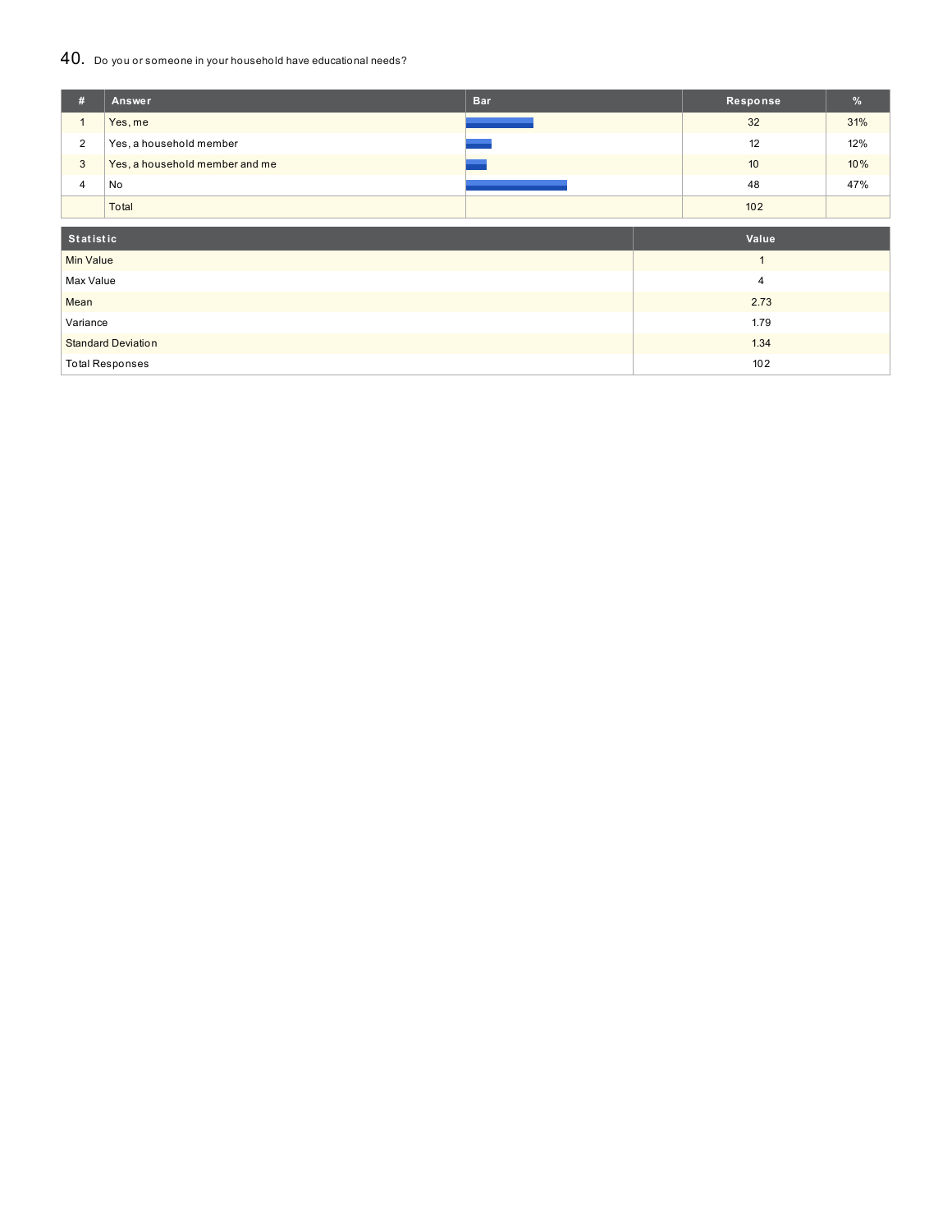### 40. Do you or someone in your household have educational needs?

| #                         | Answer                         | <b>Bar</b> | Response     | %   |
|---------------------------|--------------------------------|------------|--------------|-----|
| $\mathbf{1}$              | Yes, me                        |            | 32           | 31% |
| $\overline{2}$            | Yes, a household member        |            | 12           | 12% |
| $\mathbf{3}$              | Yes, a household member and me |            | 10           | 10% |
| 4                         | No                             |            | 48           | 47% |
|                           | Total                          |            | 102          |     |
|                           |                                |            |              |     |
| Statistic                 |                                |            | Value        |     |
| <b>Min Value</b>          |                                |            | $\mathbf{1}$ |     |
| Max Value                 |                                |            | 4            |     |
| Mean                      |                                |            | 2.73         |     |
| Variance                  |                                |            | 1.79         |     |
| <b>Standard Deviation</b> |                                |            | 1.34         |     |
|                           | <b>Total Responses</b>         |            | 102          |     |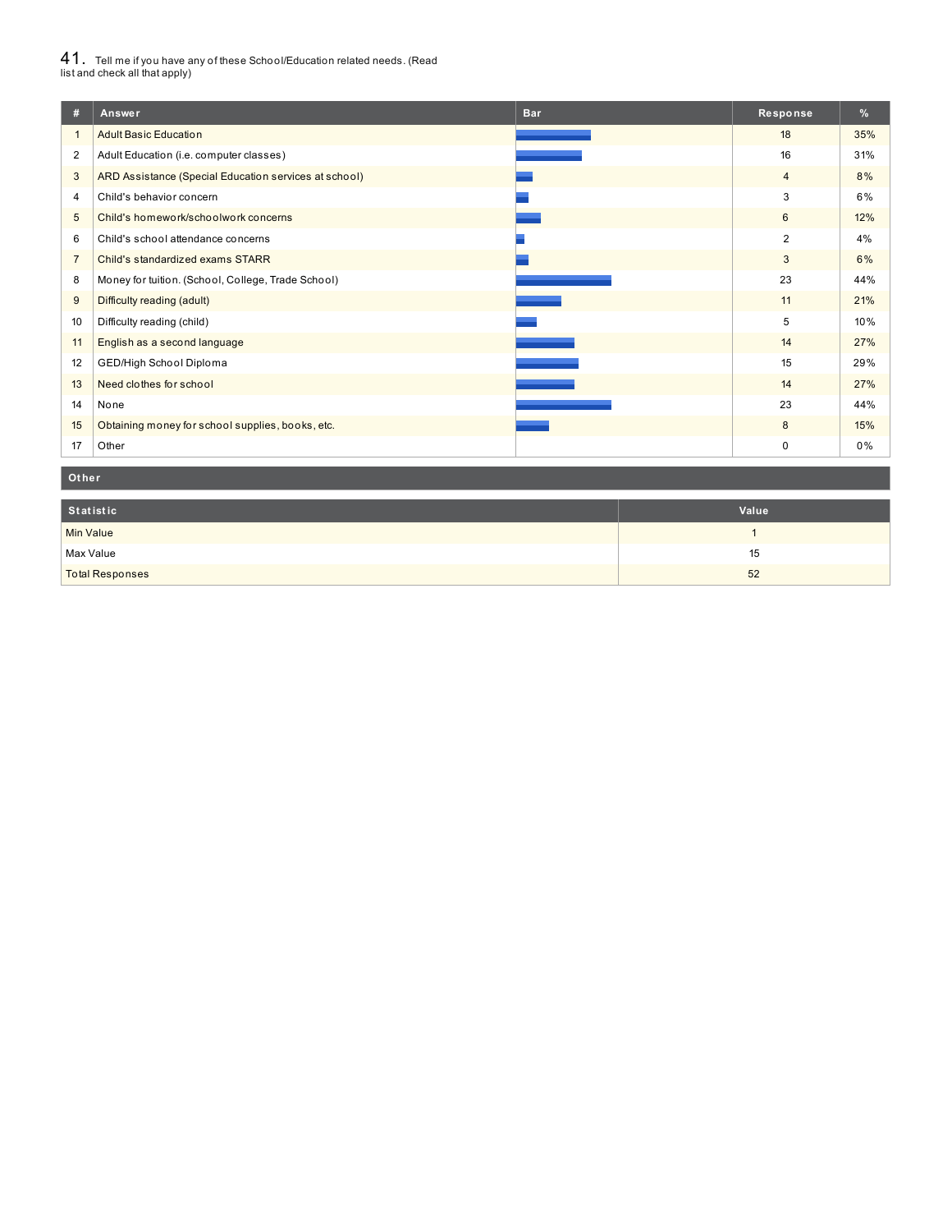# $41_\cdot$  Tell me if you have any of these School/Education related needs. (Read<br>list and check all that apply)

| #                | Answer<br><b>Bar</b>                                  | Response       | $\%$ |
|------------------|-------------------------------------------------------|----------------|------|
|                  | <b>Adult Basic Education</b>                          | 18             | 35%  |
| $\overline{2}$   | Adult Education (i.e. computer classes)               | 16             | 31%  |
| 3                | ARD Assistance (Special Education services at school) | $\overline{4}$ | 8%   |
| 4                | Child's behavior concern                              | 3              | 6%   |
| 5                | Child's homework/schoolwork concerns                  | 6              | 12%  |
| 6                | Child's school attendance concerns                    | $\overline{2}$ | 4%   |
| $\overline{7}$   | Child's standardized exams STARR                      | 3              | 6%   |
| 8                | Money for tuition. (School, College, Trade School)    | 23             | 44%  |
| 9                | Difficulty reading (adult)                            | 11             | 21%  |
| 10 <sup>10</sup> | Difficulty reading (child)                            | 5              | 10%  |
| 11               | English as a second language                          | 14             | 27%  |
| 12               | GED/High School Diploma                               | 15             | 29%  |
| 13               | Need clothes for school                               | 14             | 27%  |
| 14               | None                                                  | 23             | 44%  |
| 15               | Obtaining money for school supplies, books, etc.      | 8              | 15%  |
| 17               | Other                                                 | $\mathbf 0$    | 0%   |

#### **Ot her**

| Statistic              | Value |
|------------------------|-------|
| <b>Min Value</b>       |       |
| Max Value              | 15    |
| <b>Total Responses</b> | 52    |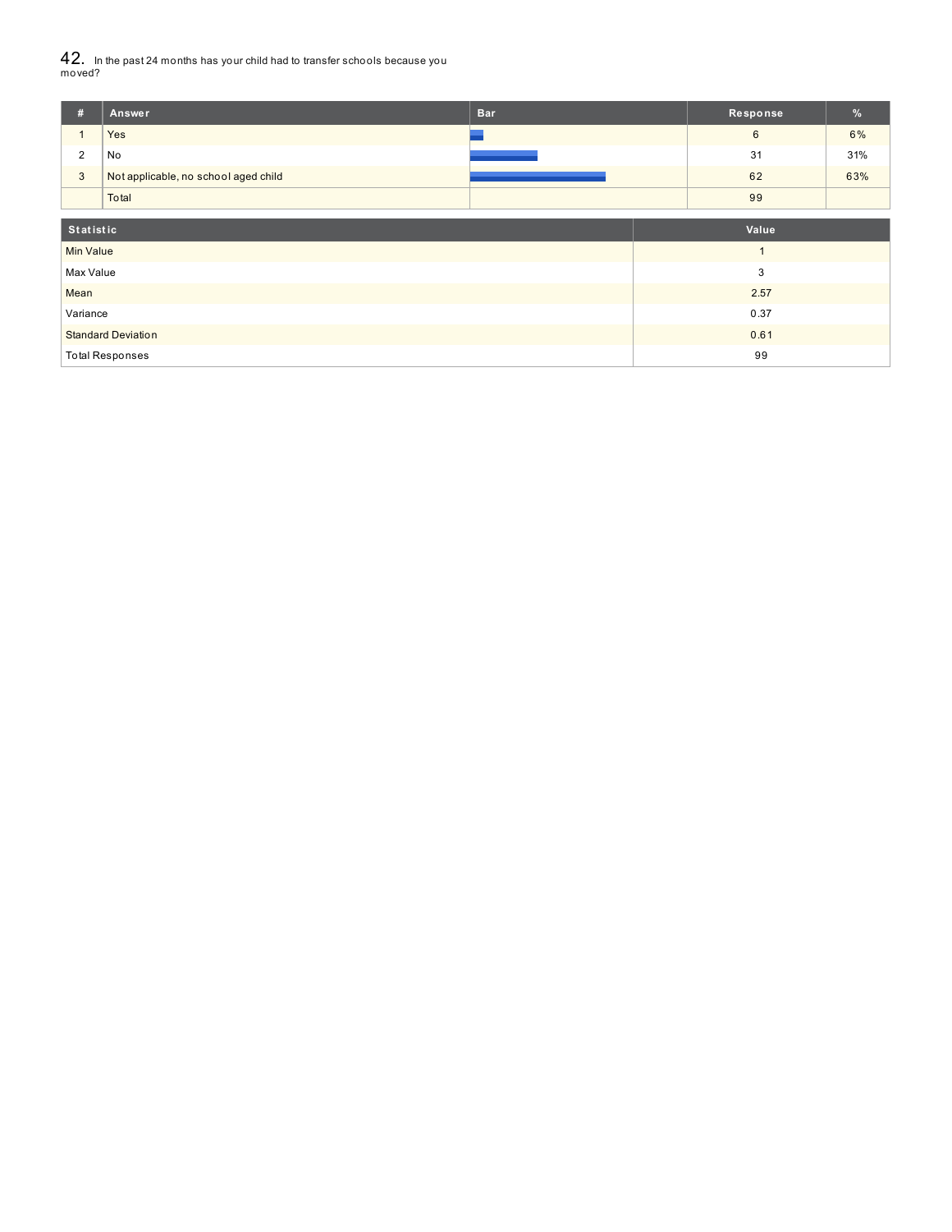42. In the past <sup>24</sup> months has your child had to transfer schools because you moved?

| #                         | Answer                               | <b>Bar</b> |      | Response | $\frac{9}{6}$ |
|---------------------------|--------------------------------------|------------|------|----------|---------------|
|                           | Yes                                  |            |      | 6        | 6%            |
| $\overline{2}$            | No                                   |            |      | 31       | 31%           |
| $\mathbf{3}$              | Not applicable, no school aged child |            |      | 62       | 63%           |
|                           | Total                                |            |      | 99       |               |
|                           |                                      |            |      | Value    |               |
|                           | Statistic                            |            |      |          |               |
| <b>Min Value</b>          |                                      |            |      |          |               |
| Max Value                 |                                      |            | 3    |          |               |
| Mean                      |                                      |            | 2.57 |          |               |
| Variance                  |                                      |            | 0.37 |          |               |
| <b>Standard Deviation</b> |                                      |            | 0.61 |          |               |
|                           | <b>Total Responses</b>               |            | 99   |          |               |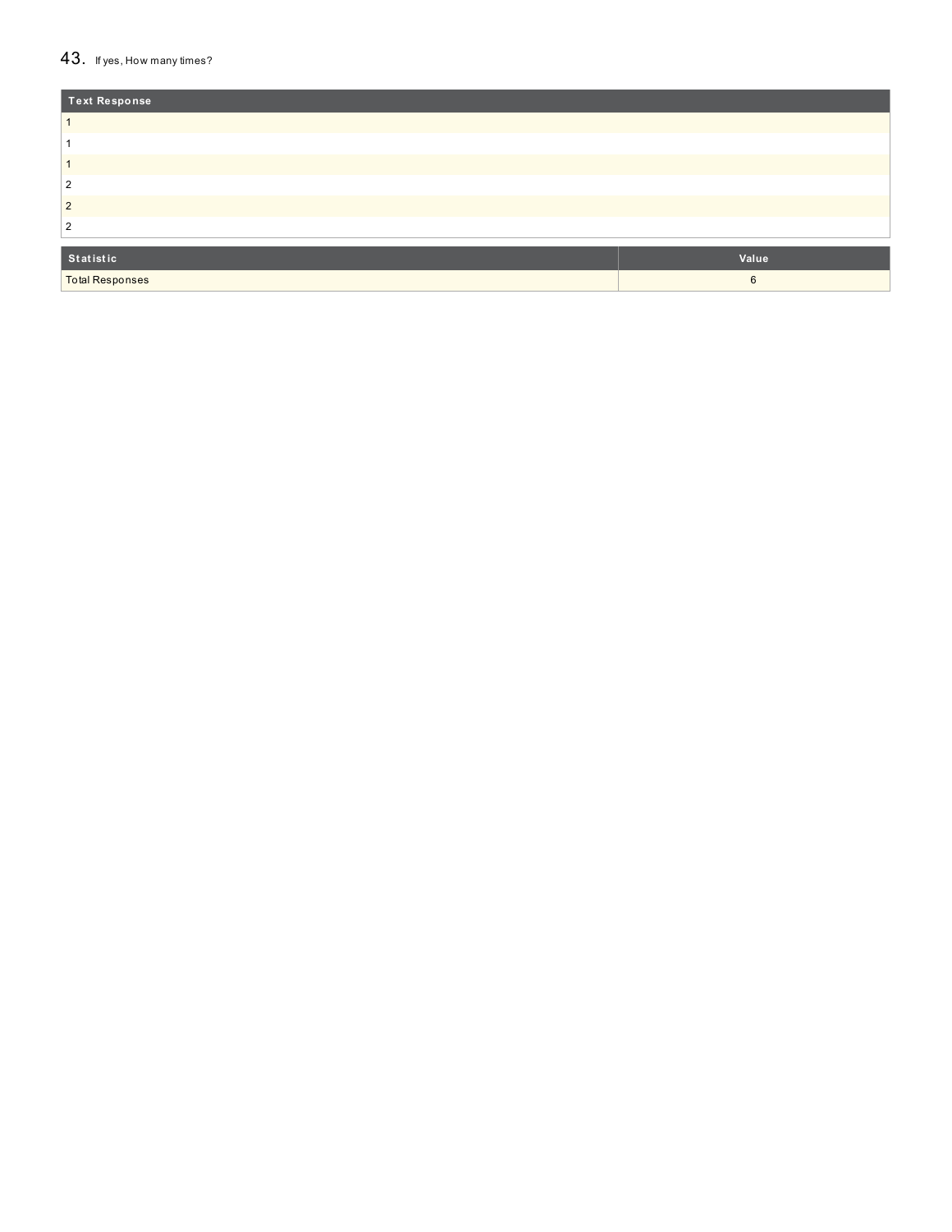#### $43.$  If yes, How many times?

| Text Response          |       |
|------------------------|-------|
|                        |       |
|                        |       |
|                        |       |
| 2                      |       |
| $\overline{2}$         |       |
| 2                      |       |
|                        |       |
| Statistic              | Value |
| <b>Total Responses</b> | 6     |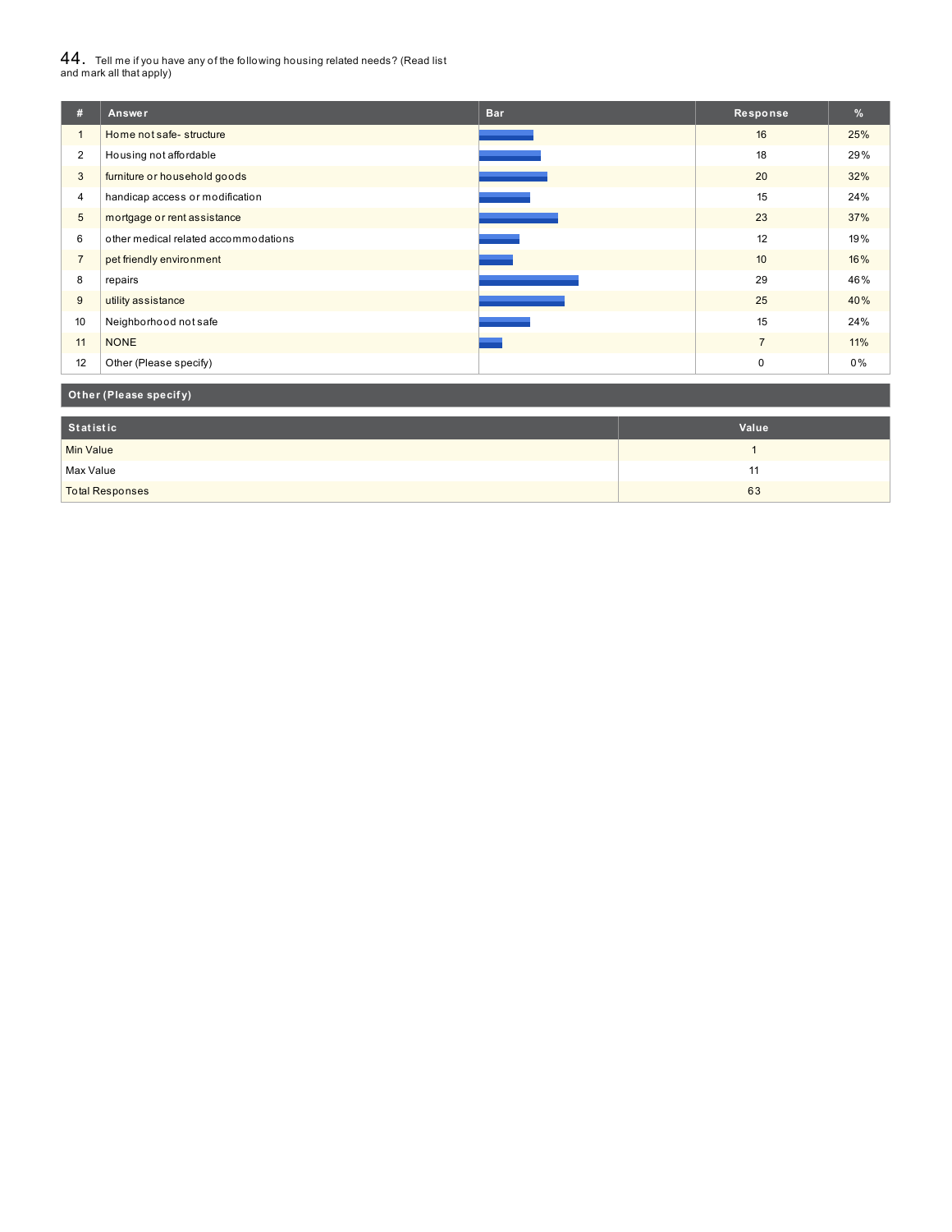# $44_\cdot$  Tell me if you have any of the following housing related needs? (Read list<br>and mark all that apply)

| #              | Answer                               | <b>Bar</b> | Response         | %   |
|----------------|--------------------------------------|------------|------------------|-----|
| $\mathbf{1}$   | Home not safe-structure              |            | 16               | 25% |
| $\overline{2}$ | Housing not affordable               |            | 18               | 29% |
| 3              | furniture or household goods         |            | 20               | 32% |
| $\overline{4}$ | handicap access or modification      |            | 15               | 24% |
| 5              | mortgage or rent assistance          |            | 23               | 37% |
| 6              | other medical related accommodations |            | 12               | 19% |
| $\overline{7}$ | pet friendly environment             |            | 10 <sup>10</sup> | 16% |
| 8              | repairs                              |            | 29               | 46% |
| 9              | utility assistance                   |            | 25               | 40% |
| 10             | Neighborhood not safe                |            | 15               | 24% |
| 11             | <b>NONE</b>                          |            | $\overline{7}$   | 11% |
| 12             | Other (Please specify)               |            | $\mathbf 0$      | 0%  |

### **Ot her (Please specif y)**

| Statistic              | Value |
|------------------------|-------|
| <b>Min Value</b>       |       |
| Max Value              | . .   |
| <b>Total Responses</b> | 63    |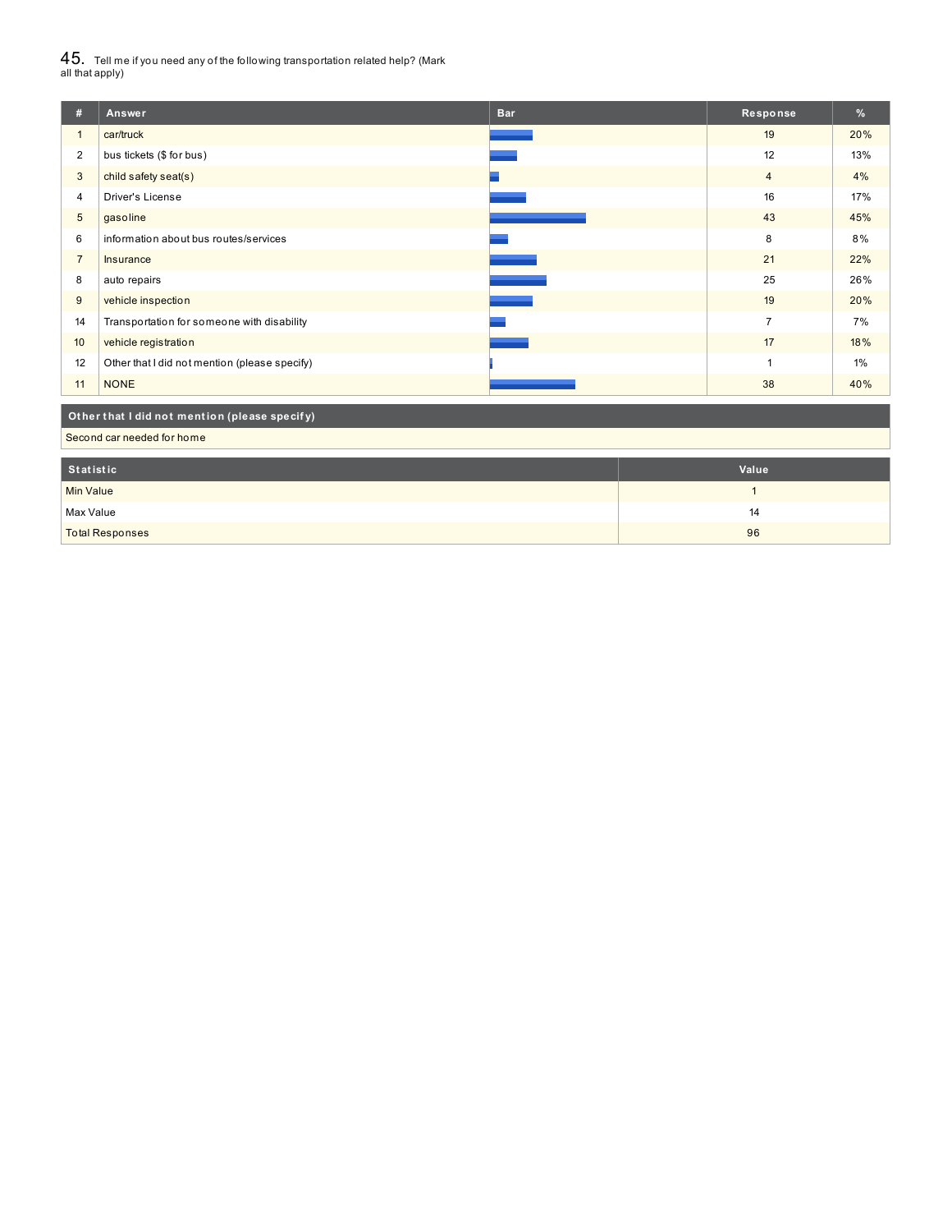$45_\cdot$  Tell me if you need any of the following transportation related help? (Mark<br>all that apply)

| #                | Answer                                        | <b>Bar</b> | Response       | %     |  |
|------------------|-----------------------------------------------|------------|----------------|-------|--|
| $\mathbf{1}$     | car/truck                                     |            | 19             | 20%   |  |
| 2                | bus tickets (\$ for bus)                      |            | 12             | 13%   |  |
| 3                | child safety seat(s)                          |            | $\overline{4}$ | 4%    |  |
| 4                | Driver's License                              |            | 16             | 17%   |  |
| $\sqrt{5}$       | gasoline                                      |            | 43             | 45%   |  |
| 6                | information about bus routes/services         |            | 8              | 8%    |  |
| $\overline{7}$   | Insurance                                     |            | 21             | 22%   |  |
| 8                | auto repairs                                  |            | 25             | 26%   |  |
| 9                | vehicle inspection                            |            | 19             | 20%   |  |
| 14               | Transportation for someone with disability    |            | $\overline{7}$ | 7%    |  |
| 10               | vehicle registration                          |            | 17             | 18%   |  |
| 12               | Other that I did not mention (please specify) |            | 1              | $1\%$ |  |
| 11               | <b>NONE</b>                                   |            | 38             | 40%   |  |
|                  | Other that I did not mention (please specify) |            |                |       |  |
|                  | Second car needed for home                    |            |                |       |  |
| <b>Statistic</b> |                                               |            | Value          |       |  |
| <b>Min Value</b> |                                               |            | 1              |       |  |

Max Value 2020 and 2020 and 2020 and 2020 and 2020 and 2020 and 2020 and 2020 and 2020 and 2020 and 2020 and 20 total Responses and the control of the control of the control of the control of the control of the control of the control of the control of the control of the control of the control of the control of the control of the co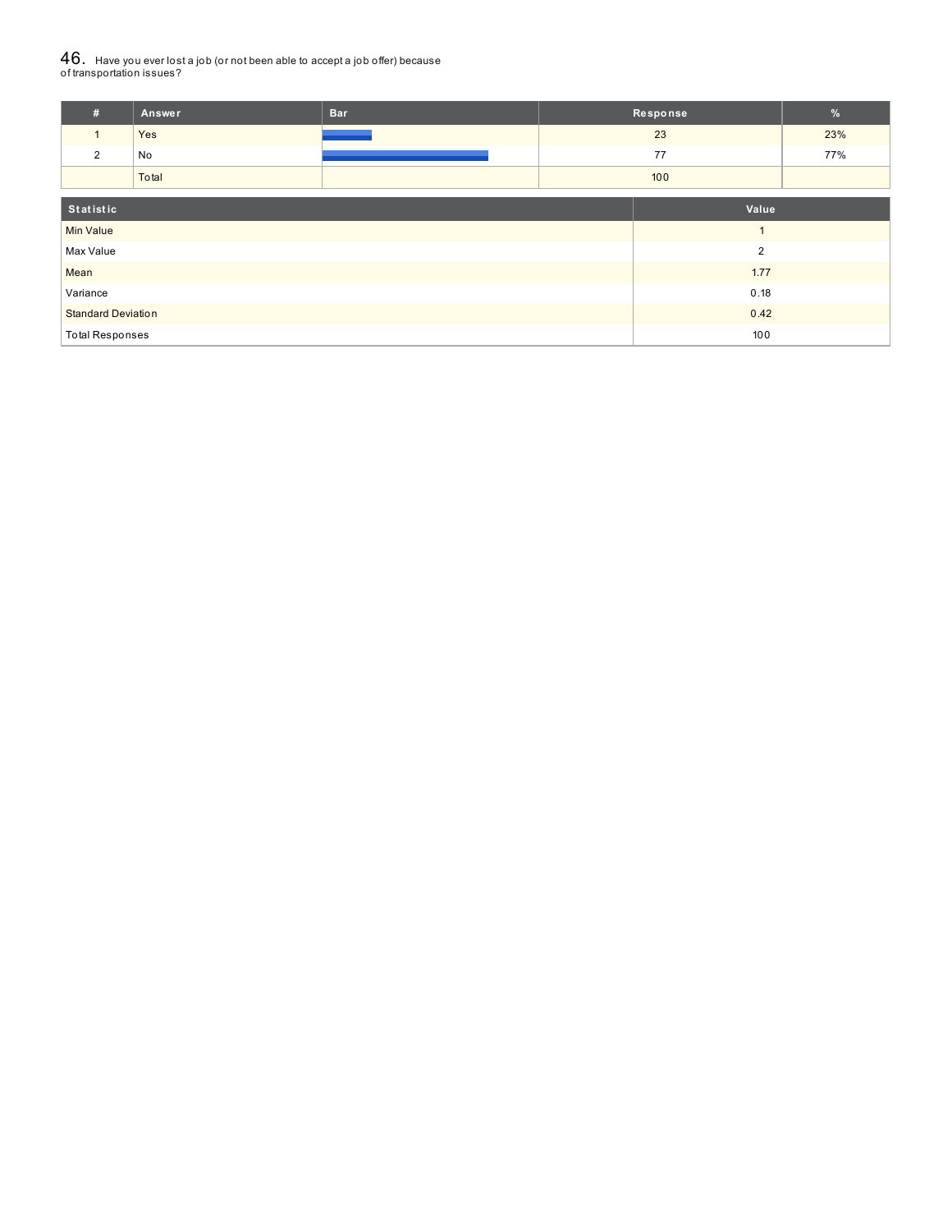# ${\bf 46}_{\cdot}\,$  Have you ever lost a job (or not been able to accept a job offer) because<br>of transportation issues?

| #                         | Answer | <b>Bar</b> |                | Response | $\%$ |
|---------------------------|--------|------------|----------------|----------|------|
| $\mathbf{1}$              | Yes    |            |                | 23       | 23%  |
| 2                         | No     |            | 77             |          | 77%  |
|                           | Total  |            | 100            |          |      |
| Statistic<br>Value        |        |            |                |          |      |
| <b>Min Value</b>          |        |            |                |          |      |
| Max Value                 |        |            | $\overline{2}$ |          |      |
| Mean                      |        |            |                | 1.77     |      |
| Variance                  |        |            | 0.18           |          |      |
| <b>Standard Deviation</b> |        |            | 0.42           |          |      |
| <b>Total Responses</b>    |        |            | 100            |          |      |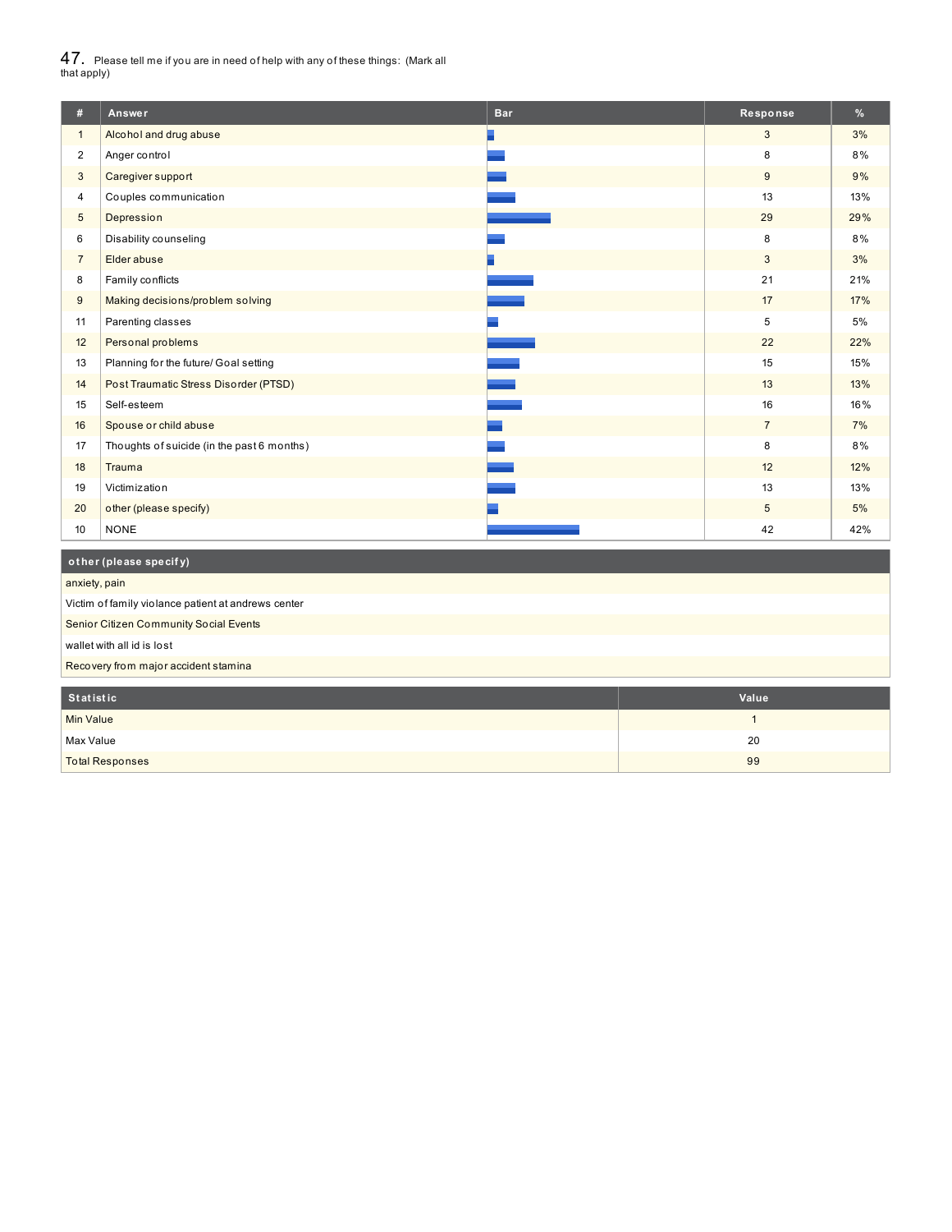$47_\cdot$  Please tell me if you are in need of help with any of these things: (Mark all<br>that apply)

| #              | Answer                                     | <b>Bar</b> | Response       | %   |
|----------------|--------------------------------------------|------------|----------------|-----|
| $\mathbf{1}$   | Alcohol and drug abuse                     |            | 3              | 3%  |
| $\overline{2}$ | Anger control                              |            | 8              | 8%  |
| 3              | Caregiver support                          |            | 9              | 9%  |
| 4              | Couples communication                      |            | 13             | 13% |
| 5              | Depression                                 |            | 29             | 29% |
| 6              | Disability counseling                      |            | 8              | 8%  |
| $\overline{7}$ | Elder abuse                                |            | 3              | 3%  |
| 8              | Family conflicts                           |            | 21             | 21% |
| 9              | Making decisions/problem solving           |            | 17             | 17% |
| 11             | Parenting classes                          |            | 5              | 5%  |
| 12             | Personal problems                          |            | 22             | 22% |
| 13             | Planning for the future/ Goal setting      |            | 15             | 15% |
| 14             | Post Traumatic Stress Disorder (PTSD)      |            | 13             | 13% |
| 15             | Self-esteem                                |            | 16             | 16% |
| 16             | Spouse or child abuse                      |            | $\overline{7}$ | 7%  |
| 17             | Thoughts of suicide (in the past 6 months) |            | 8              | 8%  |
| 18             | Trauma                                     |            | 12             | 12% |
| 19             | Victimization                              |            | 13             | 13% |
| 20             | other (please specify)                     |            | 5              | 5%  |
| 10             | <b>NONE</b>                                |            | 42             | 42% |

# **ot her (please specif y)**

anxiety, pain

Victim of family violance patient at andrews center

Senior Citizen Community Social Events

wallet with all id is lost

Recovery from major accident stamina

| Statistic              | Value |
|------------------------|-------|
| <b>Min Value</b>       |       |
| Max Value              | 20    |
| <b>Total Responses</b> | 99    |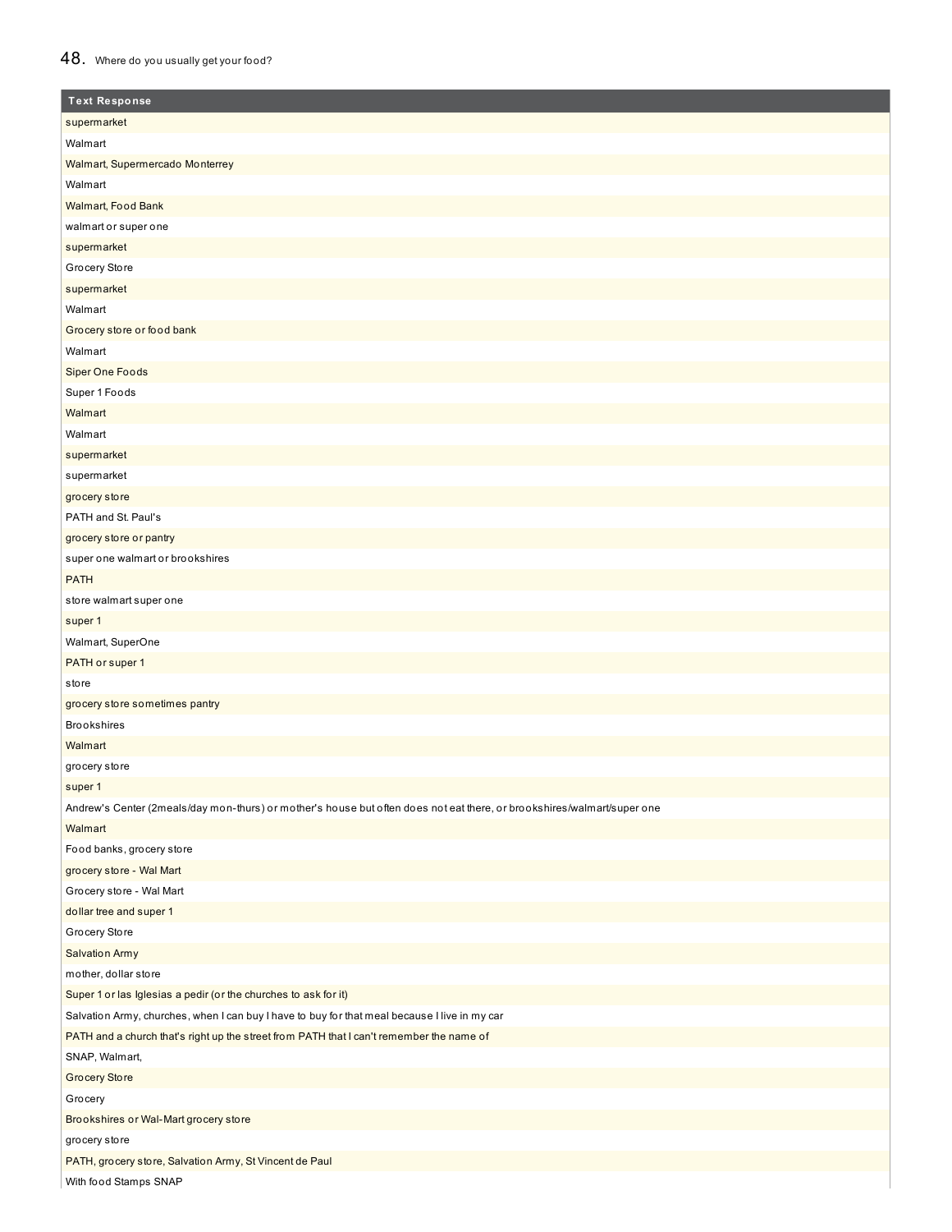## 48. Where do you usually get your food?

| <b>Text Response</b>                                                                                                    |
|-------------------------------------------------------------------------------------------------------------------------|
| supermarket                                                                                                             |
| Walmart                                                                                                                 |
| Walmart, Supermercado Monterrey                                                                                         |
| Walmart                                                                                                                 |
| Walmart, Food Bank                                                                                                      |
| walmart or super one                                                                                                    |
| supermarket                                                                                                             |
| Grocery Store                                                                                                           |
| supermarket                                                                                                             |
| Walmart                                                                                                                 |
| Grocery store or food bank                                                                                              |
| Walmart                                                                                                                 |
| <b>Siper One Foods</b>                                                                                                  |
| Super 1 Foods                                                                                                           |
| Walmart                                                                                                                 |
| Walmart                                                                                                                 |
| supermarket                                                                                                             |
| supermarket                                                                                                             |
| grocery store                                                                                                           |
| PATH and St. Paul's                                                                                                     |
| grocery store or pantry                                                                                                 |
| super one walmart or brookshires                                                                                        |
| <b>PATH</b>                                                                                                             |
| store walmart super one                                                                                                 |
| super 1                                                                                                                 |
| Walmart, SuperOne                                                                                                       |
| PATH or super 1                                                                                                         |
| store                                                                                                                   |
| grocery store sometimes pantry                                                                                          |
| <b>Brookshires</b>                                                                                                      |
| Walmart                                                                                                                 |
| grocery store                                                                                                           |
| super 1                                                                                                                 |
| Andrew's Center (2meals/day mon-thurs) or mother's house but often does not eat there, or brookshires/walmart/super one |
| Walmart                                                                                                                 |
| Food banks, grocery store                                                                                               |
| grocery store - Wal Mart                                                                                                |
| Grocery store - Wal Mart                                                                                                |
| dollar tree and super 1                                                                                                 |
| Grocery Store                                                                                                           |
| <b>Salvation Army</b>                                                                                                   |
| mother, dollar store                                                                                                    |
| Super 1 or las Iglesias a pedir (or the churches to ask for it)                                                         |
| Salvation Army, churches, when I can buy I have to buy for that meal because I live in my car                           |
| PATH and a church that's right up the street from PATH that I can't remember the name of                                |
| SNAP, Walmart,                                                                                                          |
| <b>Grocery Store</b>                                                                                                    |
| Grocery                                                                                                                 |
| Brookshires or Wal-Mart grocery store                                                                                   |
| grocery store                                                                                                           |
| PATH, grocery store, Salvation Army, St Vincent de Paul                                                                 |
| ومنعودها<br><b>CALAP</b>                                                                                                |

With food Stamps SNAP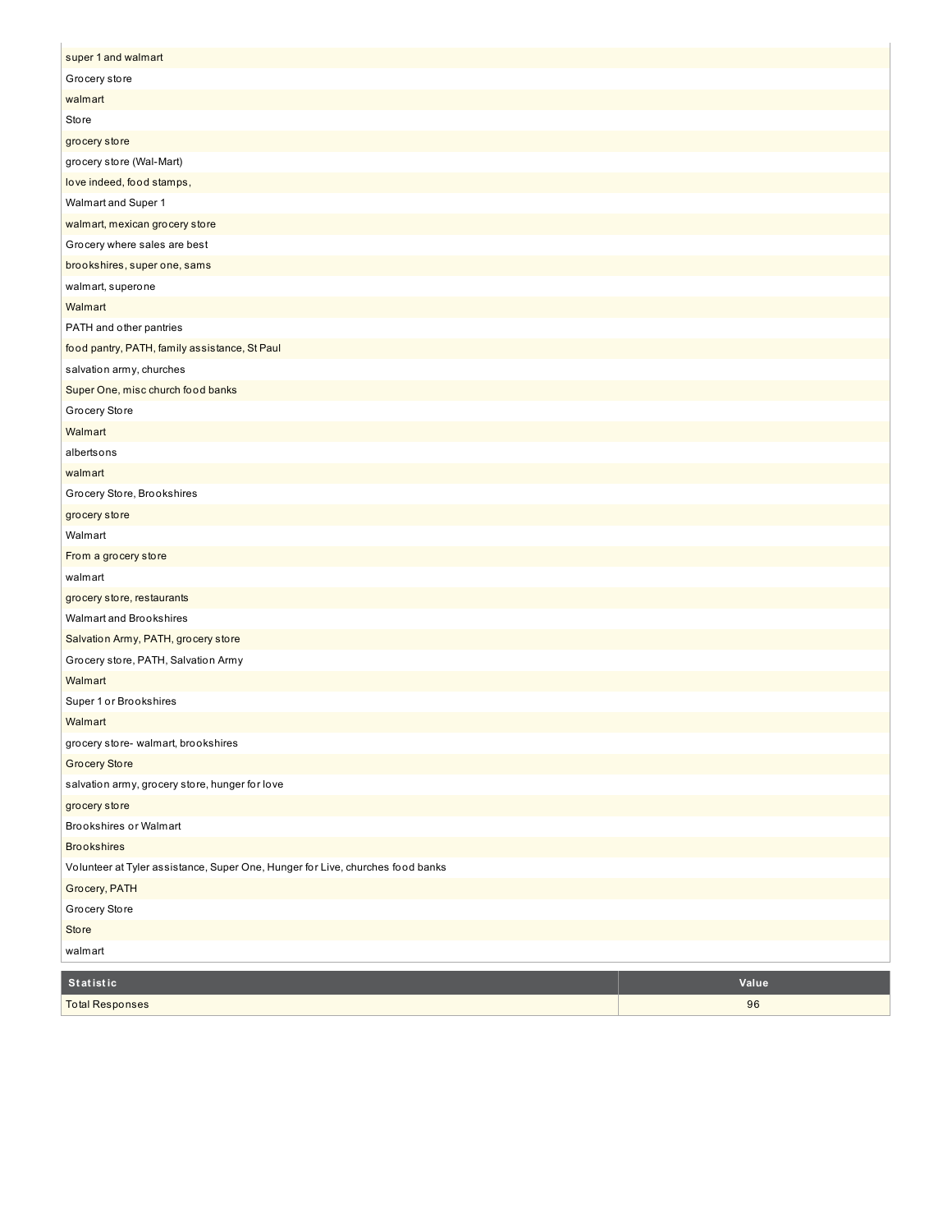| super 1 and walmart                                                            |
|--------------------------------------------------------------------------------|
| Grocery store                                                                  |
| walmart                                                                        |
| <b>Store</b>                                                                   |
| grocery store                                                                  |
| grocery store (Wal-Mart)                                                       |
| love indeed, food stamps,                                                      |
| Walmart and Super 1                                                            |
| walmart, mexican grocery store                                                 |
| Grocery where sales are best                                                   |
| brookshires, super one, sams                                                   |
| walmart, superone                                                              |
| Walmart                                                                        |
| PATH and other pantries                                                        |
| food pantry, PATH, family assistance, St Paul                                  |
| salvation army, churches                                                       |
| Super One, misc church food banks                                              |
| Grocery Store                                                                  |
| Walmart                                                                        |
| albertsons                                                                     |
| walmart                                                                        |
| Grocery Store, Brookshires                                                     |
| grocery store                                                                  |
| Walmart                                                                        |
| From a grocery store                                                           |
| walmart                                                                        |
| grocery store, restaurants                                                     |
| Walmart and Brookshires                                                        |
| Salvation Army, PATH, grocery store                                            |
| Grocery store, PATH, Salvation Army                                            |
| Walmart                                                                        |
| Super 1 or Brookshires                                                         |
| Walmart                                                                        |
| grocery store- walmart, brookshires                                            |
| <b>Grocery Store</b>                                                           |
| salvation army, grocery store, hunger for love                                 |
| grocery store                                                                  |
| Brookshires or Walmart                                                         |
| <b>Brookshires</b>                                                             |
| Volunteer at Tyler assistance, Super One, Hunger for Live, churches food banks |
| Grocery, PATH                                                                  |
| Grocery Store                                                                  |
| Store                                                                          |
| walmart                                                                        |

| Statistic       | Value |
|-----------------|-------|
| Total Responses | 96    |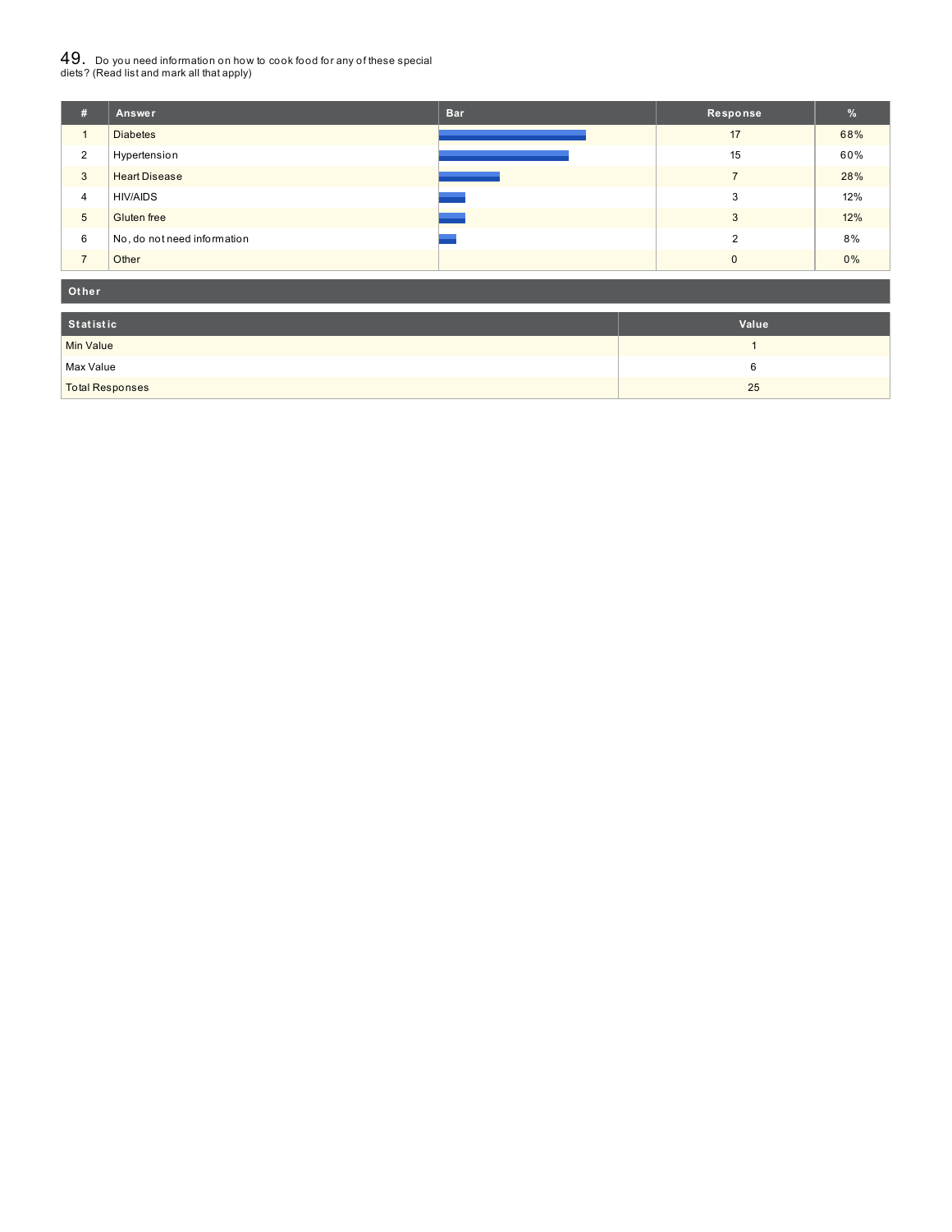# $49_\cdot$  Do you need information on how to cook food for any of these special<br>diets? (Read list and mark all that apply)

| #              | Answer                      | <b>Bar</b> | Response       | $\frac{9}{6}$ |
|----------------|-----------------------------|------------|----------------|---------------|
| $\mathbf{1}$   | <b>Diabetes</b>             |            | 17             | 68%           |
| 2              | Hypertension                |            | 15             | 60%           |
| 3              | <b>Heart Disease</b>        |            | $\overline{7}$ | 28%           |
| $\overline{4}$ | <b>HIV/AIDS</b>             |            | 3              | 12%           |
| 5              | Gluten free                 |            | 3              | 12%           |
| 6              | No, do not need information |            | $\mathcal{D}$  | 8%            |
| $\overline{ }$ | Other                       |            | $\Omega$       | 0%            |

#### **Ot her**

| Statistic              | Value |
|------------------------|-------|
| Min Value              |       |
| Max Value              |       |
| <b>Total Responses</b> | 25    |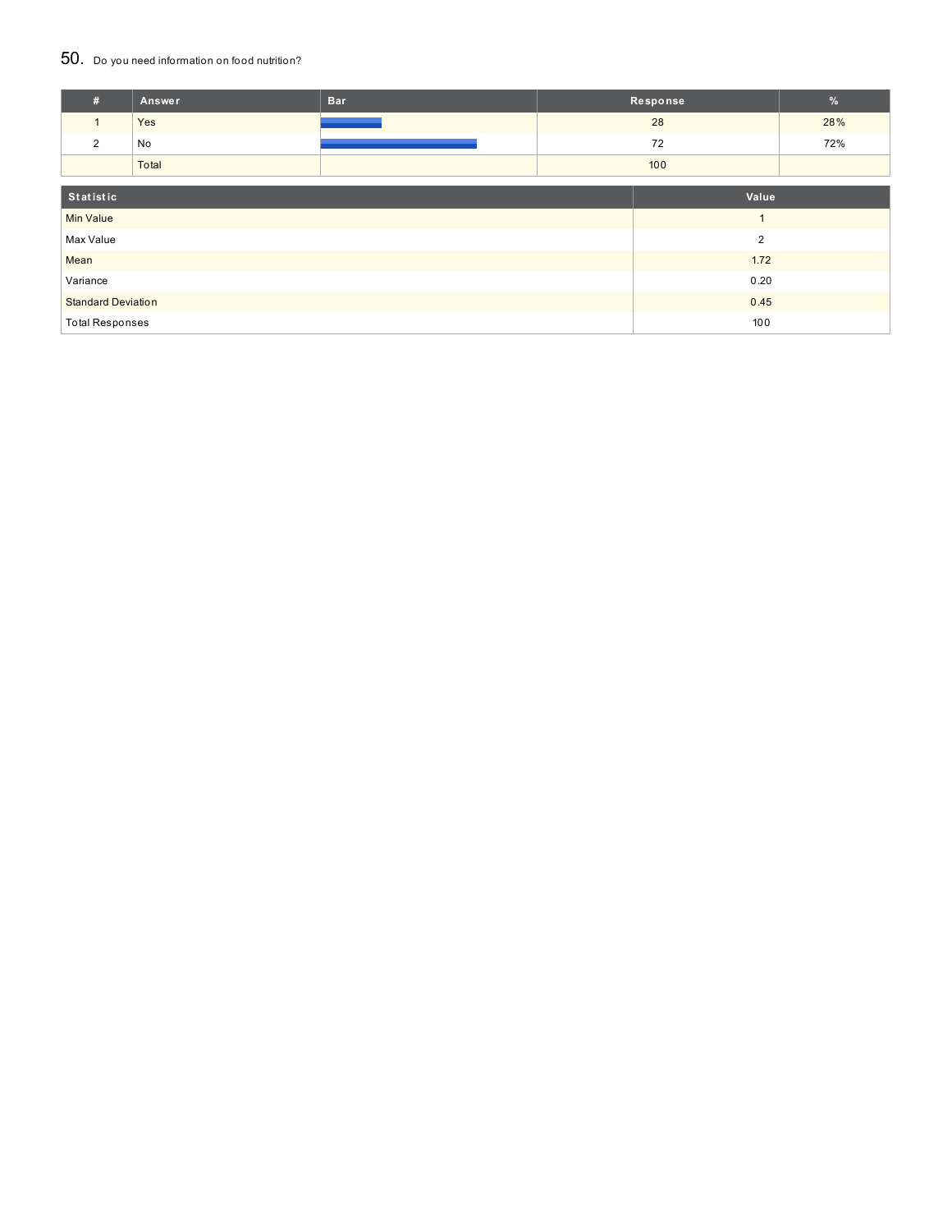### 50. Do you need information on food nutrition?

| #                                 | Answer | <b>Bar</b> |                | Response | $\%$ |
|-----------------------------------|--------|------------|----------------|----------|------|
| $\mathbf{1}$                      | Yes    |            |                | 28       | 28%  |
| 2                                 | No     |            |                | 72       | 72%  |
|                                   | Total  |            |                | 100      |      |
| Statistic                         |        |            |                | Value    |      |
| <b>Min Value</b>                  |        |            | $\overline{ }$ |          |      |
| Max Value                         |        |            | $\overline{2}$ |          |      |
| Mean                              |        |            |                | 1.72     |      |
| Variance                          |        |            | 0.20           |          |      |
| <b>Standard Deviation</b><br>0.45 |        |            |                |          |      |
| <b>Total Responses</b>            |        |            |                | 100      |      |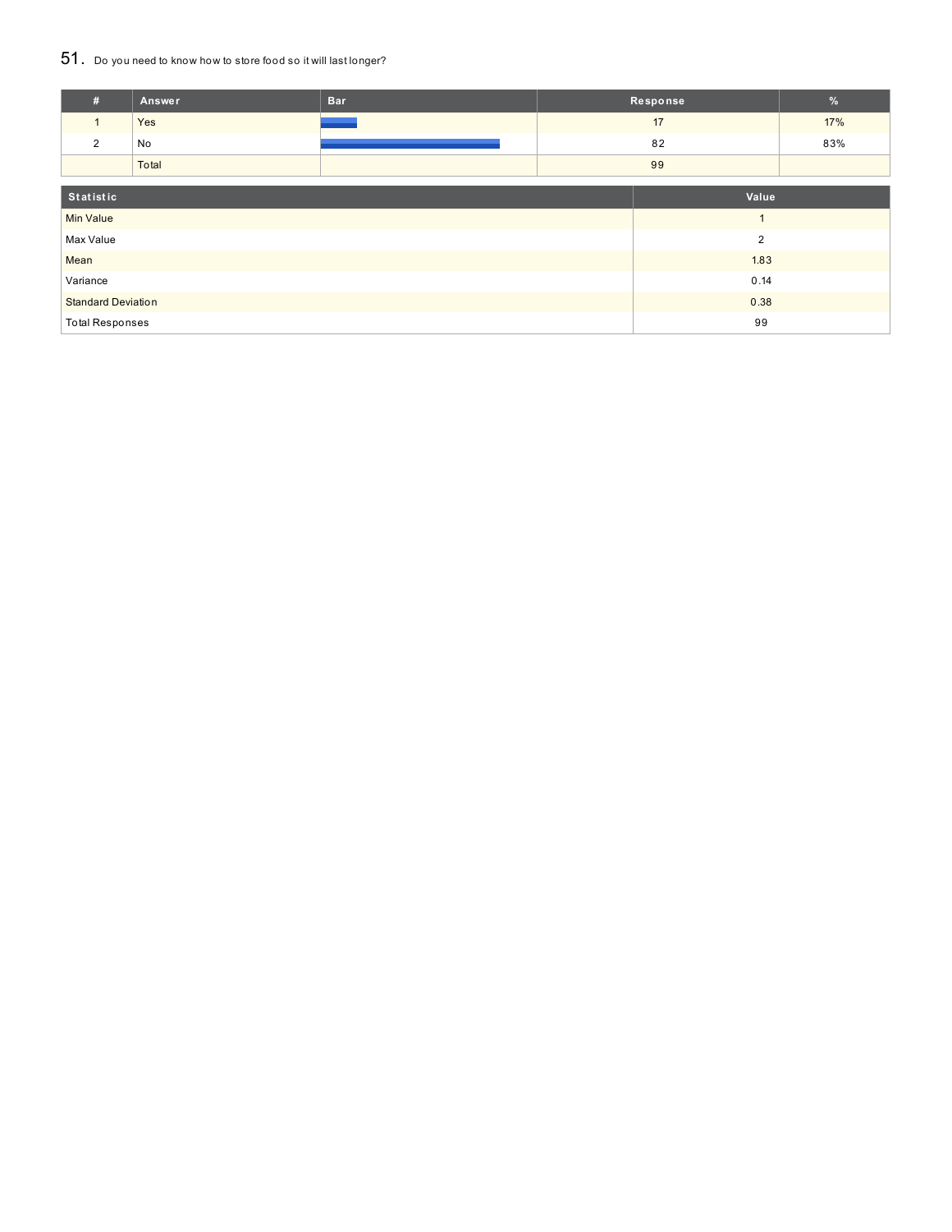## 51. Do you need to know how to store food so it will last longer?

| #                                 | <b>Answer</b>  | <b>Bar</b> |                | Response | %   |
|-----------------------------------|----------------|------------|----------------|----------|-----|
|                                   | Yes            |            |                | 17       | 17% |
| 2                                 | No             |            |                | 82       | 83% |
|                                   | Total          |            |                | 99       |     |
| Statistic                         |                |            | Value          |          |     |
| <b>Min Value</b>                  |                |            | $\overline{A}$ |          |     |
| Max Value                         | $\overline{2}$ |            |                |          |     |
| Mean                              |                |            | 1.83           |          |     |
| Variance                          |                |            | 0.14           |          |     |
| <b>Standard Deviation</b><br>0.38 |                |            |                |          |     |
| <b>Total Responses</b>            |                |            |                | 99       |     |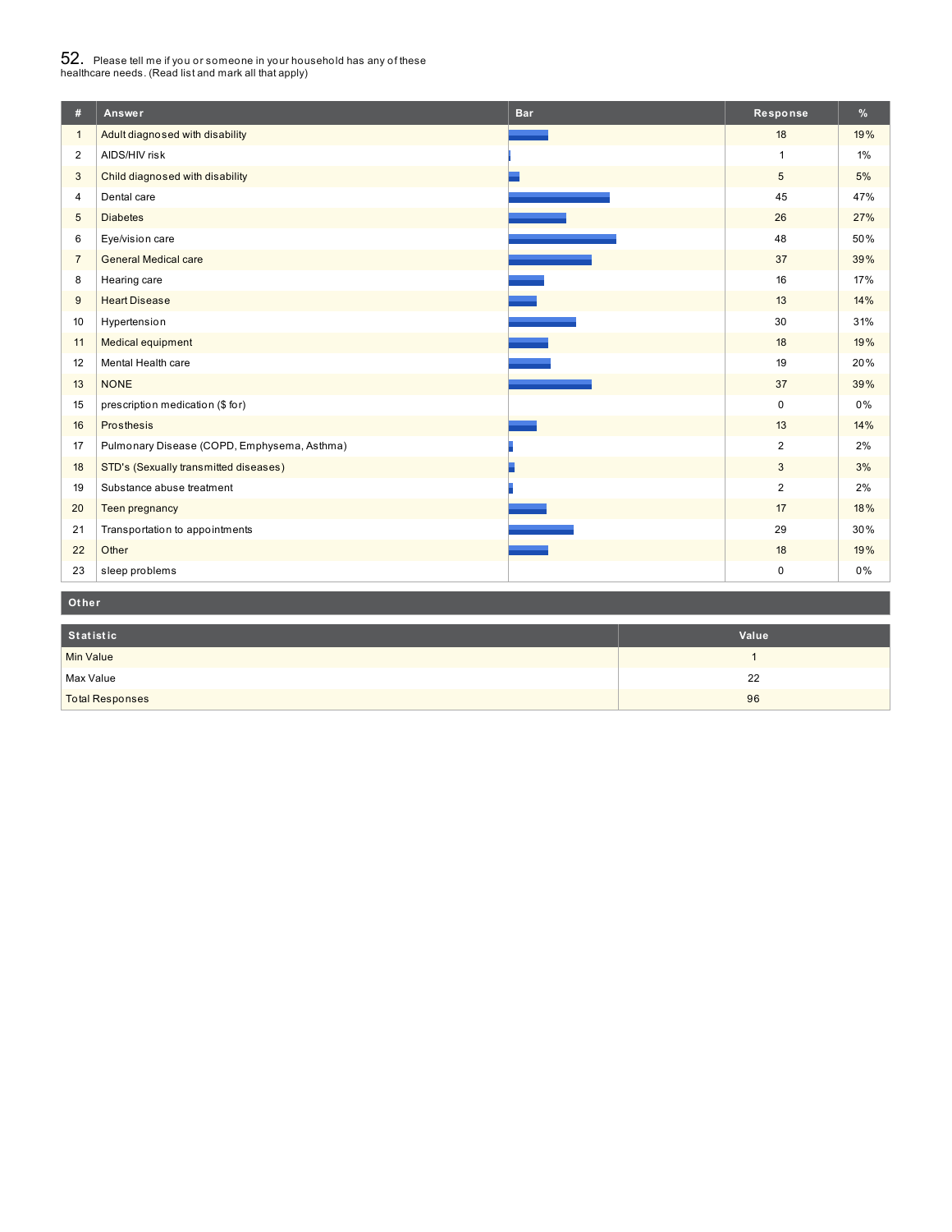# $52_\cdot$  Please tell me if you or someone in your household has any of these<br>healthcare needs. (Read list and mark all that apply)

| #              | Answer                                      | <b>Bar</b> | Response       | %     |
|----------------|---------------------------------------------|------------|----------------|-------|
| $\mathbf{1}$   | Adult diagnosed with disability             |            | 18             | 19%   |
| $\overline{2}$ | AIDS/HIV risk                               |            | $\mathbf{1}$   | $1\%$ |
| 3              | Child diagnosed with disability             |            | 5              | 5%    |
| 4              | Dental care                                 |            | 45             | 47%   |
| 5              | <b>Diabetes</b>                             |            | 26             | 27%   |
| 6              | Eye/vision care                             |            | 48             | 50%   |
| $\overline{7}$ | <b>General Medical care</b>                 |            | 37             | 39%   |
| 8              | Hearing care                                |            | 16             | 17%   |
| 9              | <b>Heart Disease</b>                        |            | 13             | 14%   |
| 10             | Hypertension                                |            | 30             | 31%   |
| 11             | Medical equipment                           |            | 18             | 19%   |
| 12             | Mental Health care                          |            | 19             | 20%   |
| 13             | <b>NONE</b>                                 |            | 37             | 39%   |
| 15             | prescription medication (\$ for)            |            | $\mathbf 0$    | 0%    |
| 16             | Prosthesis                                  |            | 13             | 14%   |
| 17             | Pulmonary Disease (COPD, Emphysema, Asthma) |            | $\overline{2}$ | 2%    |
| 18             | STD's (Sexually transmitted diseases)       |            | 3              | 3%    |
| 19             | Substance abuse treatment                   |            | $\overline{2}$ | 2%    |
| 20             | Teen pregnancy                              |            | 17             | 18%   |
| 21             | Transportation to appointments              |            | 29             | 30%   |
| 22             | Other                                       |            | 18             | 19%   |
| 23             | sleep problems                              |            | $\pmb{0}$      | $0\%$ |
| Other          |                                             |            |                |       |

| Statistic              | Value |
|------------------------|-------|
| <b>Min Value</b>       |       |
| Max Value              | 22    |
| <b>Total Responses</b> | 96    |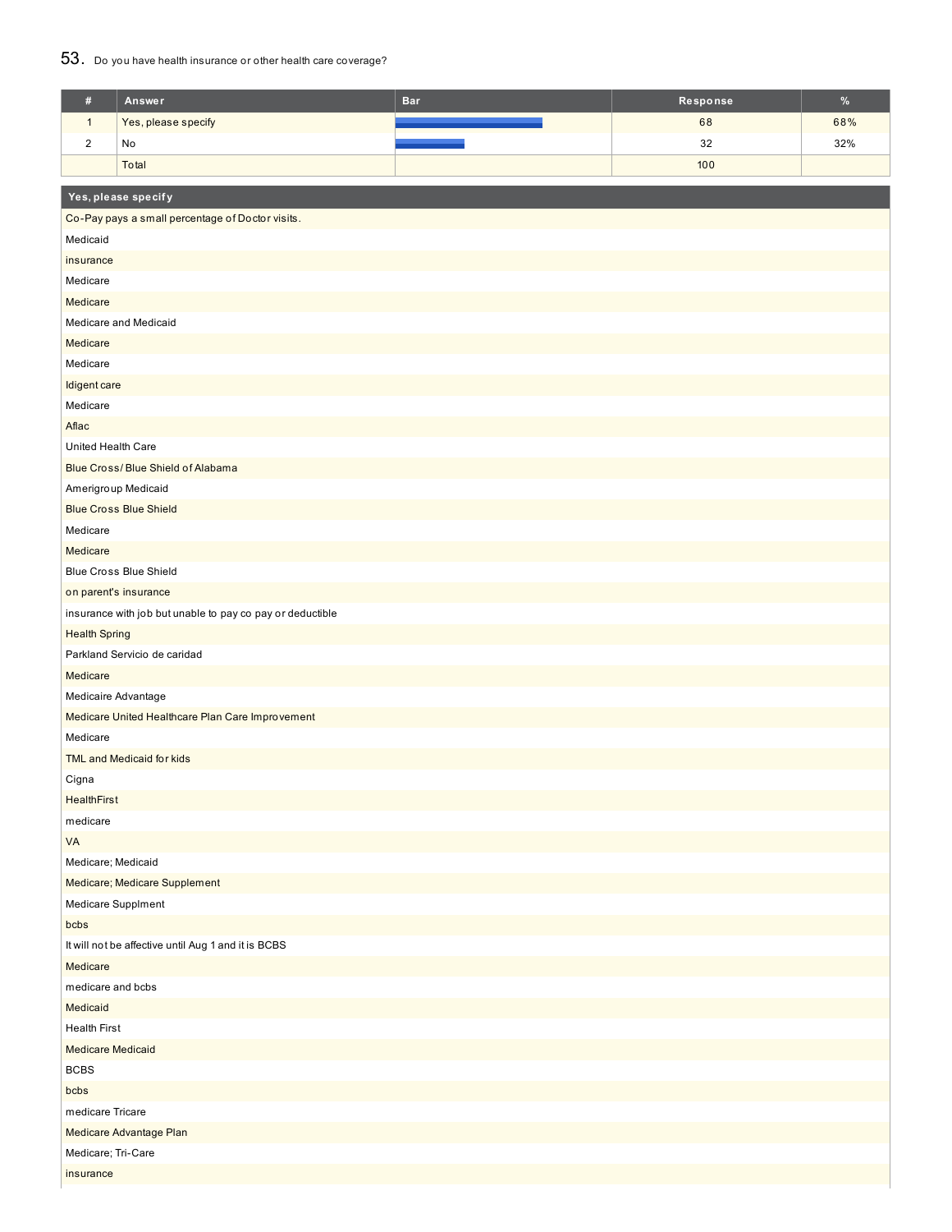### 53. Do you have health insurance or other health care coverage?

| $\#$                                                | Answer                                                                             | <b>Bar</b> | Response | $\%$ |  |  |
|-----------------------------------------------------|------------------------------------------------------------------------------------|------------|----------|------|--|--|
| $\mathbf{1}$                                        | Yes, please specify                                                                |            | 68       | 68%  |  |  |
| $\sqrt{2}$                                          | No                                                                                 |            | 32       | 32%  |  |  |
|                                                     | Total                                                                              |            | 100      |      |  |  |
|                                                     |                                                                                    |            |          |      |  |  |
|                                                     | Yes, please specify                                                                |            |          |      |  |  |
|                                                     | Co-Pay pays a small percentage of Doctor visits.                                   |            |          |      |  |  |
| Medicaid                                            |                                                                                    |            |          |      |  |  |
| insurance                                           |                                                                                    |            |          |      |  |  |
| Medicare                                            |                                                                                    |            |          |      |  |  |
| Medicare                                            |                                                                                    |            |          |      |  |  |
|                                                     | Medicare and Medicaid                                                              |            |          |      |  |  |
| Medicare                                            |                                                                                    |            |          |      |  |  |
| Medicare                                            |                                                                                    |            |          |      |  |  |
| Idigent care                                        |                                                                                    |            |          |      |  |  |
| Medicare                                            |                                                                                    |            |          |      |  |  |
| Aflac                                               |                                                                                    |            |          |      |  |  |
| United Health Care                                  |                                                                                    |            |          |      |  |  |
|                                                     | Blue Cross/Blue Shield of Alabama                                                  |            |          |      |  |  |
|                                                     | Amerigroup Medicaid                                                                |            |          |      |  |  |
|                                                     | <b>Blue Cross Blue Shield</b>                                                      |            |          |      |  |  |
| Medicare                                            |                                                                                    |            |          |      |  |  |
| Medicare                                            | <b>Blue Cross Blue Shield</b>                                                      |            |          |      |  |  |
|                                                     |                                                                                    |            |          |      |  |  |
|                                                     | on parent's insurance<br>insurance with job but unable to pay co pay or deductible |            |          |      |  |  |
| <b>Health Spring</b>                                |                                                                                    |            |          |      |  |  |
|                                                     | Parkland Servicio de caridad                                                       |            |          |      |  |  |
| Medicare                                            |                                                                                    |            |          |      |  |  |
| Medicaire Advantage                                 |                                                                                    |            |          |      |  |  |
|                                                     | Medicare United Healthcare Plan Care Improvement                                   |            |          |      |  |  |
| Medicare                                            |                                                                                    |            |          |      |  |  |
|                                                     | TML and Medicaid for kids                                                          |            |          |      |  |  |
| Cigna                                               |                                                                                    |            |          |      |  |  |
| <b>HealthFirst</b>                                  |                                                                                    |            |          |      |  |  |
| medicare                                            |                                                                                    |            |          |      |  |  |
| VA                                                  |                                                                                    |            |          |      |  |  |
| Medicare; Medicaid                                  |                                                                                    |            |          |      |  |  |
|                                                     | Medicare; Medicare Supplement                                                      |            |          |      |  |  |
| Medicare Supplment                                  |                                                                                    |            |          |      |  |  |
| bcbs                                                |                                                                                    |            |          |      |  |  |
| It will not be affective until Aug 1 and it is BCBS |                                                                                    |            |          |      |  |  |
| Medicare                                            |                                                                                    |            |          |      |  |  |
| medicare and bcbs                                   |                                                                                    |            |          |      |  |  |
| Medicaid                                            |                                                                                    |            |          |      |  |  |
| <b>Health First</b>                                 |                                                                                    |            |          |      |  |  |
| <b>Medicare Medicaid</b>                            |                                                                                    |            |          |      |  |  |
| <b>BCBS</b>                                         |                                                                                    |            |          |      |  |  |
| bcbs                                                |                                                                                    |            |          |      |  |  |
| medicare Tricare                                    |                                                                                    |            |          |      |  |  |
| Medicare Advantage Plan                             |                                                                                    |            |          |      |  |  |
| Medicare; Tri-Care                                  |                                                                                    |            |          |      |  |  |
| insurance                                           |                                                                                    |            |          |      |  |  |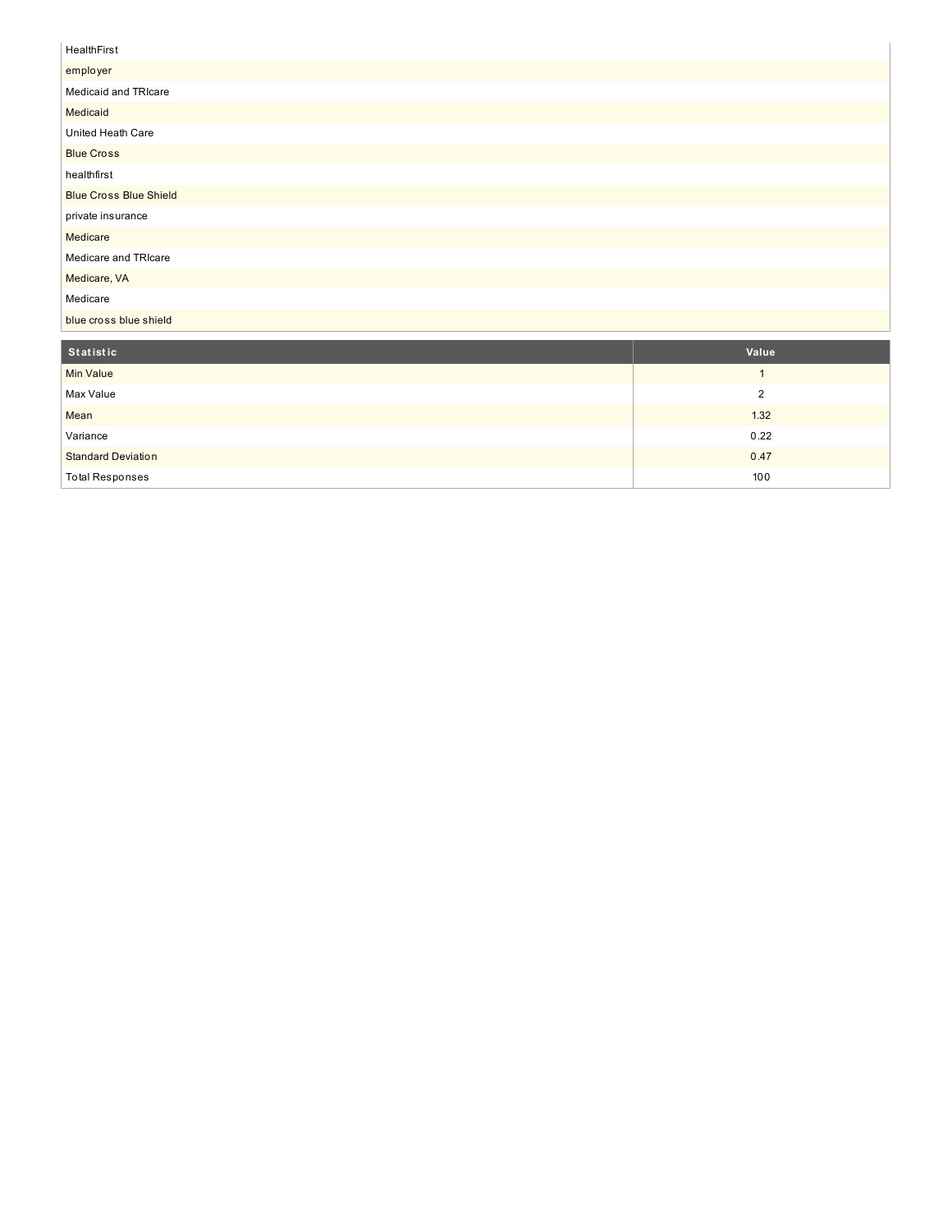## **HealthFirst** employer Medicaid and TRIcare **Medicaid** United Heath Care Blue Cross healthfirst Blu e C ro s s Blu e S hield private insurance Medicare Medicare and TRIcare Medicare, VA Medicare blue cross blue shield **S t a t is t ic V alu e**

| <b>Min Value</b>          |      |
|---------------------------|------|
| Max Value                 |      |
| Mean                      | 1.32 |
| Variance                  | 0.22 |
| <b>Standard Deviation</b> | 0.47 |
| <b>Total Responses</b>    | 100  |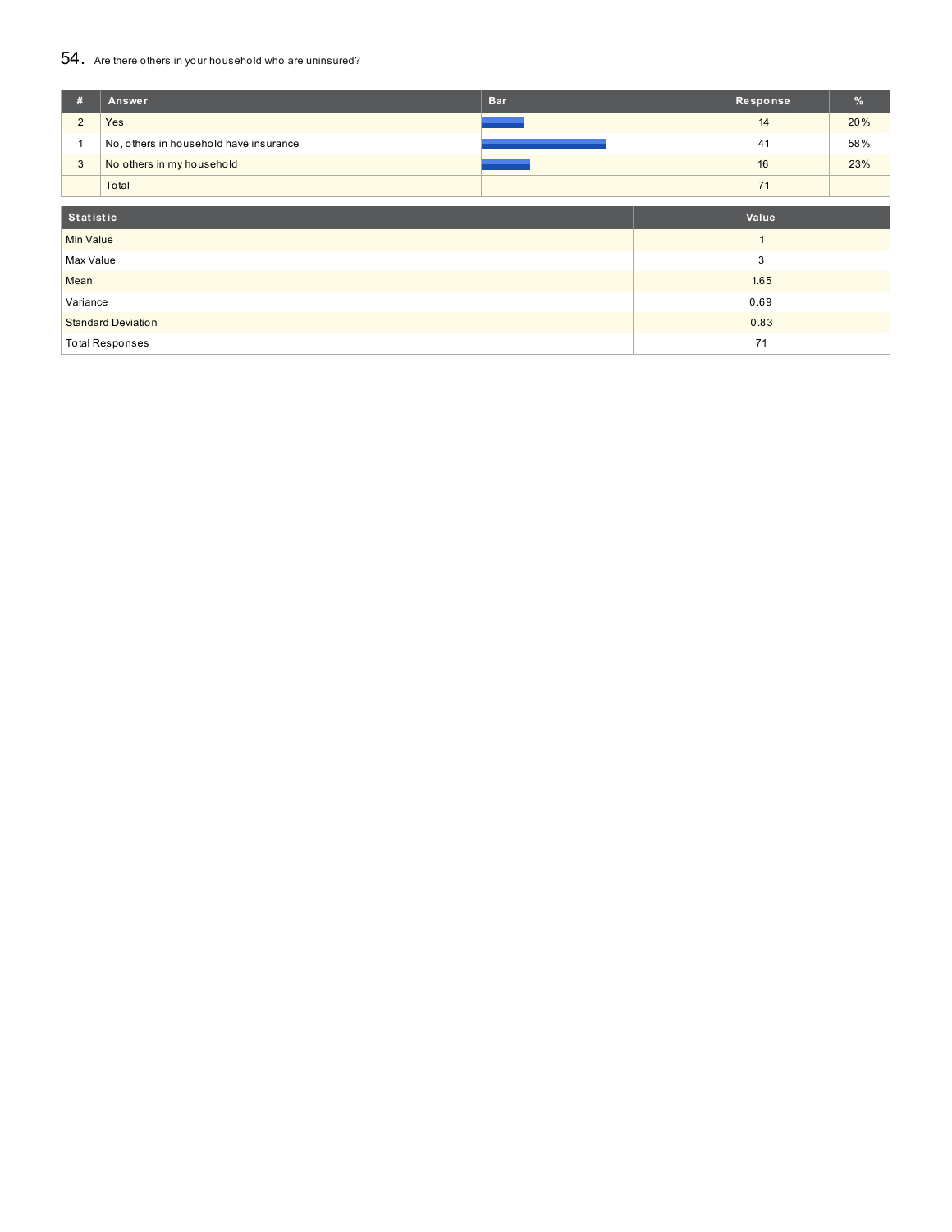## 54. Are there others in your household who are uninsured?

| #                                 | Answer                                 | <b>Bar</b> |  | Response | %   |
|-----------------------------------|----------------------------------------|------------|--|----------|-----|
| $\overline{2}$                    | Yes                                    |            |  | 14       | 20% |
|                                   | No, others in household have insurance |            |  | 41       | 58% |
| 3                                 | No others in my household              |            |  | 16       | 23% |
|                                   | Total                                  |            |  | 71       |     |
| Statistic                         |                                        |            |  | Value    |     |
| <b>Min Value</b>                  |                                        |            |  |          |     |
| Max Value                         |                                        | 3          |  |          |     |
| Mean                              |                                        |            |  | 1.65     |     |
| Variance                          |                                        |            |  | 0.69     |     |
| 0.83<br><b>Standard Deviation</b> |                                        |            |  |          |     |
|                                   | <b>Total Responses</b>                 |            |  | 71       |     |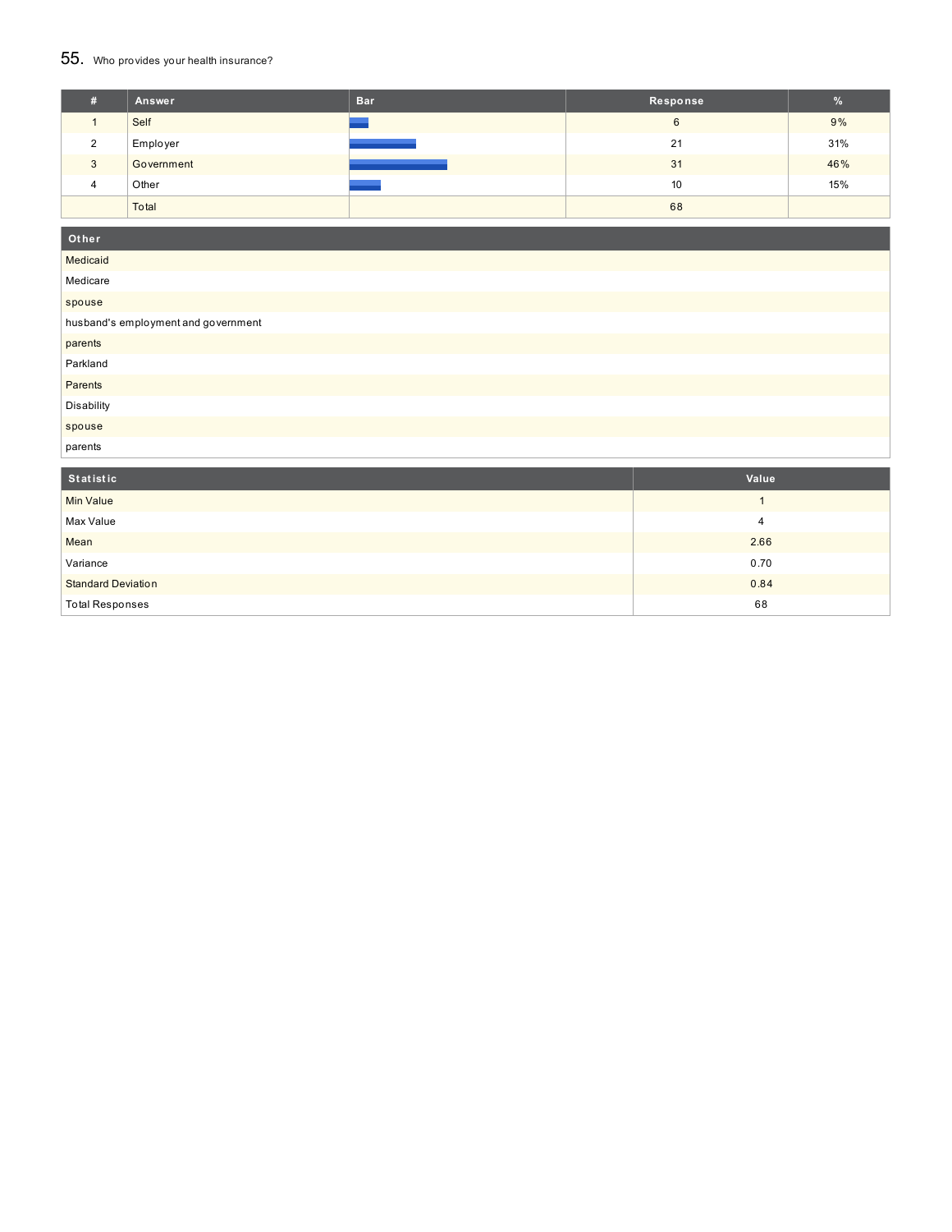## 55. Who provides your health insurance?

| # | Answer     | <b>Bar</b> | Response | $\%$ |
|---|------------|------------|----------|------|
|   | Self       |            | 6        | 9%   |
| ົ | Employer   |            | 21       | 31%  |
| 3 | Government |            | 31       | 46%  |
| 4 | Other      |            | 10       | 15%  |
|   | Total      |            | 68       |      |

| Other                               |
|-------------------------------------|
| Medicaid                            |
| Medicare                            |
| spouse                              |
| husband's employment and government |
| parents                             |
| Parkland                            |
| Parents                             |
| Disability                          |
| spouse                              |
| parents                             |

| Statistic                 | Value |
|---------------------------|-------|
| <b>Min Value</b>          |       |
| Max Value                 | 4     |
| Mean                      | 2.66  |
| Variance                  | 0.70  |
| <b>Standard Deviation</b> | 0.84  |
| <b>Total Responses</b>    | 68    |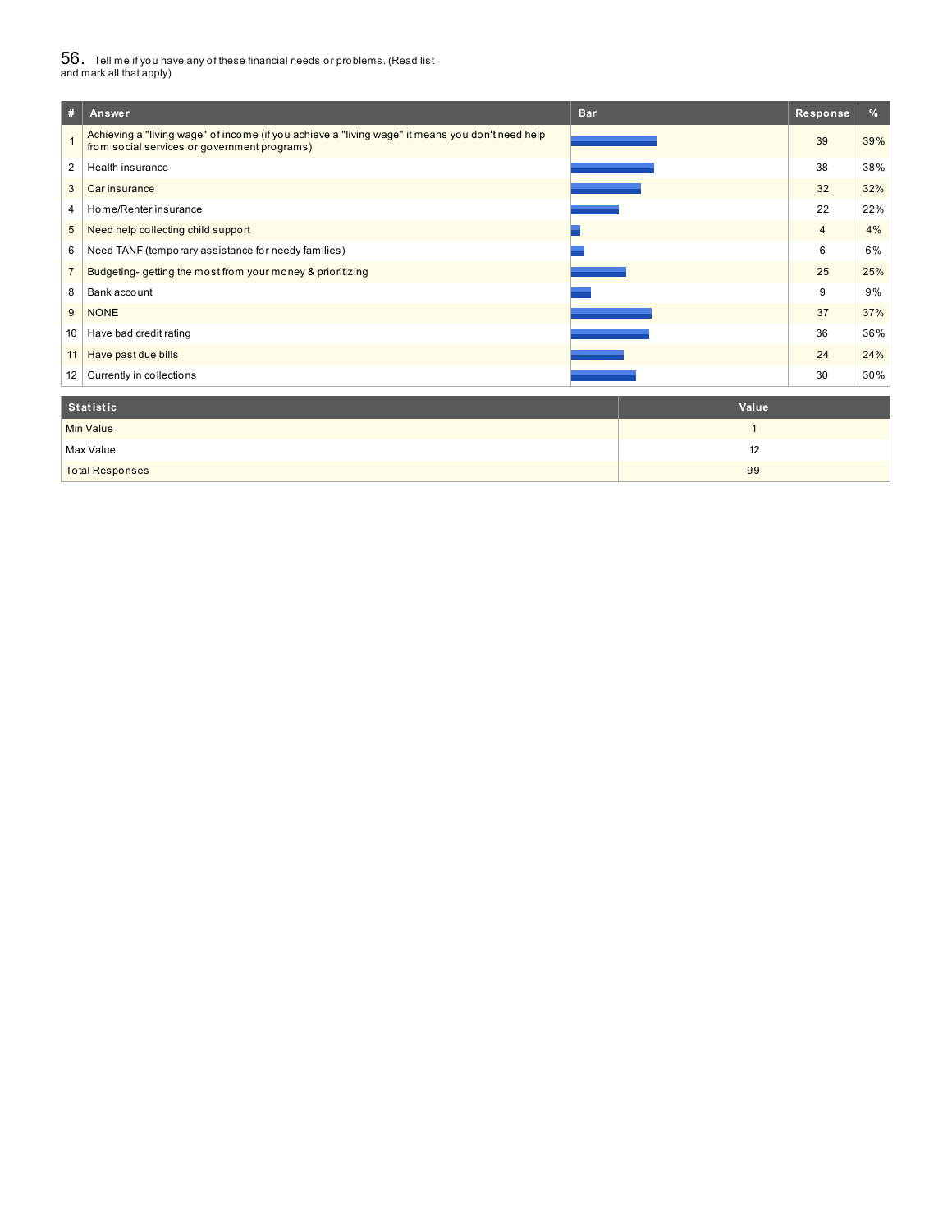# $56_\cdot$  Tell me if you have any of these financial needs or problems. (Read list<br>and mark all that apply)

| #              | Answer                                                                                                                                           | <b>Bar</b> | Response       | %   |
|----------------|--------------------------------------------------------------------------------------------------------------------------------------------------|------------|----------------|-----|
|                | Achieving a "living wage" of income (if you achieve a "living wage" it means you don't need help<br>from social services or government programs) |            | 39             | 39% |
| 2              | Health insurance                                                                                                                                 |            | 38             | 38% |
| 3              | Car insurance                                                                                                                                    |            | 32             | 32% |
| 4              | Home/Renter insurance                                                                                                                            |            | 22             | 22% |
| 5              | Need help collecting child support                                                                                                               |            | $\overline{4}$ | 4%  |
| 6              | Need TANF (temporary assistance for needy families)                                                                                              |            | 6              | 6%  |
| $\overline{7}$ | Budgeting-getting the most from your money & prioritizing                                                                                        |            | 25             | 25% |
| 8              | Bank account                                                                                                                                     |            | 9              | 9%  |
| 9              | <b>NONE</b>                                                                                                                                      |            | 37             | 37% |
| 10             | Have bad credit rating                                                                                                                           |            | 36             | 36% |
| 11             | Have past due bills                                                                                                                              |            | 24             | 24% |
| 12             | Currently in collections                                                                                                                         |            | 30             | 30% |
|                |                                                                                                                                                  |            |                |     |

| Statistic              | Value |
|------------------------|-------|
| <b>Min Value</b>       |       |
| Max Value              | 12    |
| <b>Total Responses</b> | 99    |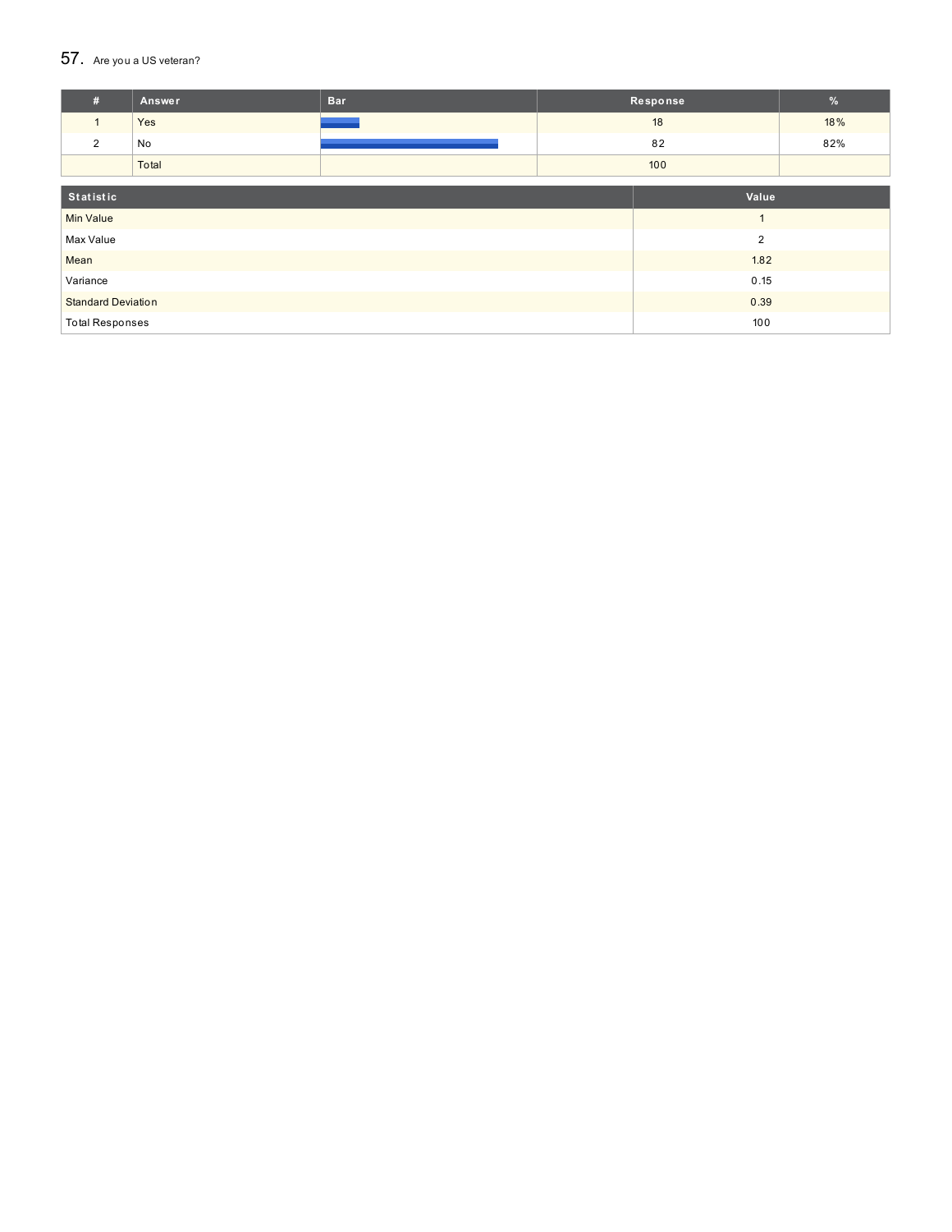#### $57.$  Are you a US veteran?

| #                         | <b>Answer</b> | <b>Bar</b> |                | Response | $\%$ |
|---------------------------|---------------|------------|----------------|----------|------|
| $\mathbf{1}$              | Yes           |            |                | 18       | 18%  |
| 2                         | No            |            |                | 82       | 82%  |
|                           | Total         |            |                | 100      |      |
|                           |               |            |                |          |      |
| Statistic                 |               |            |                | Value    |      |
| <b>Min Value</b>          |               |            |                |          |      |
| Max Value                 |               |            | $\overline{2}$ |          |      |
| Mean                      |               |            |                | 1.82     |      |
| Variance                  |               |            | 0.15           |          |      |
| <b>Standard Deviation</b> |               |            |                | 0.39     |      |
| <b>Total Responses</b>    |               |            |                | 100      |      |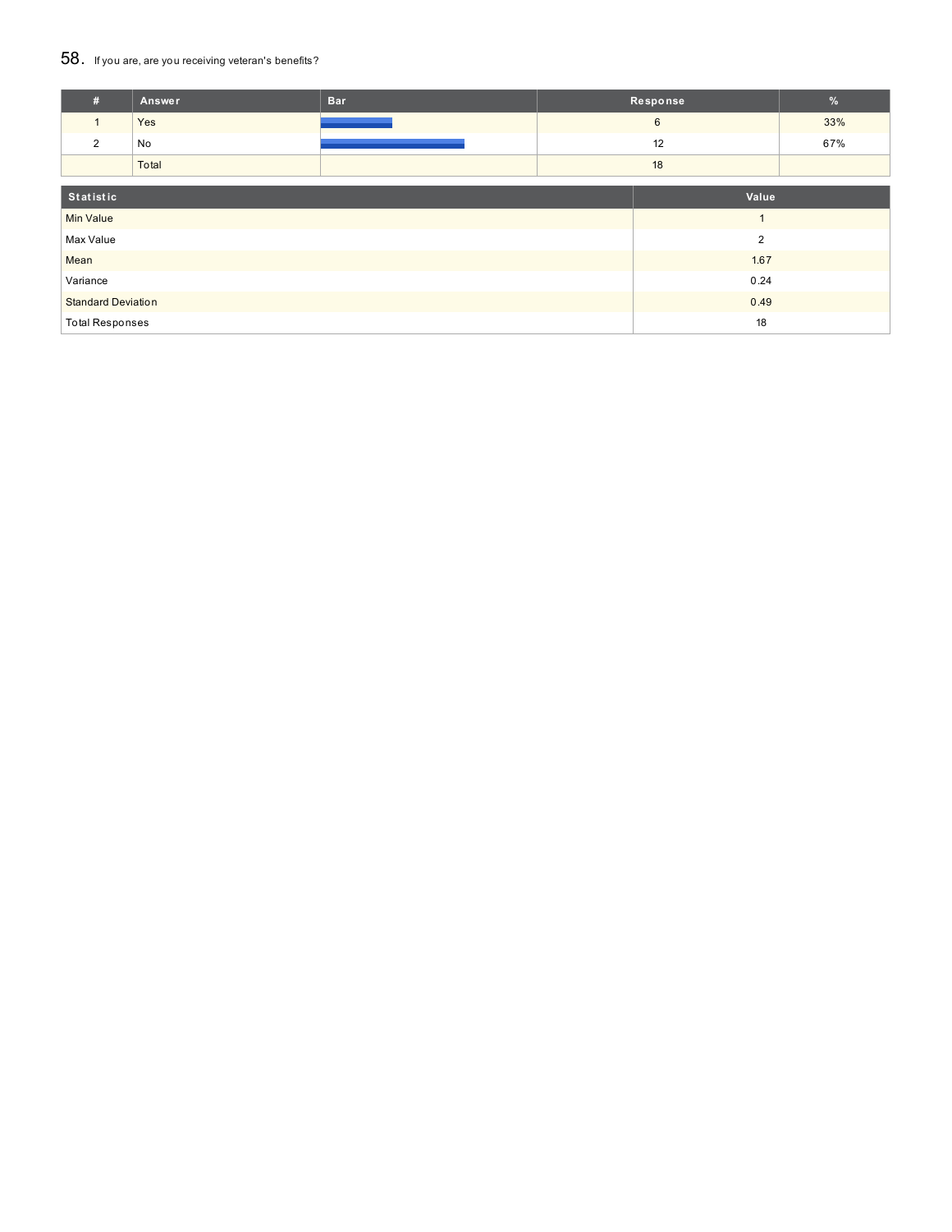### 58. If you are, are you receiving veteran's benefits?

| #                         | Answer | <b>Bar</b> |                | Response       | $\frac{9}{6}$ |
|---------------------------|--------|------------|----------------|----------------|---------------|
| $\mathbf{1}$              | Yes    |            |                | 6              | 33%           |
| 2                         | No     |            |                | 12             | 67%           |
|                           | Total  |            |                | 18             |               |
| Statistic                 |        |            |                | Value          |               |
| <b>Min Value</b>          |        |            |                | $\overline{A}$ |               |
| Max Value                 |        |            | $\overline{2}$ |                |               |
| Mean                      |        |            |                | 1.67           |               |
| Variance                  |        |            | 0.24           |                |               |
| <b>Standard Deviation</b> |        |            |                | 0.49           |               |
| <b>Total Responses</b>    |        |            |                | 18             |               |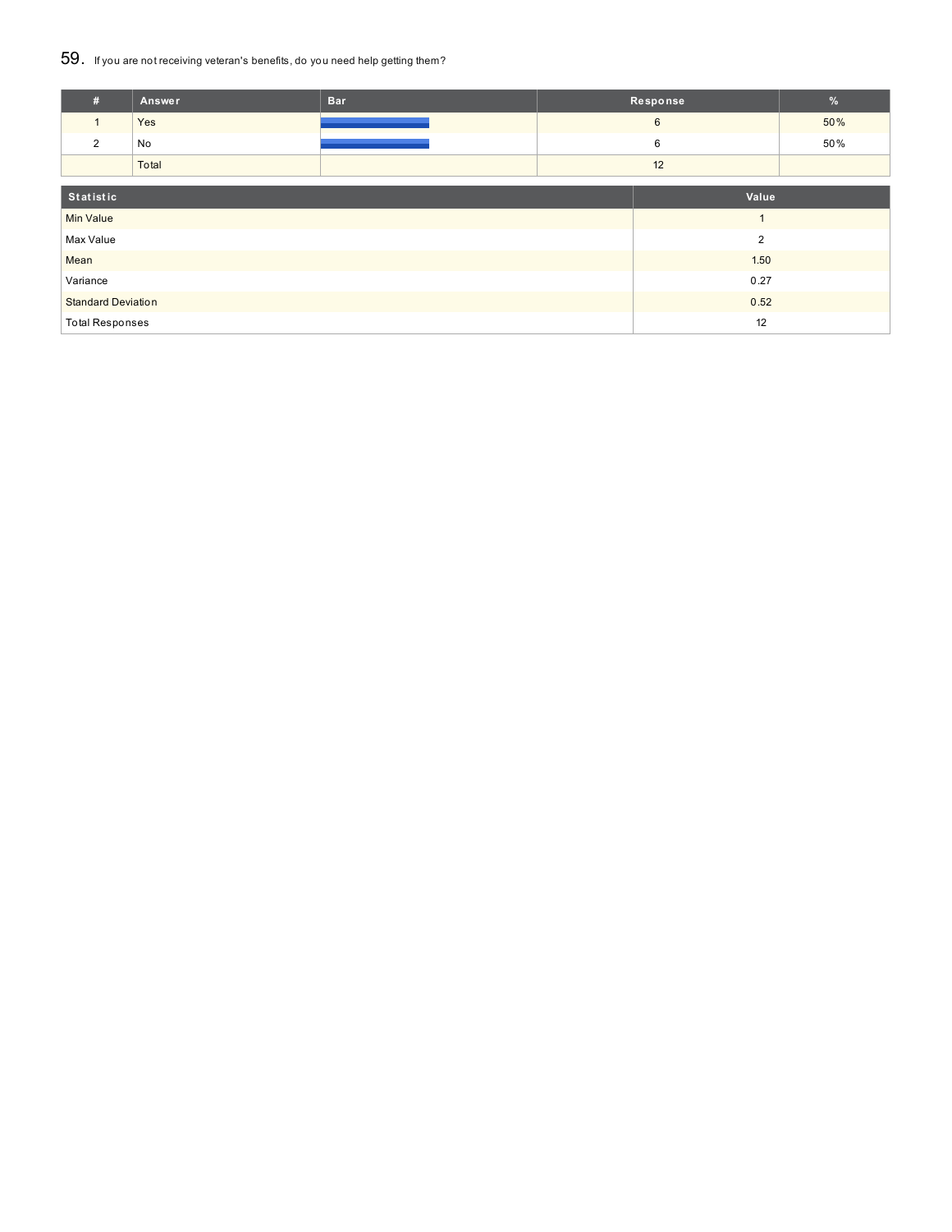### 59. If you are not receiving veteran's benefits, do you need help getting them?

| #                         | Answer | <b>Bar</b> |                | Response       | $\%$ |
|---------------------------|--------|------------|----------------|----------------|------|
|                           | Yes    |            |                | 6              | 50%  |
| $\overline{2}$            | No     |            |                | 6              | 50%  |
|                           | Total  |            |                | 12             |      |
| Statistic                 |        |            | Value          |                |      |
| <b>Min Value</b>          |        |            | $\overline{ }$ |                |      |
|                           |        |            |                |                |      |
| Max Value                 |        |            |                | $\overline{2}$ |      |
| Mean                      |        |            |                | 1.50           |      |
| Variance                  |        |            | 0.27           |                |      |
| <b>Standard Deviation</b> |        |            |                | 0.52           |      |
| <b>Total Responses</b>    |        |            |                | 12             |      |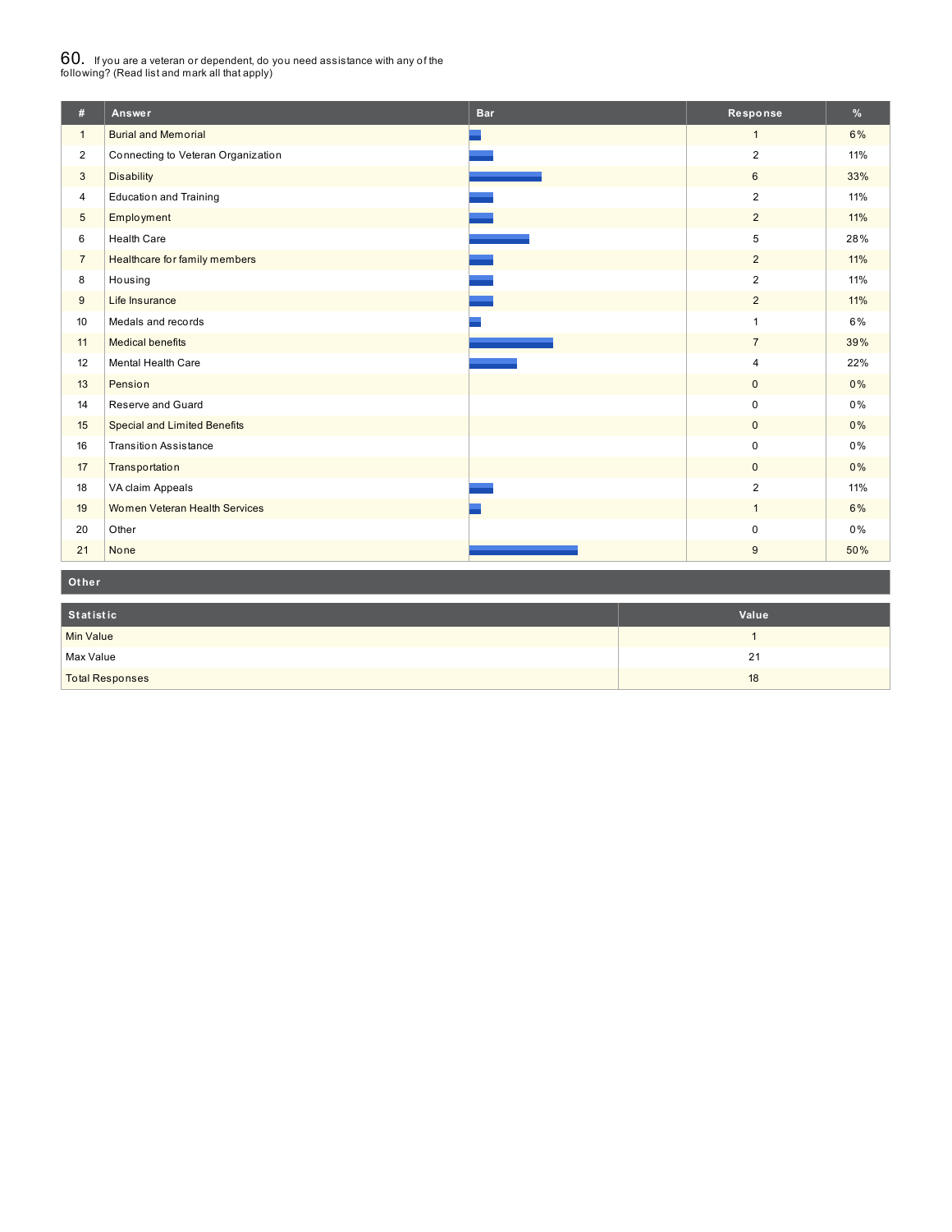# $60_\cdot$  If you are a veteran or dependent, do you need assistance with any of the<br>following? (Read list and mark all that apply)

| #              | Answer                              | <b>Bar</b> | Response       | $\frac{9}{6}$ |
|----------------|-------------------------------------|------------|----------------|---------------|
| $\mathbf{1}$   | <b>Burial and Memorial</b>          |            | $\mathbf{1}$   | 6%            |
| $\overline{2}$ | Connecting to Veteran Organization  |            | $\overline{2}$ | 11%           |
| 3              | <b>Disability</b>                   |            | 6              | 33%           |
| $\overline{4}$ | <b>Education and Training</b>       |            | 2              | 11%           |
| $\sqrt{5}$     | Employment                          |            | $\overline{2}$ | 11%           |
| 6              | <b>Health Care</b>                  |            | 5              | 28%           |
| $\overline{7}$ | Healthcare for family members       |            | $\overline{2}$ | 11%           |
| 8              | Housing                             |            | $\overline{2}$ | 11%           |
| 9              | Life Insurance                      |            | $\overline{2}$ | 11%           |
| 10             | Medals and records                  |            | $\mathbf{1}$   | 6%            |
| 11             | <b>Medical benefits</b>             |            | $\overline{7}$ | 39%           |
| 12             | Mental Health Care                  |            | $\overline{4}$ | 22%           |
| 13             | Pension                             |            | $\mathbf{0}$   | $0\%$         |
| 14             | Reserve and Guard                   |            | $\mathbf 0$    | 0%            |
| 15             | <b>Special and Limited Benefits</b> |            | $\mathbf 0$    | 0%            |
| 16             | <b>Transition Assistance</b>        |            | $\pmb{0}$      | 0%            |
| 17             | Transportation                      |            | $\mathbf{0}$   | 0%            |
| 18             | VA claim Appeals                    |            | $\overline{2}$ | 11%           |
| 19             | Women Veteran Health Services       |            | $\mathbf{1}$   | 6%            |
| 20             | Other                               |            | $\pmb{0}$      | 0%            |
| 21             | None                                |            | 9              | 50%           |

**Ot her**

| Statistic              | Value |
|------------------------|-------|
| <b>Min Value</b>       |       |
| Max Value              | 21    |
| <b>Total Responses</b> | 18    |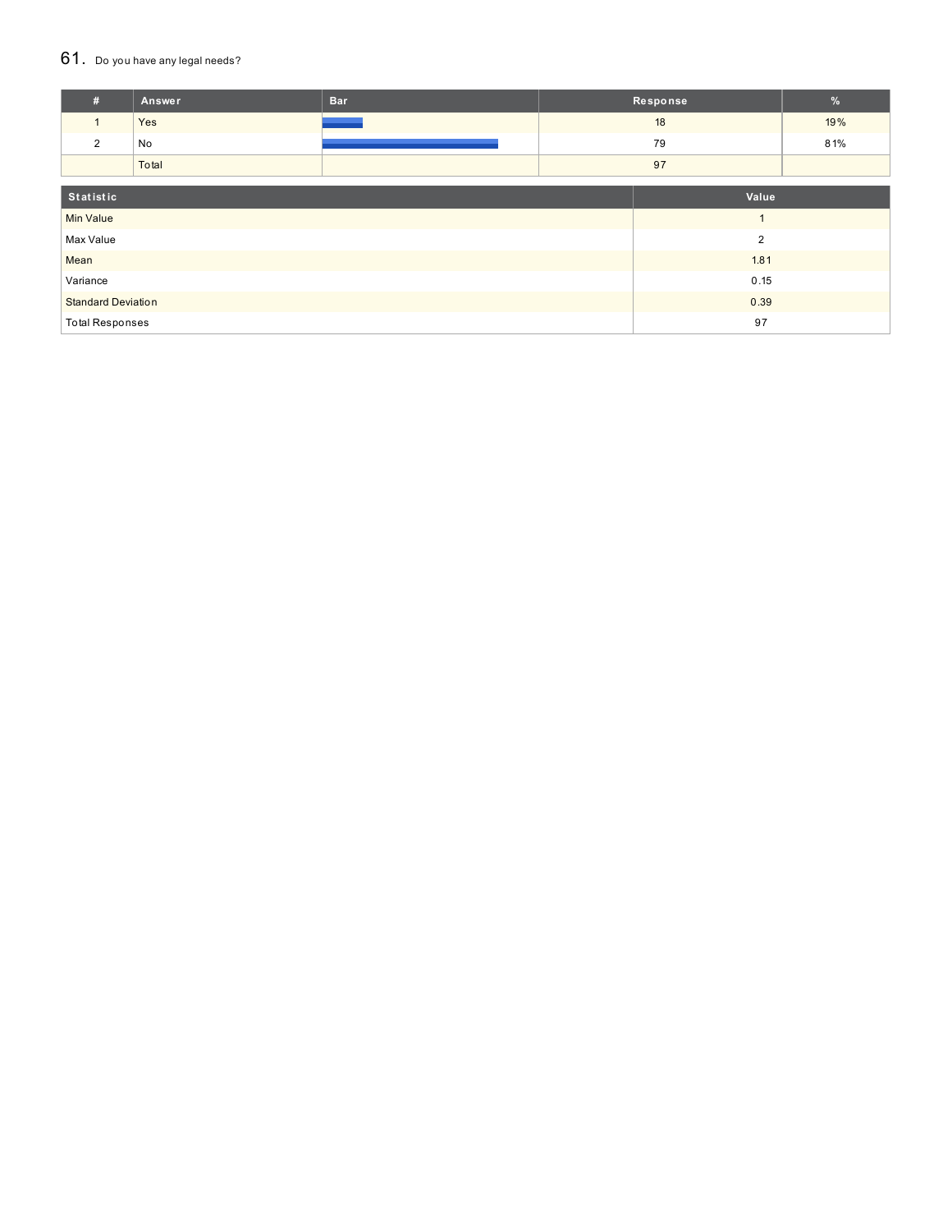#### $61.$  Do you have any legal needs?

| #                         | Answer | <b>Bar</b> |                | Response       | %   |
|---------------------------|--------|------------|----------------|----------------|-----|
| $\mathbf{1}$              | Yes    |            |                | 18             | 19% |
| $\overline{2}$            | No     |            |                | 79             | 81% |
|                           | Total  |            |                | 97             |     |
| Statistic<br>Value        |        |            |                |                |     |
| <b>Min Value</b>          |        |            | $\overline{1}$ |                |     |
| Max Value                 |        |            |                | $\overline{2}$ |     |
| Mean                      |        |            |                | 1.81           |     |
| Variance                  |        |            |                | 0.15           |     |
| <b>Standard Deviation</b> |        |            |                | 0.39           |     |
| <b>Total Responses</b>    |        |            |                | 97             |     |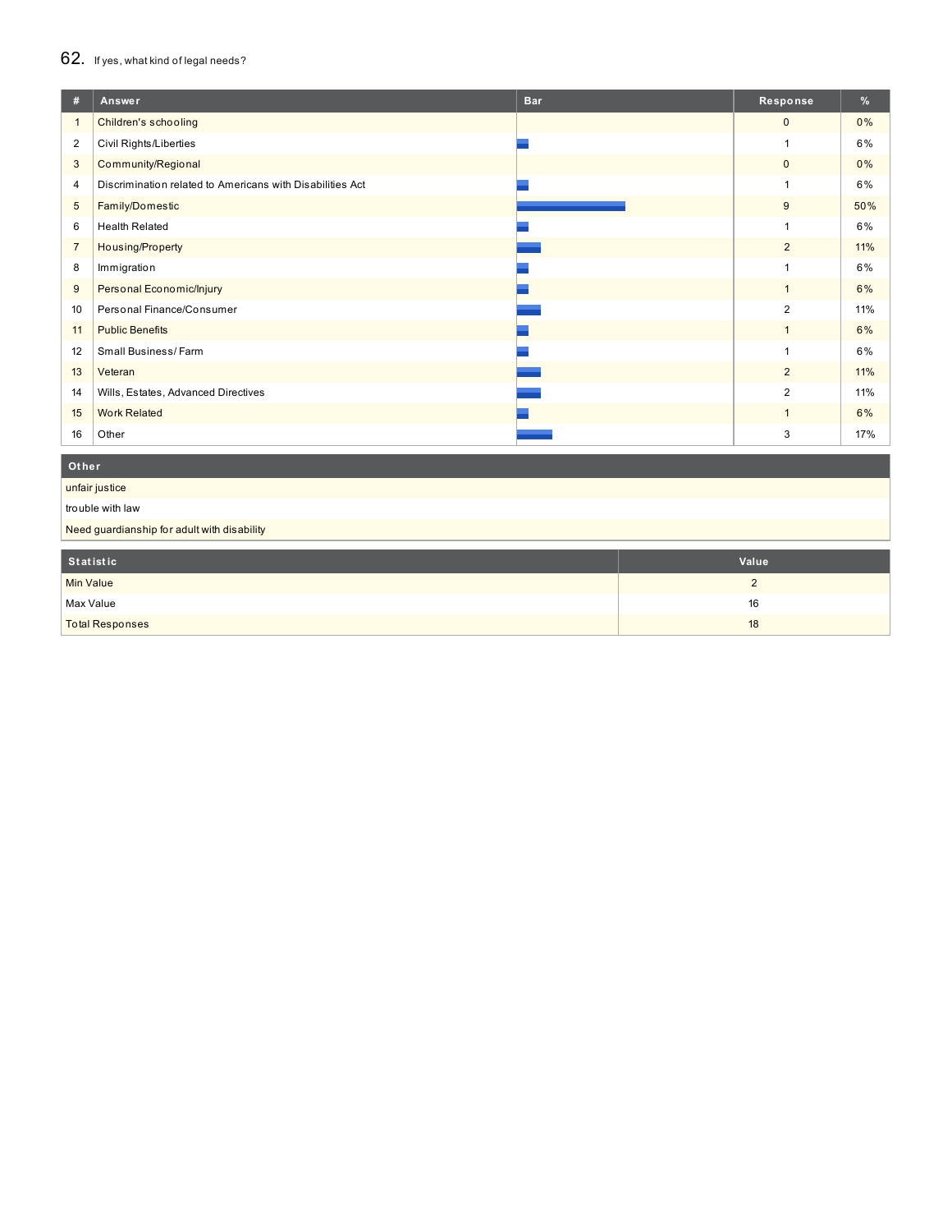## 62. If yes, what kind of legal needs?

| #              | Answer                                                    | <b>Bar</b> | Response       | $\frac{9}{6}$ |
|----------------|-----------------------------------------------------------|------------|----------------|---------------|
| $\mathbf{1}$   | Children's schooling                                      |            | $\mathbf{0}$   | 0%            |
| $\overline{2}$ | Civil Rights/Liberties                                    |            |                | 6%            |
| 3              | Community/Regional                                        |            | $\mathbf 0$    | 0%            |
| 4              | Discrimination related to Americans with Disabilities Act |            | и              | 6%            |
| 5              | Family/Domestic                                           |            | $9\,$          | 50%           |
| 6              | <b>Health Related</b>                                     |            |                | 6%            |
| $\overline{7}$ | Housing/Property                                          |            | $\overline{2}$ | 11%           |
| 8              | Immigration                                               |            |                | 6%            |
| 9              | Personal Economic/Injury                                  |            | $\mathbf{1}$   | 6%            |
| 10             | Personal Finance/Consumer                                 |            | 2              | 11%           |
| 11             | <b>Public Benefits</b>                                    |            |                | 6%            |
| 12             | Small Business/Farm                                       |            |                | 6%            |
| 13             | Veteran                                                   |            | $\overline{2}$ | 11%           |
| 14             | Wills, Estates, Advanced Directives                       |            | 2              | 11%           |
| 15             | <b>Work Related</b>                                       |            | $\overline{1}$ | 6%            |
| 16             | Other                                                     |            | 3              | 17%           |

#### **Ot her**

unfair justice

trouble with law

Need guardianship for adult with disability

| Statistic              | Value    |
|------------------------|----------|
| <b>Min Value</b>       | <u>.</u> |
| Max Value              | 16       |
| <b>Total Responses</b> | 18       |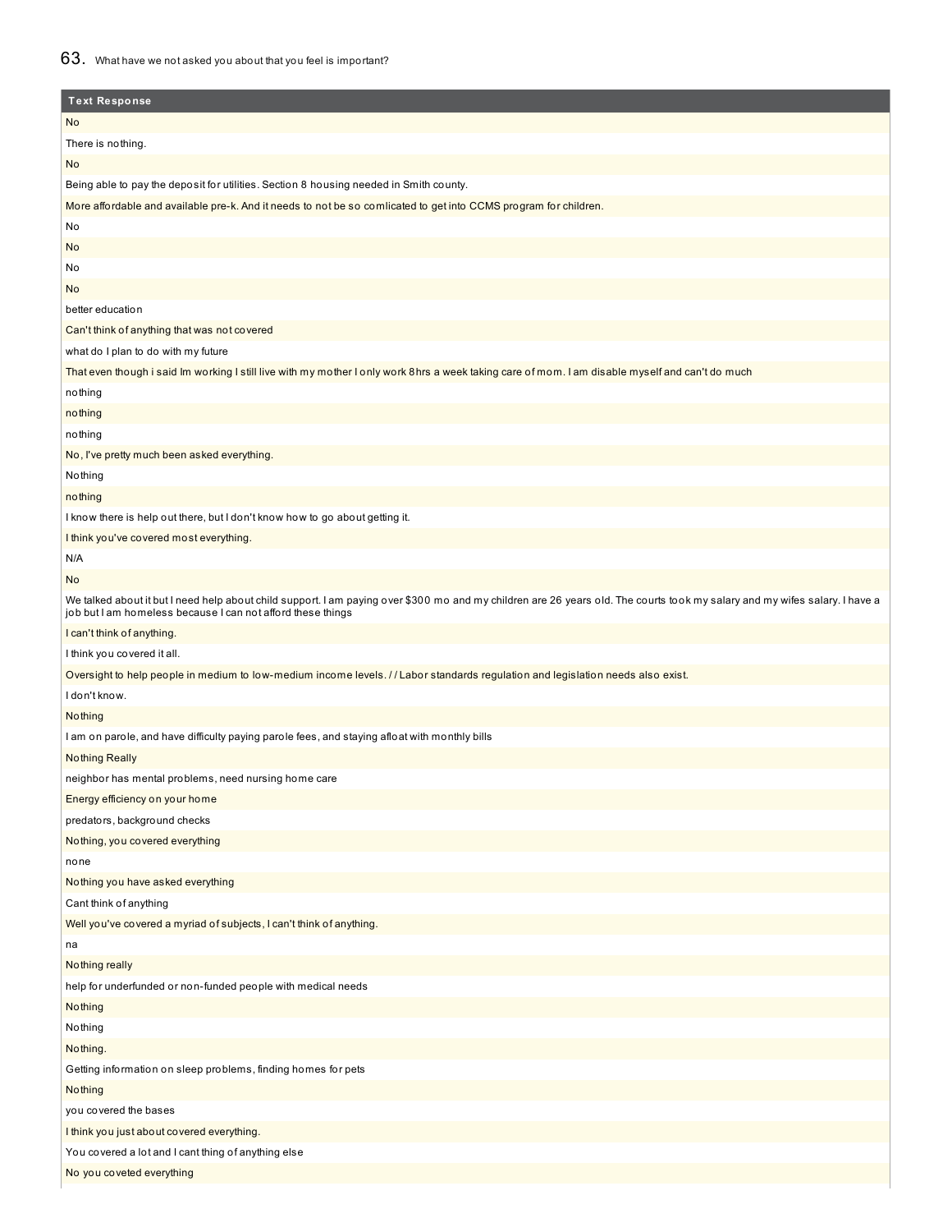## 63. What have we not asked you about that you feel is important?

| <b>Text Response</b>                                                                                                                                                                                                                       |
|--------------------------------------------------------------------------------------------------------------------------------------------------------------------------------------------------------------------------------------------|
| <b>No</b>                                                                                                                                                                                                                                  |
| There is nothing.                                                                                                                                                                                                                          |
| No                                                                                                                                                                                                                                         |
| Being able to pay the deposit for utilities. Section 8 housing needed in Smith county.                                                                                                                                                     |
| More affordable and available pre-k. And it needs to not be so comlicated to get into CCMS program for children.                                                                                                                           |
| No                                                                                                                                                                                                                                         |
| No                                                                                                                                                                                                                                         |
| No                                                                                                                                                                                                                                         |
| No                                                                                                                                                                                                                                         |
| better education                                                                                                                                                                                                                           |
| Can't think of anything that was not covered                                                                                                                                                                                               |
| what do I plan to do with my future                                                                                                                                                                                                        |
| That even though i said Im working I still live with my mother I only work 8hrs a week taking care of mom. I am disable myself and can't do much                                                                                           |
| nothing                                                                                                                                                                                                                                    |
| nothing                                                                                                                                                                                                                                    |
| nothing                                                                                                                                                                                                                                    |
| No, I've pretty much been asked everything.                                                                                                                                                                                                |
| Nothing                                                                                                                                                                                                                                    |
| nothing                                                                                                                                                                                                                                    |
| I know there is help out there, but I don't know how to go about getting it.                                                                                                                                                               |
| I think you've covered most everything.                                                                                                                                                                                                    |
| N/A                                                                                                                                                                                                                                        |
| No                                                                                                                                                                                                                                         |
| We talked about it but I need help about child support. I am paying over \$300 mo and my children are 26 years old. The courts took my salary and my wifes salary. I have a<br>job but I am homeless because I can not afford these things |
| I can't think of anything.                                                                                                                                                                                                                 |
| I think you covered it all.                                                                                                                                                                                                                |
| Oversight to help people in medium to low-medium income levels. //Labor standards regulation and legislation needs also exist.                                                                                                             |
| I don't know.                                                                                                                                                                                                                              |
| Nothing                                                                                                                                                                                                                                    |
| I am on parole, and have difficulty paying parole fees, and staying afloat with monthly bills                                                                                                                                              |
| <b>Nothing Really</b>                                                                                                                                                                                                                      |
| neighbor has mental problems, need nursing home care                                                                                                                                                                                       |
| Energy efficiency on your home                                                                                                                                                                                                             |
| predators, background checks                                                                                                                                                                                                               |
| Nothing, you covered everything                                                                                                                                                                                                            |
| none                                                                                                                                                                                                                                       |
| Nothing you have asked everything                                                                                                                                                                                                          |
| Cant think of anything                                                                                                                                                                                                                     |
| Well you've covered a myriad of subjects, I can't think of anything.                                                                                                                                                                       |
| na                                                                                                                                                                                                                                         |
| Nothing really                                                                                                                                                                                                                             |
| help for underfunded or non-funded people with medical needs                                                                                                                                                                               |
| Nothing                                                                                                                                                                                                                                    |
| Nothing                                                                                                                                                                                                                                    |
| Nothing.                                                                                                                                                                                                                                   |
| Getting information on sleep problems, finding homes for pets                                                                                                                                                                              |
| Nothing                                                                                                                                                                                                                                    |
| you covered the bases                                                                                                                                                                                                                      |
| I think you just about covered everything.                                                                                                                                                                                                 |
| You covered a lot and I cant thing of anything else                                                                                                                                                                                        |
| No you coveted everything                                                                                                                                                                                                                  |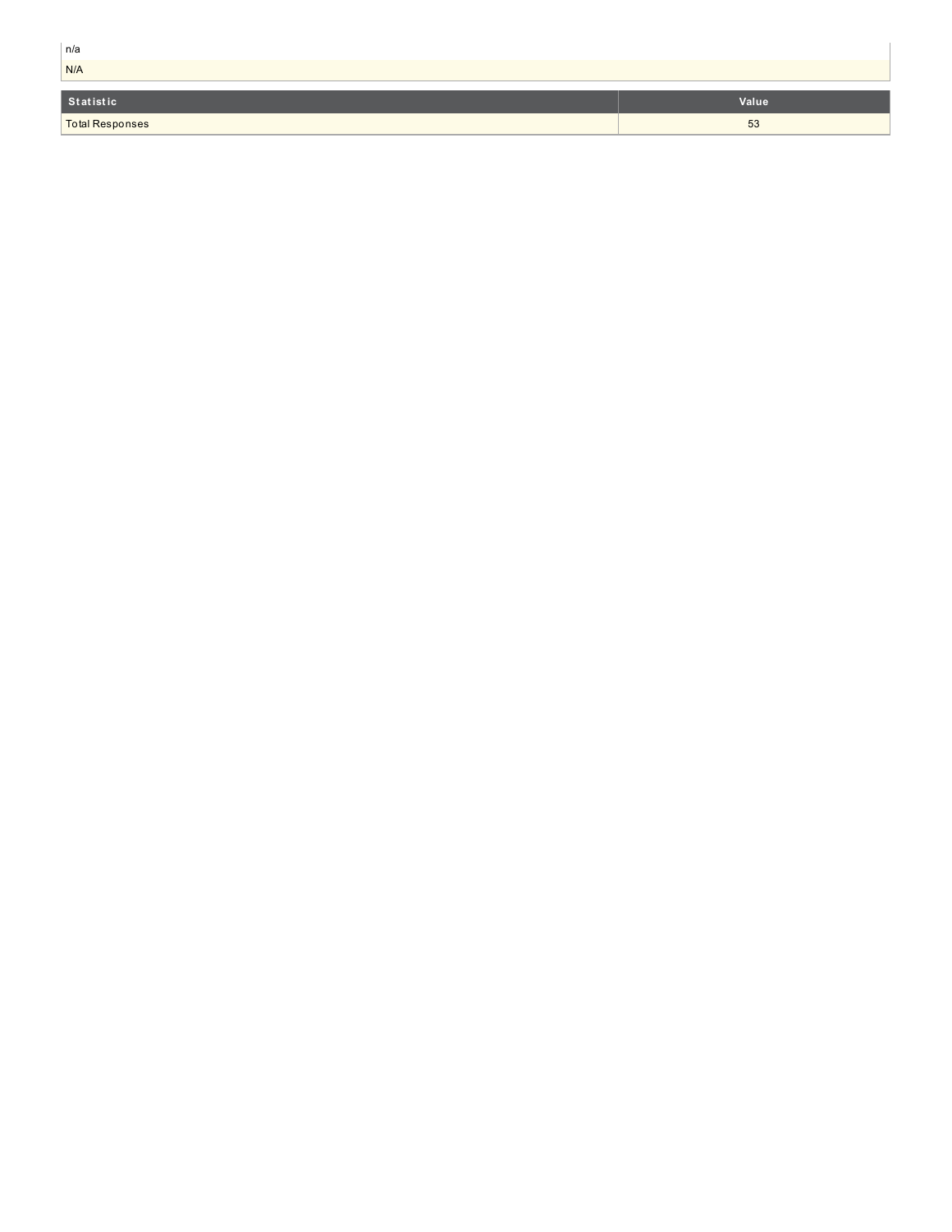| n/a                    |       |
|------------------------|-------|
| N/A                    |       |
|                        |       |
| Statistic              | Value |
| <b>Total Responses</b> | 53    |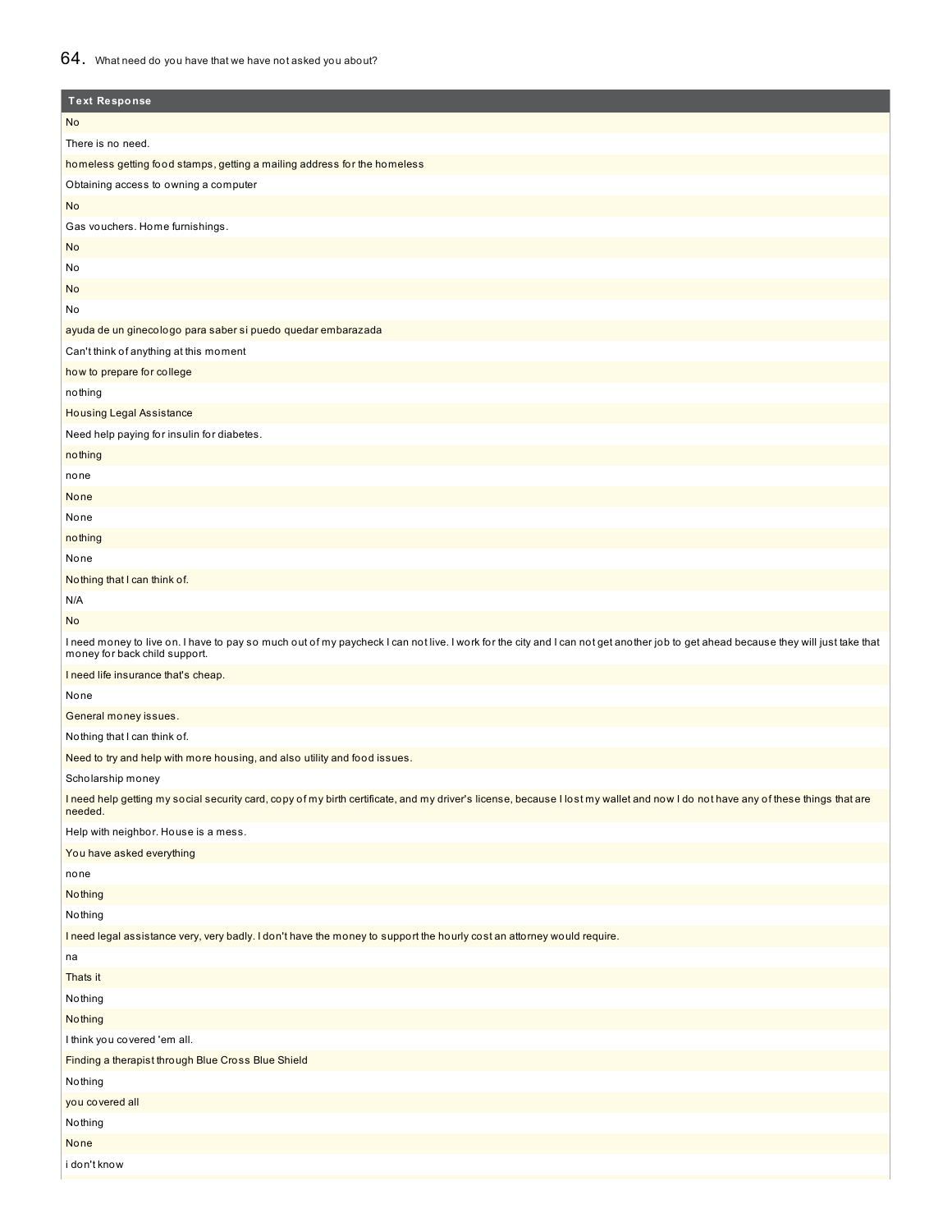## 64. What need do you have that we have not asked you about?

| <b>Text Response</b>                                                                                                                                                                                               |
|--------------------------------------------------------------------------------------------------------------------------------------------------------------------------------------------------------------------|
| No                                                                                                                                                                                                                 |
| There is no need.                                                                                                                                                                                                  |
| homeless getting food stamps, getting a mailing address for the homeless                                                                                                                                           |
| Obtaining access to owning a computer                                                                                                                                                                              |
| <b>No</b>                                                                                                                                                                                                          |
| Gas vouchers. Home furnishings.                                                                                                                                                                                    |
| No                                                                                                                                                                                                                 |
| No                                                                                                                                                                                                                 |
| No                                                                                                                                                                                                                 |
| No                                                                                                                                                                                                                 |
| ayuda de un ginecologo para saber si puedo quedar embarazada                                                                                                                                                       |
| Can't think of anything at this moment                                                                                                                                                                             |
| how to prepare for college                                                                                                                                                                                         |
| nothing                                                                                                                                                                                                            |
| <b>Housing Legal Assistance</b>                                                                                                                                                                                    |
| Need help paying for insulin for diabetes.                                                                                                                                                                         |
| nothing                                                                                                                                                                                                            |
| none                                                                                                                                                                                                               |
| None                                                                                                                                                                                                               |
| None                                                                                                                                                                                                               |
| nothing                                                                                                                                                                                                            |
| None                                                                                                                                                                                                               |
| Nothing that I can think of.                                                                                                                                                                                       |
| N/A                                                                                                                                                                                                                |
| <b>No</b>                                                                                                                                                                                                          |
| I need money to live on. I have to pay so much out of my paycheck I can not live. I work for the city and I can not get another job to get ahead because they will just take that<br>money for back child support. |
| I need life insurance that's cheap.                                                                                                                                                                                |
| None                                                                                                                                                                                                               |
| General money issues.                                                                                                                                                                                              |
| Nothing that I can think of.                                                                                                                                                                                       |
| Need to try and help with more housing, and also utility and food issues.                                                                                                                                          |
| Scholarship money                                                                                                                                                                                                  |
| I need help getting my social security card, copy of my birth certificate, and my driver's license, because I lost my wallet and now I do not have any of these things that are<br>needed.                         |
| Help with neighbor. House is a mess.                                                                                                                                                                               |
| You have asked everything                                                                                                                                                                                          |
| none                                                                                                                                                                                                               |
| Nothing                                                                                                                                                                                                            |
| Nothing                                                                                                                                                                                                            |
| I need legal assistance very, very badly. I don't have the money to support the hourly cost an attorney would require.                                                                                             |
| na                                                                                                                                                                                                                 |
| Thats it                                                                                                                                                                                                           |
| Nothing                                                                                                                                                                                                            |
| Nothing                                                                                                                                                                                                            |
| I think you covered 'em all.                                                                                                                                                                                       |
| Finding a therapist through Blue Cross Blue Shield                                                                                                                                                                 |
| Nothing                                                                                                                                                                                                            |
| you covered all                                                                                                                                                                                                    |
| Nothing                                                                                                                                                                                                            |
| None                                                                                                                                                                                                               |
| i don't know                                                                                                                                                                                                       |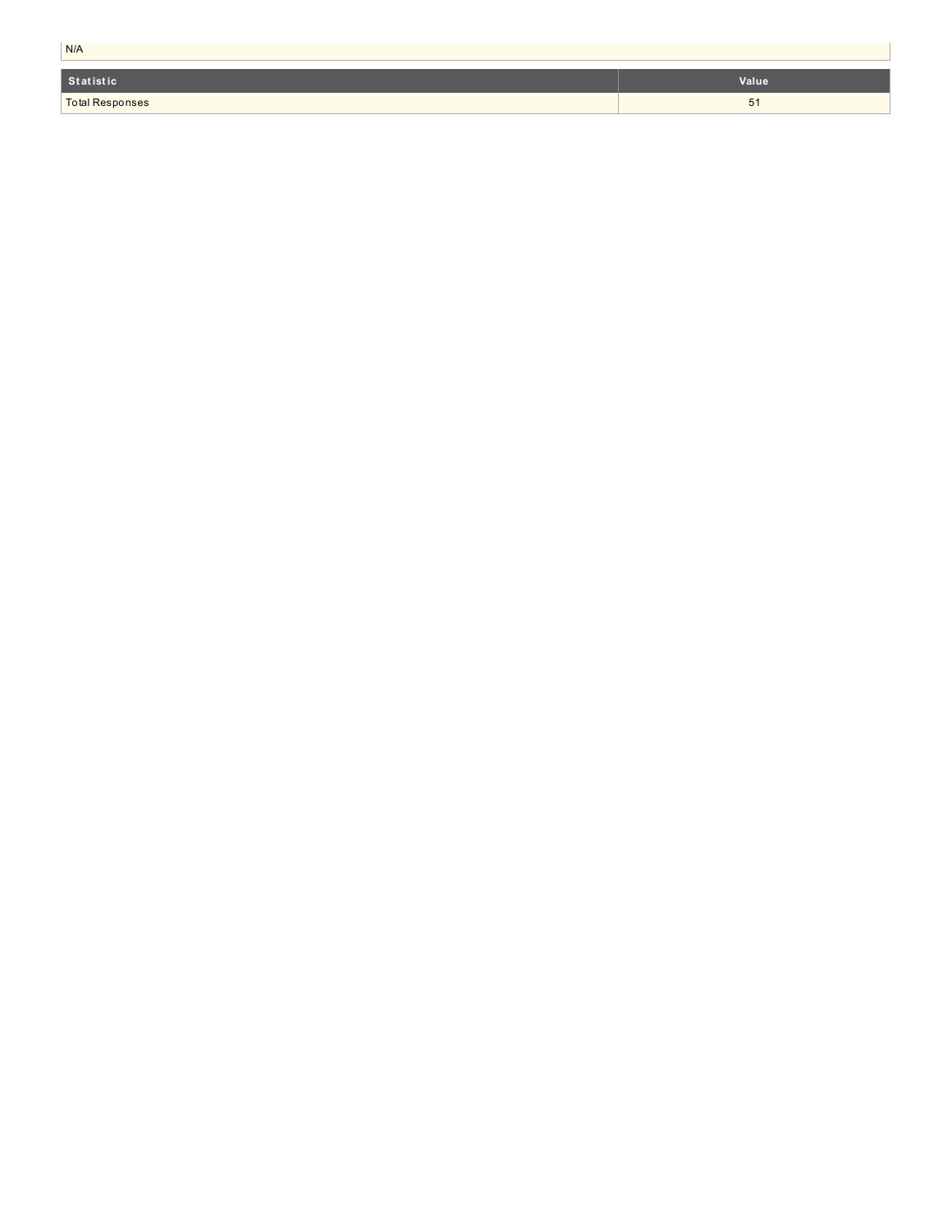| N/A                    |       |  |  |  |
|------------------------|-------|--|--|--|
| Statistic              | Value |  |  |  |
| <b>Total Responses</b> | 51    |  |  |  |